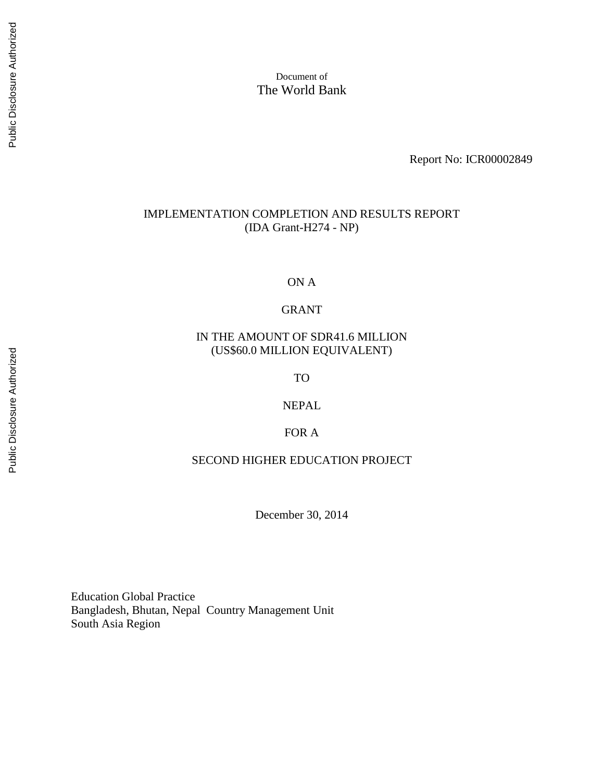Report No: ICR00002849

# IMPLEMENTATION COMPLETION AND RESULTS REPORT (IDA Grant-H274 - NP)

ON A

# GRANT

# IN THE AMOUNT OF SDR41.6 MILLION (US\$60.0 MILLION EQUIVALENT)

TO

# NEPAL

#### FOR A

# SECOND HIGHER EDUCATION PROJECT

December 30, 2014

Education Global Practice Bangladesh, Bhutan, Nepal Country Management Unit South Asia Region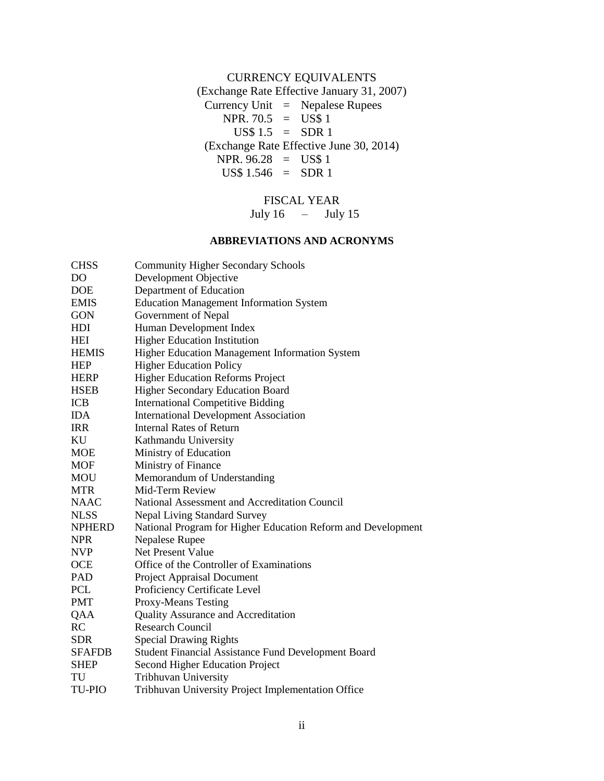# CURRENCY EQUIVALENTS

(Exchange Rate Effective January 31, 2007)  $Current <sub>1</sub> = Nepalese Rupees$ NPR. 70.5 =  $US$1$  $US$ 1.5 = SDR 1$ (Exchange Rate Effective June 30, 2014) NPR.  $96.28 = US$1$  $US\$  1.546 = SDR 1

#### FISCAL YEAR

# July  $16 -$  July  $15$

#### **ABBREVIATIONS AND ACRONYMS**

| <b>CHSS</b>   | <b>Community Higher Secondary Schools</b>                    |
|---------------|--------------------------------------------------------------|
| DO            | Development Objective                                        |
| <b>DOE</b>    | Department of Education                                      |
| <b>EMIS</b>   | <b>Education Management Information System</b>               |
| <b>GON</b>    | Government of Nepal                                          |
| HDI           | Human Development Index                                      |
| <b>HEI</b>    | <b>Higher Education Institution</b>                          |
| <b>HEMIS</b>  | Higher Education Management Information System               |
| <b>HEP</b>    | <b>Higher Education Policy</b>                               |
| <b>HERP</b>   | <b>Higher Education Reforms Project</b>                      |
| <b>HSEB</b>   | <b>Higher Secondary Education Board</b>                      |
| <b>ICB</b>    | <b>International Competitive Bidding</b>                     |
| <b>IDA</b>    | <b>International Development Association</b>                 |
| <b>IRR</b>    | <b>Internal Rates of Return</b>                              |
| KU            | Kathmandu University                                         |
| <b>MOE</b>    | Ministry of Education                                        |
| <b>MOF</b>    | Ministry of Finance                                          |
| <b>MOU</b>    | Memorandum of Understanding                                  |
| <b>MTR</b>    | Mid-Term Review                                              |
| <b>NAAC</b>   | National Assessment and Accreditation Council                |
| <b>NLSS</b>   | Nepal Living Standard Survey                                 |
| <b>NPHERD</b> | National Program for Higher Education Reform and Development |
| <b>NPR</b>    | Nepalese Rupee                                               |
| <b>NVP</b>    | <b>Net Present Value</b>                                     |
| <b>OCE</b>    | Office of the Controller of Examinations                     |
| PAD           | <b>Project Appraisal Document</b>                            |
| PCL           | Proficiency Certificate Level                                |
| <b>PMT</b>    | Proxy-Means Testing                                          |
| QAA           | Quality Assurance and Accreditation                          |
| RC            | <b>Research Council</b>                                      |
| <b>SDR</b>    | <b>Special Drawing Rights</b>                                |
| <b>SFAFDB</b> | <b>Student Financial Assistance Fund Development Board</b>   |
| <b>SHEP</b>   | Second Higher Education Project                              |
| TU            | Tribhuvan University                                         |
| TU-PIO        | Tribhuvan University Project Implementation Office           |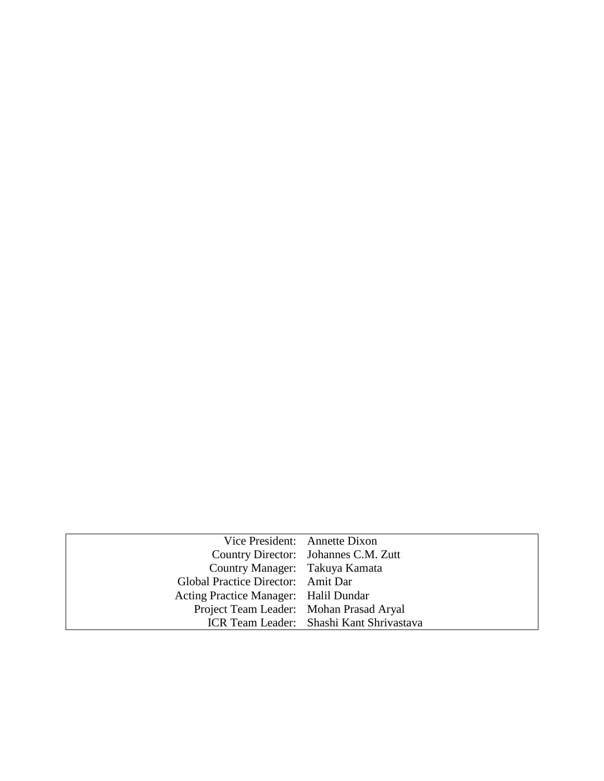|                                         | Vice President: Annette Dixon            |
|-----------------------------------------|------------------------------------------|
|                                         | Country Director: Johannes C.M. Zutt     |
| Country Manager: Takuya Kamata          |                                          |
| Global Practice Director: Amit Dar      |                                          |
| Acting Practice Manager: Halil Dundar   |                                          |
| Project Team Leader: Mohan Prasad Aryal |                                          |
|                                         | ICR Team Leader: Shashi Kant Shrivastava |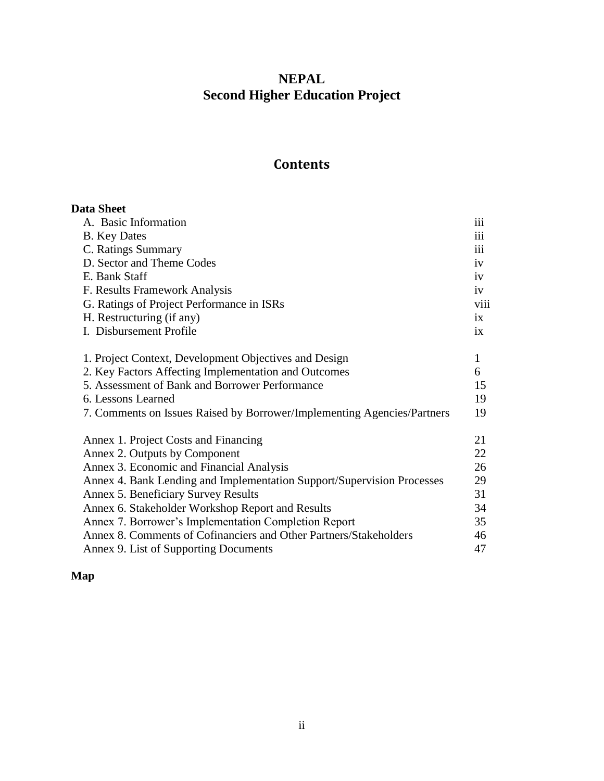# **NEPAL Second Higher Education Project**

# **Contents**

| <b>Data Sheet</b>                                                       |                 |
|-------------------------------------------------------------------------|-----------------|
| A. Basic Information                                                    | iii             |
| <b>B.</b> Key Dates                                                     | 111             |
| C. Ratings Summary                                                      | iii             |
| D. Sector and Theme Codes                                               | iv              |
| E. Bank Staff                                                           | iv              |
| F. Results Framework Analysis                                           | iv              |
| G. Ratings of Project Performance in ISRs                               | viii            |
| H. Restructuring (if any)                                               | $\overline{1}X$ |
| I. Disbursement Profile                                                 | ix              |
| 1. Project Context, Development Objectives and Design                   | $\mathbf{1}$    |
| 2. Key Factors Affecting Implementation and Outcomes                    | 6               |
| 5. Assessment of Bank and Borrower Performance                          | 15              |
| 6. Lessons Learned                                                      | 19              |
| 7. Comments on Issues Raised by Borrower/Implementing Agencies/Partners | 19              |
| Annex 1. Project Costs and Financing                                    | 21              |
| Annex 2. Outputs by Component                                           | 22              |
| Annex 3. Economic and Financial Analysis                                | 26              |
| Annex 4. Bank Lending and Implementation Support/Supervision Processes  | 29              |
| Annex 5. Beneficiary Survey Results                                     | 31              |
| Annex 6. Stakeholder Workshop Report and Results                        | 34              |
| Annex 7. Borrower's Implementation Completion Report                    | 35              |
| Annex 8. Comments of Cofinanciers and Other Partners/Stakeholders       | 46              |
| Annex 9. List of Supporting Documents                                   | 47              |

**Map**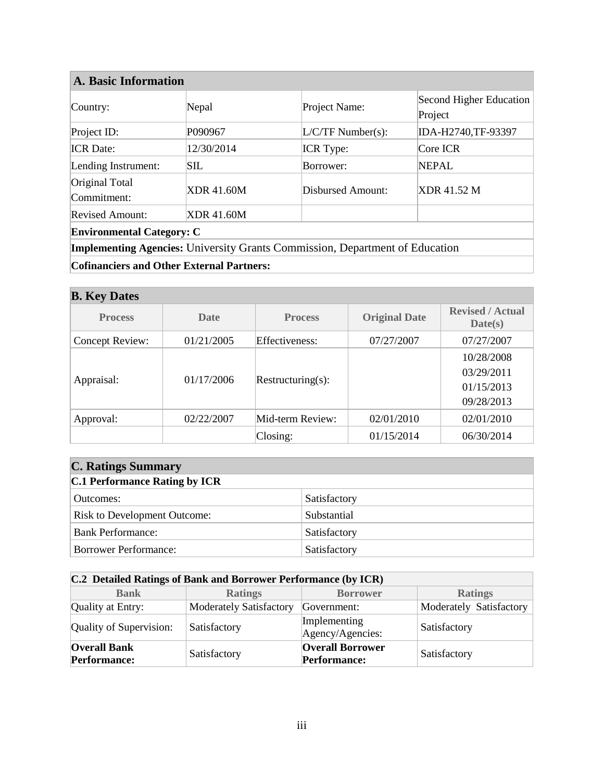<span id="page-6-0"></span>

| <b>A. Basic Information</b>                                                         |                                  |                     |                                    |  |  |
|-------------------------------------------------------------------------------------|----------------------------------|---------------------|------------------------------------|--|--|
| Country:                                                                            | Nepal                            | Project Name:       | Second Higher Education<br>Project |  |  |
| Project ID:                                                                         | P090967                          | $L/C/TF$ Number(s): | IDA-H2740,TF-93397                 |  |  |
| <b>ICR</b> Date:                                                                    | 12/30/2014                       | <b>ICR</b> Type:    | Core ICR                           |  |  |
| Lending Instrument:                                                                 | $\mathbf{S}\mathbf{I}\mathbf{L}$ | Borrower:           | <b>NEPAL</b>                       |  |  |
| Original Total<br>Commitment:                                                       | <b>XDR 41.60M</b>                | Disbursed Amount:   | XDR 41.52 M                        |  |  |
| <b>Revised Amount:</b>                                                              | <b>XDR 41.60M</b>                |                     |                                    |  |  |
| <b>Environmental Category: C</b>                                                    |                                  |                     |                                    |  |  |
| <b>Implementing Agencies:</b> University Grants Commission, Department of Education |                                  |                     |                                    |  |  |
| <b>Cofinanciers and Other External Partners:</b>                                    |                                  |                     |                                    |  |  |

# <span id="page-6-1"></span>**B. Key Dates**

| D. ISCY DAICS   |             |                   |                      |                                    |  |
|-----------------|-------------|-------------------|----------------------|------------------------------------|--|
| <b>Process</b>  | <b>Date</b> | <b>Process</b>    | <b>Original Date</b> | <b>Revised / Actual</b><br>Date(s) |  |
| Concept Review: | 01/21/2005  | Effectiveness:    | 07/27/2007           | 07/27/2007                         |  |
|                 |             |                   |                      | 10/28/2008                         |  |
| Appraisal:      | 01/17/2006  | Restructuring(s): |                      | 03/29/2011                         |  |
|                 |             |                   |                      | 01/15/2013                         |  |
|                 |             |                   |                      | 09/28/2013                         |  |
| Approval:       | 02/22/2007  | Mid-term Review:  | 02/01/2010           | 02/01/2010                         |  |
|                 |             | Closing:          | 01/15/2014           | 06/30/2014                         |  |

# <span id="page-6-2"></span>**C. Ratings Summary**

| <b>C.1 Performance Rating by ICR</b> |              |  |  |
|--------------------------------------|--------------|--|--|
| Outcomes:                            | Satisfactory |  |  |
| <b>Risk to Development Outcome:</b>  | Substantial  |  |  |
| <b>Bank Performance:</b>             | Satisfactory |  |  |
| <b>Borrower Performance:</b>         | Satisfactory |  |  |

| C.2 Detailed Ratings of Bank and Borrower Performance (by ICR) |                                |                                                |                         |  |  |
|----------------------------------------------------------------|--------------------------------|------------------------------------------------|-------------------------|--|--|
| <b>Bank</b>                                                    | <b>Ratings</b>                 | <b>Borrower</b>                                | <b>Ratings</b>          |  |  |
| Quality at Entry:                                              | <b>Moderately Satisfactory</b> | Government:                                    | Moderately Satisfactory |  |  |
| Quality of Supervision:                                        | Satisfactory                   | Implementing<br>Agency/Agencies:               | Satisfactory            |  |  |
| <b>Overall Bank</b><br><b>Performance:</b>                     | Satisfactory                   | <b>Overall Borrower</b><br><b>Performance:</b> | Satisfactory            |  |  |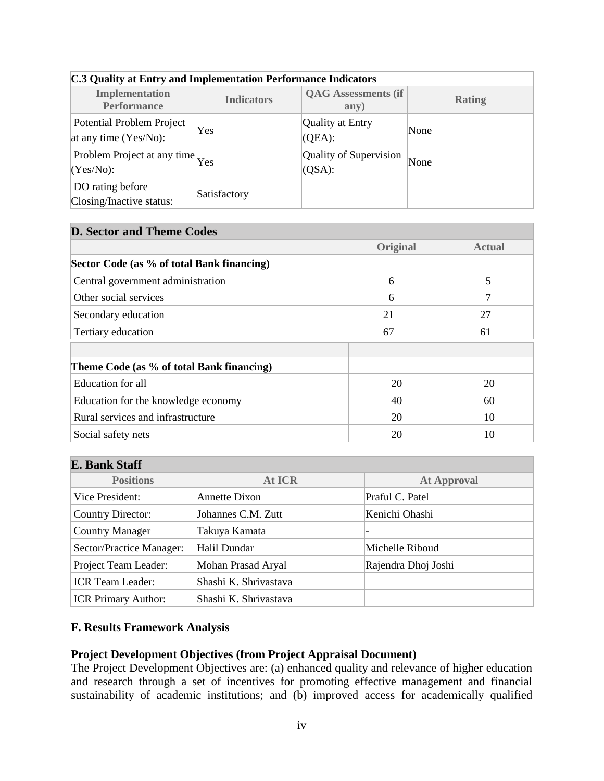| C.3 Quality at Entry and Implementation Performance Indicators |                   |                                     |               |  |  |
|----------------------------------------------------------------|-------------------|-------------------------------------|---------------|--|--|
| Implementation<br><b>Performance</b>                           | <b>Indicators</b> | <b>QAG</b> Assessments (if<br>any)  | <b>Rating</b> |  |  |
| Potential Problem Project<br>at any time $(Yes/No)$ :          | Yes               | Quality at Entry<br>$(QEA)$ :       | None          |  |  |
| Problem Project at any time $Y$ es<br>$(Yes/No)$ :             |                   | Quality of Supervision<br>$(QSA)$ : | None          |  |  |
| DO rating before<br>Closing/Inactive status:                   | Satisfactory      |                                     |               |  |  |

<span id="page-7-0"></span>

| <b>D. Sector and Theme Codes</b>           |                 |               |  |  |
|--------------------------------------------|-----------------|---------------|--|--|
|                                            | <b>Original</b> | <b>Actual</b> |  |  |
| Sector Code (as % of total Bank financing) |                 |               |  |  |
| Central government administration          | 6               | 5             |  |  |
| Other social services                      | 6               | 7             |  |  |
| Secondary education                        | 21              | 27            |  |  |
| Tertiary education                         | 67              | 61            |  |  |
|                                            |                 |               |  |  |
| Theme Code (as % of total Bank financing)  |                 |               |  |  |
| <b>Education</b> for all                   | 20              | 20            |  |  |
| Education for the knowledge economy        | 40              | 60            |  |  |
| Rural services and infrastructure          | 20              | 10            |  |  |
| Social safety nets                         | 20              | 10            |  |  |

# <span id="page-7-1"></span>**E. Bank Staff**

| L. Daiir Ətali             |                       |                     |
|----------------------------|-----------------------|---------------------|
| <b>Positions</b>           | At ICR                | <b>At Approval</b>  |
| Vice President:            | <b>Annette Dixon</b>  | Praful C. Patel     |
| <b>Country Director:</b>   | Johannes C.M. Zutt    | Kenichi Ohashi      |
| <b>Country Manager</b>     | Takuya Kamata         |                     |
| Sector/Practice Manager:   | Halil Dundar          | Michelle Riboud     |
| Project Team Leader:       | Mohan Prasad Aryal    | Rajendra Dhoj Joshi |
| <b>ICR Team Leader:</b>    | Shashi K. Shrivastava |                     |
| <b>ICR Primary Author:</b> | Shashi K. Shrivastava |                     |

# <span id="page-7-2"></span>**F. Results Framework Analysis**

# **Project Development Objectives (from Project Appraisal Document)**

The Project Development Objectives are: (a) enhanced quality and relevance of higher education and research through a set of incentives for promoting effective management and financial sustainability of academic institutions; and (b) improved access for academically qualified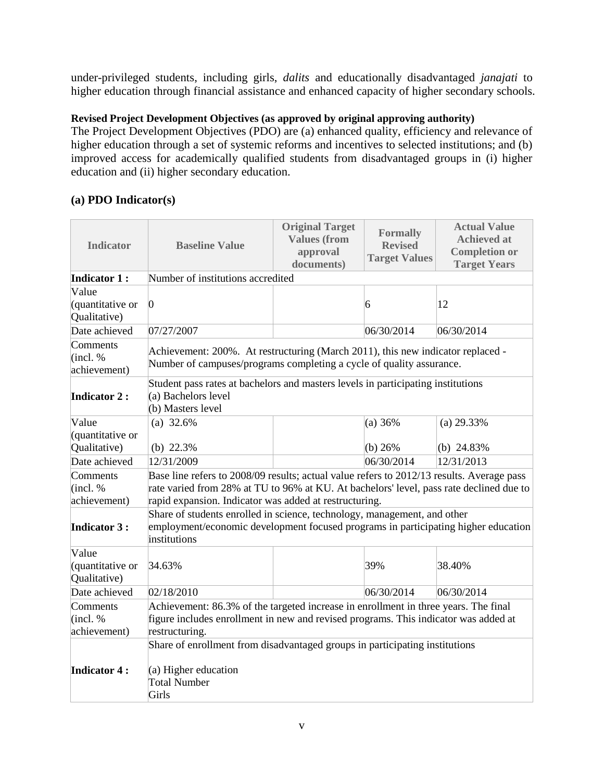under-privileged students, including girls, *dalits* and educationally disadvantaged *janajati* to higher education through financial assistance and enhanced capacity of higher secondary schools.

# **Revised Project Development Objectives (as approved by original approving authority)**

The Project Development Objectives (PDO) are (a) enhanced quality, efficiency and relevance of higher education through a set of systemic reforms and incentives to selected institutions; and (b) improved access for academically qualified students from disadvantaged groups in (i) higher education and (ii) higher secondary education.

### **(a) PDO Indicator(s)**

| <b>Indicator</b>                          | <b>Baseline Value</b>                                                                                                                                                                                                                          | <b>Original Target</b><br><b>Values (from</b><br>approval<br>documents) | <b>Formally</b><br><b>Revised</b><br><b>Target Values</b> | <b>Actual Value</b><br><b>Achieved at</b><br><b>Completion or</b><br><b>Target Years</b> |
|-------------------------------------------|------------------------------------------------------------------------------------------------------------------------------------------------------------------------------------------------------------------------------------------------|-------------------------------------------------------------------------|-----------------------------------------------------------|------------------------------------------------------------------------------------------|
| <b>Indicator 1:</b>                       | Number of institutions accredited                                                                                                                                                                                                              |                                                                         |                                                           |                                                                                          |
| Value<br>(quantitative or<br>Qualitative) | $\vert 0 \vert$                                                                                                                                                                                                                                |                                                                         | 6                                                         | 12                                                                                       |
| Date achieved                             | 07/27/2007                                                                                                                                                                                                                                     |                                                                         | 06/30/2014                                                | 06/30/2014                                                                               |
| Comments<br>(incl. %<br>achievement)      | Achievement: 200%. At restructuring (March 2011), this new indicator replaced -<br>Number of campuses/programs completing a cycle of quality assurance.                                                                                        |                                                                         |                                                           |                                                                                          |
| <b>Indicator 2:</b>                       | Student pass rates at bachelors and masters levels in participating institutions<br>(a) Bachelors level<br>(b) Masters level                                                                                                                   |                                                                         |                                                           |                                                                                          |
| Value<br>(quantitative or                 | (a) $32.6\%$                                                                                                                                                                                                                                   |                                                                         | (a) 36%                                                   | (a) $29.33%$                                                                             |
| Qualitative)                              | (b) $22.3%$                                                                                                                                                                                                                                    |                                                                         | (b) $26%$                                                 | (b) $24.83\%$                                                                            |
| Date achieved                             | 12/31/2009                                                                                                                                                                                                                                     |                                                                         | 06/30/2014                                                | 12/31/2013                                                                               |
| Comments<br>(incl. %<br>achievement)      | Base line refers to 2008/09 results; actual value refers to 2012/13 results. Average pass<br>rate varied from 28% at TU to 96% at KU. At bachelors' level, pass rate declined due to<br>rapid expansion. Indicator was added at restructuring. |                                                                         |                                                           |                                                                                          |
| <b>Indicator 3:</b>                       | Share of students enrolled in science, technology, management, and other<br>employment/economic development focused programs in participating higher education<br>institutions                                                                 |                                                                         |                                                           |                                                                                          |
| Value<br>(quantitative or<br>Qualitative) | 34.63%                                                                                                                                                                                                                                         |                                                                         | 39%                                                       | 38.40%                                                                                   |
| Date achieved                             | 02/18/2010                                                                                                                                                                                                                                     |                                                                         | 06/30/2014                                                | 06/30/2014                                                                               |
| Comments<br>(incl. %<br>achievement)      | Achievement: 86.3% of the targeted increase in enrollment in three years. The final<br>figure includes enrollment in new and revised programs. This indicator was added at<br>restructuring.                                                   |                                                                         |                                                           |                                                                                          |
| <b>Indicator 4:</b>                       | Share of enrollment from disadvantaged groups in participating institutions<br>(a) Higher education<br><b>Total Number</b><br>Girls                                                                                                            |                                                                         |                                                           |                                                                                          |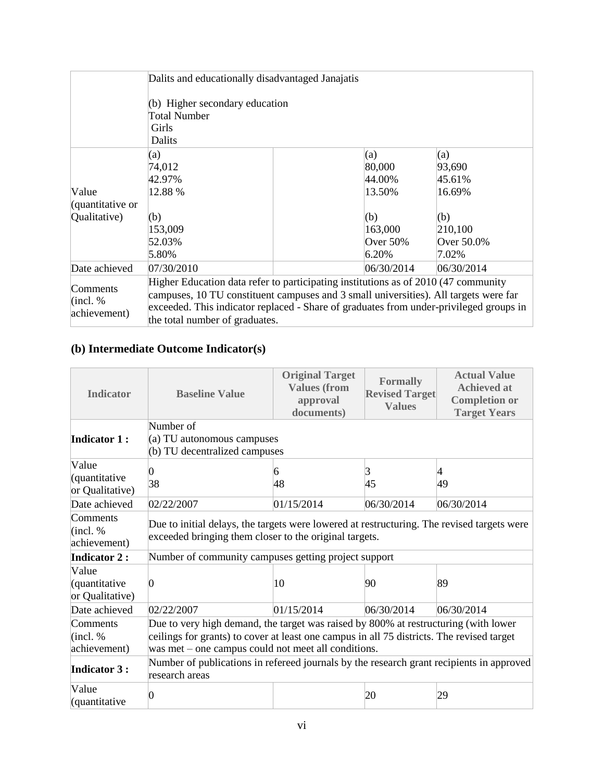|                                      | Dalits and educationally disadvantaged Janajatis                                                                                                                                                                                                                                                       |  |             |            |
|--------------------------------------|--------------------------------------------------------------------------------------------------------------------------------------------------------------------------------------------------------------------------------------------------------------------------------------------------------|--|-------------|------------|
|                                      | $(b)$ Higher secondary education<br><b>Total Number</b><br>Girls<br>Dalits                                                                                                                                                                                                                             |  |             |            |
|                                      | (a)                                                                                                                                                                                                                                                                                                    |  | (a)         | (a)        |
|                                      | 74,012                                                                                                                                                                                                                                                                                                 |  | 80,000      | 93,690     |
|                                      | 42.97%                                                                                                                                                                                                                                                                                                 |  | 44.00%      | 45.61%     |
| Value                                | 12.88 %                                                                                                                                                                                                                                                                                                |  | 13.50%      | 16.69%     |
| (quantitative or                     |                                                                                                                                                                                                                                                                                                        |  |             |            |
| Qualitative)                         | (b)                                                                                                                                                                                                                                                                                                    |  | (b)         | (b)        |
|                                      | 153,009                                                                                                                                                                                                                                                                                                |  | 163,000     | 210,100    |
|                                      | 52.03%                                                                                                                                                                                                                                                                                                 |  | Over $50\%$ | Over 50.0% |
|                                      | 5.80%                                                                                                                                                                                                                                                                                                  |  | 6.20%       | 7.02%      |
| Date achieved                        | 07/30/2010                                                                                                                                                                                                                                                                                             |  | 06/30/2014  | 06/30/2014 |
| Comments<br>(incl. %<br>achievement) | Higher Education data refer to participating institutions as of 2010 (47 community<br>campuses, 10 TU constituent campuses and 3 small universities). All targets were far<br>exceeded. This indicator replaced - Share of graduates from under-privileged groups in<br>the total number of graduates. |  |             |            |

# **(b) Intermediate Outcome Indicator(s)**

| <b>Indicator</b>                          | <b>Baseline Value</b>                                                                                                                                                                                                                   | <b>Original Target</b><br><b>Values (from</b><br>approval<br>documents) | <b>Formally</b><br><b>Revised Target</b><br><b>Values</b> | <b>Actual Value</b><br><b>Achieved at</b><br><b>Completion or</b><br><b>Target Years</b> |  |  |
|-------------------------------------------|-----------------------------------------------------------------------------------------------------------------------------------------------------------------------------------------------------------------------------------------|-------------------------------------------------------------------------|-----------------------------------------------------------|------------------------------------------------------------------------------------------|--|--|
| <b>Indicator 1:</b>                       | Number of<br>(a) TU autonomous campuses<br>(b) TU decentralized campuses                                                                                                                                                                |                                                                         |                                                           |                                                                                          |  |  |
| Value<br>(quantitative<br>or Qualitative) | 0<br>38                                                                                                                                                                                                                                 | 6<br>48                                                                 | 3<br>45                                                   | 4<br>49                                                                                  |  |  |
| Date achieved                             | 02/22/2007                                                                                                                                                                                                                              | 01/15/2014                                                              | 06/30/2014                                                | 06/30/2014                                                                               |  |  |
| Comments<br>(incl. %<br>achievement)      | Due to initial delays, the targets were lowered at restructuring. The revised targets were<br>exceeded bringing them closer to the original targets.                                                                                    |                                                                         |                                                           |                                                                                          |  |  |
| <b>Indicator 2:</b>                       | Number of community campuses getting project support                                                                                                                                                                                    |                                                                         |                                                           |                                                                                          |  |  |
| Value<br>(quantitative<br>or Qualitative) | 0                                                                                                                                                                                                                                       | 10                                                                      | 90                                                        | 89                                                                                       |  |  |
| Date achieved                             | 02/22/2007                                                                                                                                                                                                                              | 01/15/2014                                                              | 06/30/2014                                                | 06/30/2014                                                                               |  |  |
| Comments<br>(incl. %<br>achievement)      | Due to very high demand, the target was raised by 800% at restructuring (with lower<br>ceilings for grants) to cover at least one campus in all 75 districts. The revised target<br>was met – one campus could not meet all conditions. |                                                                         |                                                           |                                                                                          |  |  |
| <b>Indicator 3:</b>                       | Number of publications in refereed journals by the research grant recipients in approved<br>research areas                                                                                                                              |                                                                         |                                                           |                                                                                          |  |  |
| Value<br>(quantitative                    | 0                                                                                                                                                                                                                                       |                                                                         | 20                                                        | 29                                                                                       |  |  |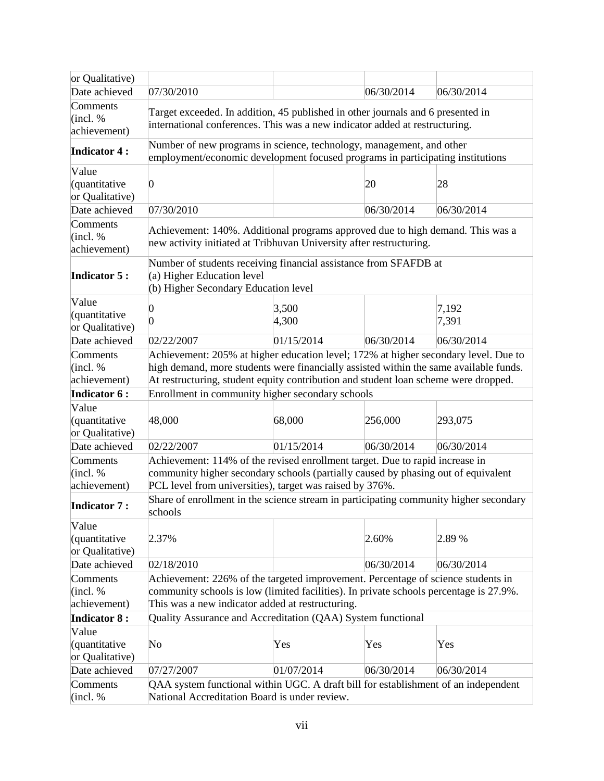| or Qualitative)                           |                                                                                                                                                                                                                                |                |            |                |  |  |
|-------------------------------------------|--------------------------------------------------------------------------------------------------------------------------------------------------------------------------------------------------------------------------------|----------------|------------|----------------|--|--|
| Date achieved                             | 07/30/2010                                                                                                                                                                                                                     |                | 06/30/2014 | 06/30/2014     |  |  |
| Comments<br>(incl. %<br>achievement)      | Target exceeded. In addition, 45 published in other journals and 6 presented in<br>international conferences. This was a new indicator added at restructuring.                                                                 |                |            |                |  |  |
| <b>Indicator 4:</b>                       | Number of new programs in science, technology, management, and other<br>employment/economic development focused programs in participating institutions                                                                         |                |            |                |  |  |
| Value<br>(quantitative<br>or Qualitative) | $\overline{0}$                                                                                                                                                                                                                 |                | 20         | 28             |  |  |
| Date achieved                             | 07/30/2010                                                                                                                                                                                                                     |                | 06/30/2014 | 06/30/2014     |  |  |
| Comments<br>(incl. %<br>achievement)      | Achievement: 140%. Additional programs approved due to high demand. This was a<br>new activity initiated at Tribhuvan University after restructuring.                                                                          |                |            |                |  |  |
| <b>Indicator 5:</b>                       | Number of students receiving financial assistance from SFAFDB at<br>(a) Higher Education level<br>(b) Higher Secondary Education level                                                                                         |                |            |                |  |  |
| Value<br>(quantitative<br>or Qualitative) | 0<br>0                                                                                                                                                                                                                         | 3,500<br>4,300 |            | 7,192<br>7,391 |  |  |
| Date achieved                             | 02/22/2007                                                                                                                                                                                                                     | 01/15/2014     | 06/30/2014 | 06/30/2014     |  |  |
| Comments<br>(incl. %<br>achievement)      | Achievement: 205% at higher education level; 172% at higher secondary level. Due to<br>high demand, more students were financially assisted within the same available funds.                                                   |                |            |                |  |  |
| Indicator 6:                              | At restructuring, student equity contribution and student loan scheme were dropped.<br>Enrollment in community higher secondary schools                                                                                        |                |            |                |  |  |
|                                           |                                                                                                                                                                                                                                |                |            |                |  |  |
| Value<br>(quantitative                    | 48,000                                                                                                                                                                                                                         | 68,000         | 256,000    | 293,075        |  |  |
| or Qualitative)<br>Date achieved          | 02/22/2007                                                                                                                                                                                                                     | 01/15/2014     | 06/30/2014 | 06/30/2014     |  |  |
| Comments<br>(incl. %                      | Achievement: 114% of the revised enrollment target. Due to rapid increase in<br>community higher secondary schools (partially caused by phasing out of equivalent                                                              |                |            |                |  |  |
| achievement)<br><b>Indicator 7:</b>       | PCL level from universities), target was raised by 376%.<br>Share of enrollment in the science stream in participating community higher secondary<br>schools                                                                   |                |            |                |  |  |
| Value<br>(quantitative<br>or Qualitative) | 2.37%                                                                                                                                                                                                                          |                | 2.60%      | 2.89 %         |  |  |
| Date achieved                             | 02/18/2010                                                                                                                                                                                                                     |                | 06/30/2014 | 06/30/2014     |  |  |
| Comments<br>(incl. %<br>achievement)      | Achievement: 226% of the targeted improvement. Percentage of science students in<br>community schools is low (limited facilities). In private schools percentage is 27.9%.<br>This was a new indicator added at restructuring. |                |            |                |  |  |
| <b>Indicator 8:</b>                       | Quality Assurance and Accreditation (QAA) System functional                                                                                                                                                                    |                |            |                |  |  |
| Value<br>(quantitative<br>or Qualitative) | No                                                                                                                                                                                                                             | Yes            | Yes        | Yes            |  |  |
| Date achieved                             | 07/27/2007<br>QAA system functional within UGC. A draft bill for establishment of an independent                                                                                                                               | 01/07/2014     | 06/30/2014 | 06/30/2014     |  |  |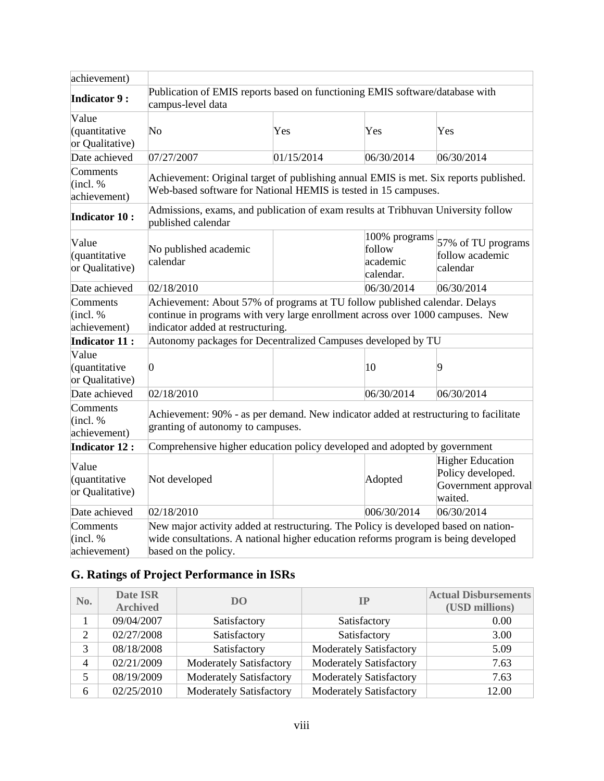| achievement)                              |                                                                                                                                                                                                   |            |                                                  |                                                                                |  |
|-------------------------------------------|---------------------------------------------------------------------------------------------------------------------------------------------------------------------------------------------------|------------|--------------------------------------------------|--------------------------------------------------------------------------------|--|
| <b>Indicator 9:</b>                       | Publication of EMIS reports based on functioning EMIS software/database with<br>campus-level data                                                                                                 |            |                                                  |                                                                                |  |
| Value<br>(quantitative<br>or Qualitative) | No                                                                                                                                                                                                | Yes        | Yes                                              | Yes                                                                            |  |
| Date achieved                             | 07/27/2007                                                                                                                                                                                        | 01/15/2014 | 06/30/2014                                       | 06/30/2014                                                                     |  |
| Comments<br>(incl. %<br>achievement)      | Achievement: Original target of publishing annual EMIS is met. Six reports published.<br>Web-based software for National HEMIS is tested in 15 campuses.                                          |            |                                                  |                                                                                |  |
| <b>Indicator 10:</b>                      | Admissions, exams, and publication of exam results at Tribhuvan University follow<br>published calendar                                                                                           |            |                                                  |                                                                                |  |
| Value<br>(quantitative<br>or Qualitative) | No published academic<br>calendar                                                                                                                                                                 |            | 100% programs<br>follow<br>academic<br>calendar. | 57% of TU programs<br>follow academic<br>calendar                              |  |
| Date achieved                             | 02/18/2010                                                                                                                                                                                        |            | 06/30/2014                                       | 06/30/2014                                                                     |  |
| Comments<br>(incl. %<br>achievement)      | Achievement: About 57% of programs at TU follow published calendar. Delays<br>continue in programs with very large enrollment across over 1000 campuses. New<br>indicator added at restructuring. |            |                                                  |                                                                                |  |
| <b>Indicator 11:</b>                      | Autonomy packages for Decentralized Campuses developed by TU                                                                                                                                      |            |                                                  |                                                                                |  |
| Value<br>(quantitative<br>or Qualitative) | $\vert 0 \vert$                                                                                                                                                                                   |            | 10                                               | 9                                                                              |  |
| Date achieved                             | 02/18/2010                                                                                                                                                                                        |            | 06/30/2014                                       | 06/30/2014                                                                     |  |
| Comments<br>(incl. %<br>achievement)      | Achievement: 90% - as per demand. New indicator added at restructuring to facilitate<br>granting of autonomy to campuses.                                                                         |            |                                                  |                                                                                |  |
| <b>Indicator 12:</b>                      | Comprehensive higher education policy developed and adopted by government                                                                                                                         |            |                                                  |                                                                                |  |
| Value<br>(quantitative<br>or Qualitative) | Not developed                                                                                                                                                                                     |            | Adopted                                          | <b>Higher Education</b><br>Policy developed.<br>Government approval<br>waited. |  |
| Date achieved                             | 02/18/2010                                                                                                                                                                                        |            | 006/30/2014                                      | 06/30/2014                                                                     |  |
| Comments<br>(incl. %<br>achievement)      | New major activity added at restructuring. The Policy is developed based on nation-<br>wide consultations. A national higher education reforms program is being developed<br>based on the policy. |            |                                                  |                                                                                |  |

# <span id="page-11-0"></span>**G. Ratings of Project Performance in ISRs**

| No. | <b>Date ISR</b><br><b>Archived</b> | DO                             | IP                             | <b>Actual Disbursements</b><br>(USD millions) |
|-----|------------------------------------|--------------------------------|--------------------------------|-----------------------------------------------|
|     | 09/04/2007                         | Satisfactory                   | Satisfactory                   | 0.00                                          |
| 2   | 02/27/2008                         | Satisfactory                   | Satisfactory                   | 3.00                                          |
| 3   | 08/18/2008                         | Satisfactory                   | <b>Moderately Satisfactory</b> | 5.09                                          |
| 4   | 02/21/2009                         | <b>Moderately Satisfactory</b> | <b>Moderately Satisfactory</b> | 7.63                                          |
|     | 08/19/2009                         | <b>Moderately Satisfactory</b> | <b>Moderately Satisfactory</b> | 7.63                                          |
| 6   | 02/25/2010                         | <b>Moderately Satisfactory</b> | <b>Moderately Satisfactory</b> | 12.00                                         |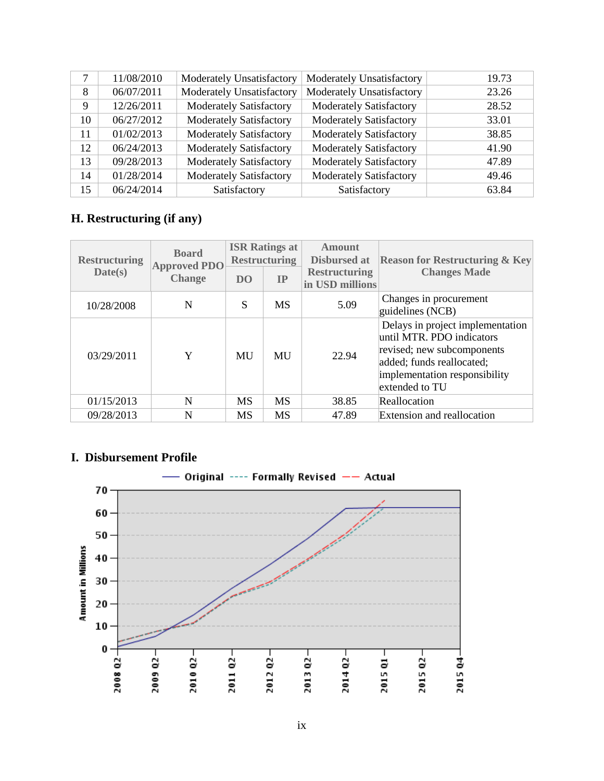| 7  | 11/08/2010 | <b>Moderately Unsatisfactory</b> | Moderately Unsatisfactory      | 19.73 |
|----|------------|----------------------------------|--------------------------------|-------|
| 8  | 06/07/2011 | Moderately Unsatisfactory        | Moderately Unsatisfactory      | 23.26 |
| 9  | 12/26/2011 | <b>Moderately Satisfactory</b>   | <b>Moderately Satisfactory</b> | 28.52 |
| 10 | 06/27/2012 | <b>Moderately Satisfactory</b>   | <b>Moderately Satisfactory</b> | 33.01 |
| 11 | 01/02/2013 | <b>Moderately Satisfactory</b>   | Moderately Satisfactory        | 38.85 |
| 12 | 06/24/2013 | <b>Moderately Satisfactory</b>   | <b>Moderately Satisfactory</b> | 41.90 |
| 13 | 09/28/2013 | <b>Moderately Satisfactory</b>   | <b>Moderately Satisfactory</b> | 47.89 |
| 14 | 01/28/2014 | <b>Moderately Satisfactory</b>   | <b>Moderately Satisfactory</b> | 49.46 |
| 15 | 06/24/2014 | Satisfactory                     | Satisfactory                   | 63.84 |

# <span id="page-12-0"></span>**H. Restructuring (if any)**

| <b>Restructuring</b> | <b>Board</b>                         | <b>ISR Ratings at</b><br><b>Restructuring</b> |           | <b>Amount</b><br><b>Disbursed at</b>    | <b>Reason for Restructuring &amp; Key</b>                                                                                                                                   |
|----------------------|--------------------------------------|-----------------------------------------------|-----------|-----------------------------------------|-----------------------------------------------------------------------------------------------------------------------------------------------------------------------------|
| Date(s)              | <b>Approved PDO</b><br><b>Change</b> | DO                                            | IP        | <b>Restructuring</b><br>in USD millions | <b>Changes Made</b>                                                                                                                                                         |
| 10/28/2008           | N                                    | S                                             | <b>MS</b> | 5.09                                    | Changes in procurement<br>guidelines (NCB)                                                                                                                                  |
| 03/29/2011           | Y                                    | MU                                            | MU        | 22.94                                   | Delays in project implementation<br>until MTR. PDO indicators<br>revised; new subcomponents<br>added; funds reallocated;<br>implementation responsibility<br>extended to TU |
| 01/15/2013           | N                                    | <b>MS</b>                                     | <b>MS</b> | 38.85                                   | Reallocation                                                                                                                                                                |
| 09/28/2013           | N                                    | <b>MS</b>                                     | <b>MS</b> | 47.89                                   | Extension and reallocation                                                                                                                                                  |

# <span id="page-12-1"></span>**I. Disbursement Profile**

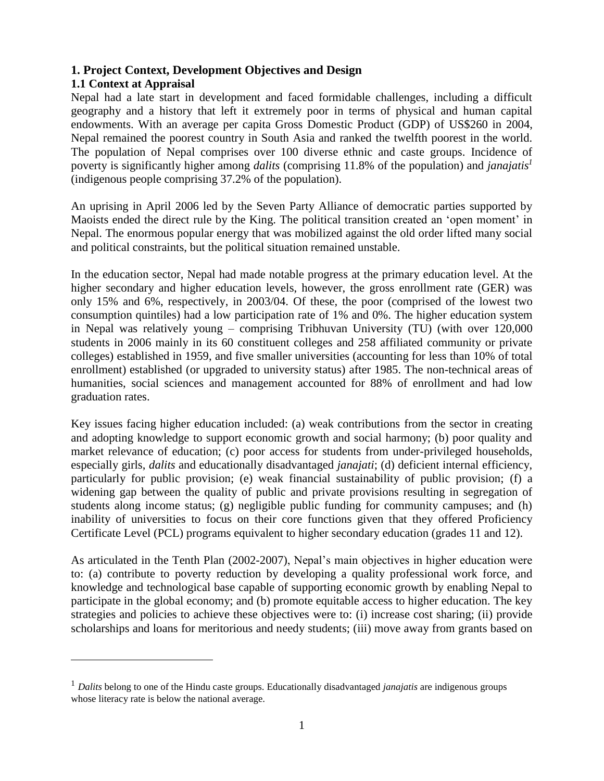# <span id="page-14-0"></span>**1. Project Context, Development Objectives and Design**

# **1.1 Context at Appraisal**

 $\overline{a}$ 

Nepal had a late start in development and faced formidable challenges, including a difficult geography and a history that left it extremely poor in terms of physical and human capital endowments. With an average per capita Gross Domestic Product (GDP) of US\$260 in 2004, Nepal remained the poorest country in South Asia and ranked the twelfth poorest in the world. The population of Nepal comprises over 100 diverse ethnic and caste groups. Incidence of poverty is significantly higher among *dalits* (comprising 11.8% of the population) and *janajatis<sup>1</sup>* (indigenous people comprising 37.2% of the population).

An uprising in April 2006 led by the Seven Party Alliance of democratic parties supported by Maoists ended the direct rule by the King. The political transition created an 'open moment' in Nepal. The enormous popular energy that was mobilized against the old order lifted many social and political constraints, but the political situation remained unstable.

In the education sector, Nepal had made notable progress at the primary education level. At the higher secondary and higher education levels, however, the gross enrollment rate (GER) was only 15% and 6%, respectively, in 2003/04. Of these, the poor (comprised of the lowest two consumption quintiles) had a low participation rate of 1% and 0%. The higher education system in Nepal was relatively young – comprising Tribhuvan University (TU) (with over 120,000 students in 2006 mainly in its 60 constituent colleges and 258 affiliated community or private colleges) established in 1959, and five smaller universities (accounting for less than 10% of total enrollment) established (or upgraded to university status) after 1985. The non-technical areas of humanities, social sciences and management accounted for 88% of enrollment and had low graduation rates.

Key issues facing higher education included: (a) weak contributions from the sector in creating and adopting knowledge to support economic growth and social harmony; (b) poor quality and market relevance of education; (c) poor access for students from under-privileged households, especially girls, *dalits* and educationally disadvantaged *janajati*; (d) deficient internal efficiency, particularly for public provision; (e) weak financial sustainability of public provision; (f) a widening gap between the quality of public and private provisions resulting in segregation of students along income status; (g) negligible public funding for community campuses; and (h) inability of universities to focus on their core functions given that they offered Proficiency Certificate Level (PCL) programs equivalent to higher secondary education (grades 11 and 12).

As articulated in the Tenth Plan (2002-2007), Nepal's main objectives in higher education were to: (a) contribute to poverty reduction by developing a quality professional work force, and knowledge and technological base capable of supporting economic growth by enabling Nepal to participate in the global economy; and (b) promote equitable access to higher education. The key strategies and policies to achieve these objectives were to: (i) increase cost sharing; (ii) provide scholarships and loans for meritorious and needy students; (iii) move away from grants based on

<sup>1</sup> *Dalits* belong to one of the Hindu caste groups. Educationally disadvantaged *janajatis* are indigenous groups whose literacy rate is below the national average.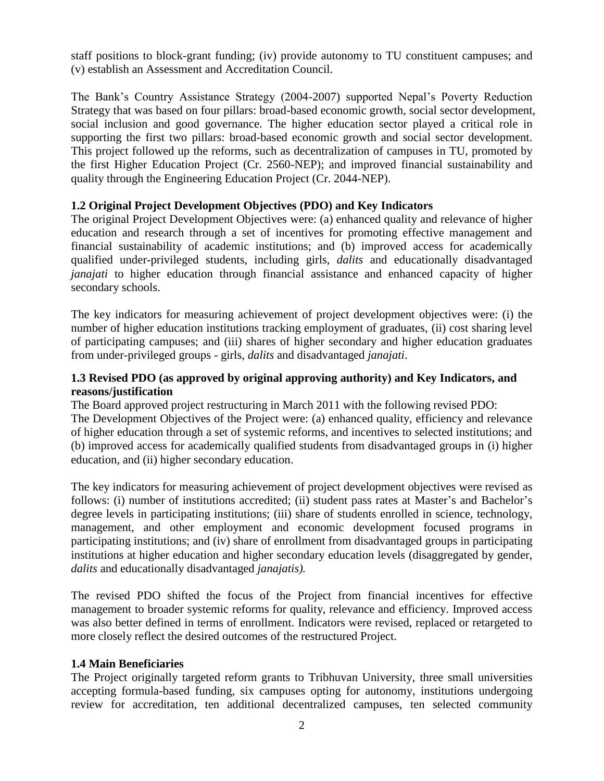staff positions to block-grant funding; (iv) provide autonomy to TU constituent campuses; and (v) establish an Assessment and Accreditation Council.

The Bank's Country Assistance Strategy (2004-2007) supported Nepal's Poverty Reduction Strategy that was based on four pillars: broad-based economic growth, social sector development, social inclusion and good governance. The higher education sector played a critical role in supporting the first two pillars: broad-based economic growth and social sector development. This project followed up the reforms, such as decentralization of campuses in TU, promoted by the first Higher Education Project (Cr. 2560-NEP); and improved financial sustainability and quality through the Engineering Education Project (Cr. 2044-NEP).

# **1.2 Original Project Development Objectives (PDO) and Key Indicators**

The original Project Development Objectives were: (a) enhanced quality and relevance of higher education and research through a set of incentives for promoting effective management and financial sustainability of academic institutions; and (b) improved access for academically qualified under-privileged students, including girls, *dalits* and educationally disadvantaged *janajati* to higher education through financial assistance and enhanced capacity of higher secondary schools.

The key indicators for measuring achievement of project development objectives were: (i) the number of higher education institutions tracking employment of graduates, (ii) cost sharing level of participating campuses; and (iii) shares of higher secondary and higher education graduates from under-privileged groups - girls, *dalits* and disadvantaged *janajati*.

# **1.3 Revised PDO (as approved by original approving authority) and Key Indicators, and reasons/justification**

The Board approved project restructuring in March 2011 with the following revised PDO:

The Development Objectives of the Project were: (a) enhanced quality, efficiency and relevance of higher education through a set of systemic reforms, and incentives to selected institutions; and (b) improved access for academically qualified students from disadvantaged groups in (i) higher education, and (ii) higher secondary education.

The key indicators for measuring achievement of project development objectives were revised as follows: (i) number of institutions accredited; (ii) student pass rates at Master's and Bachelor's degree levels in participating institutions; (iii) share of students enrolled in science, technology, management, and other employment and economic development focused programs in participating institutions; and (iv) share of enrollment from disadvantaged groups in participating institutions at higher education and higher secondary education levels (disaggregated by gender, *dalits* and educationally disadvantaged *janajatis).*

The revised PDO shifted the focus of the Project from financial incentives for effective management to broader systemic reforms for quality, relevance and efficiency. Improved access was also better defined in terms of enrollment. Indicators were revised, replaced or retargeted to more closely reflect the desired outcomes of the restructured Project.

#### **1.4 Main Beneficiaries**

The Project originally targeted reform grants to Tribhuvan University, three small universities accepting formula-based funding, six campuses opting for autonomy, institutions undergoing review for accreditation, ten additional decentralized campuses, ten selected community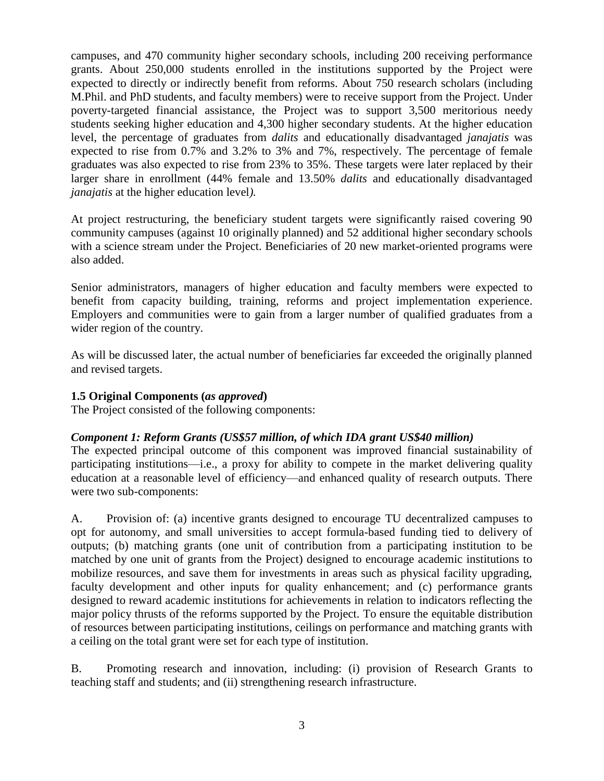campuses, and 470 community higher secondary schools, including 200 receiving performance grants. About 250,000 students enrolled in the institutions supported by the Project were expected to directly or indirectly benefit from reforms. About 750 research scholars (including M.Phil. and PhD students, and faculty members) were to receive support from the Project. Under poverty-targeted financial assistance, the Project was to support 3,500 meritorious needy students seeking higher education and 4,300 higher secondary students. At the higher education level, the percentage of graduates from *dalits* and educationally disadvantaged *janajatis* was expected to rise from 0.7% and 3.2% to 3% and 7%, respectively. The percentage of female graduates was also expected to rise from 23% to 35%. These targets were later replaced by their larger share in enrollment (44% female and 13.50% *dalits* and educationally disadvantaged *janajatis* at the higher education level*).* 

At project restructuring, the beneficiary student targets were significantly raised covering 90 community campuses (against 10 originally planned) and 52 additional higher secondary schools with a science stream under the Project. Beneficiaries of 20 new market-oriented programs were also added.

Senior administrators, managers of higher education and faculty members were expected to benefit from capacity building, training, reforms and project implementation experience. Employers and communities were to gain from a larger number of qualified graduates from a wider region of the country.

As will be discussed later, the actual number of beneficiaries far exceeded the originally planned and revised targets.

### **1.5 Original Components (***as approved***)**

The Project consisted of the following components:

#### *Component 1: Reform Grants (US\$57 million, of which IDA grant US\$40 million)*

The expected principal outcome of this component was improved financial sustainability of participating institutions—i.e., a proxy for ability to compete in the market delivering quality education at a reasonable level of efficiency—and enhanced quality of research outputs. There were two sub-components:

A. Provision of: (a) incentive grants designed to encourage TU decentralized campuses to opt for autonomy, and small universities to accept formula-based funding tied to delivery of outputs; (b) matching grants (one unit of contribution from a participating institution to be matched by one unit of grants from the Project) designed to encourage academic institutions to mobilize resources, and save them for investments in areas such as physical facility upgrading, faculty development and other inputs for quality enhancement; and (c) performance grants designed to reward academic institutions for achievements in relation to indicators reflecting the major policy thrusts of the reforms supported by the Project. To ensure the equitable distribution of resources between participating institutions, ceilings on performance and matching grants with a ceiling on the total grant were set for each type of institution.

B. Promoting research and innovation, including: (i) provision of Research Grants to teaching staff and students; and (ii) strengthening research infrastructure.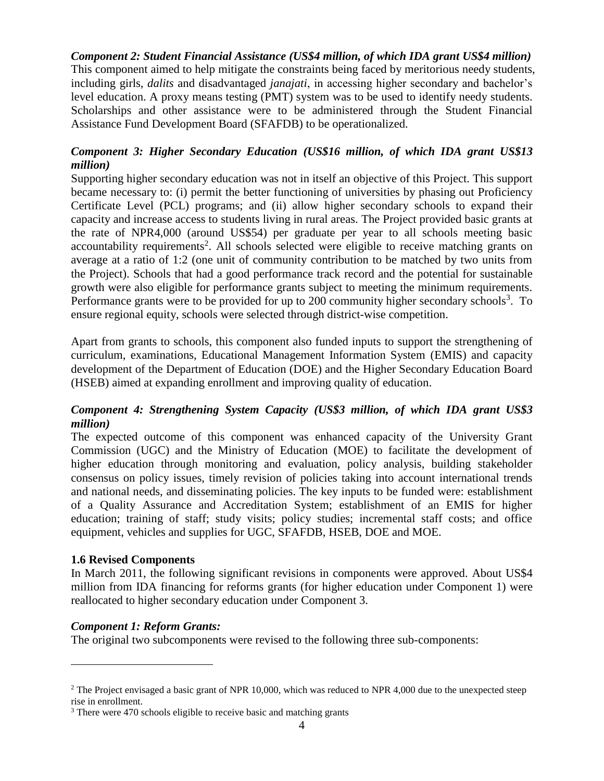# *Component 2: Student Financial Assistance (US\$4 million, of which IDA grant US\$4 million)*

This component aimed to help mitigate the constraints being faced by meritorious needy students, including girls, *dalits* and disadvantaged *janajati*, in accessing higher secondary and bachelor's level education. A proxy means testing (PMT) system was to be used to identify needy students. Scholarships and other assistance were to be administered through the Student Financial Assistance Fund Development Board (SFAFDB) to be operationalized.

# *Component 3: Higher Secondary Education (US\$16 million, of which IDA grant US\$13 million)*

Supporting higher secondary education was not in itself an objective of this Project. This support became necessary to: (i) permit the better functioning of universities by phasing out Proficiency Certificate Level (PCL) programs; and (ii) allow higher secondary schools to expand their capacity and increase access to students living in rural areas. The Project provided basic grants at the rate of NPR4,000 (around US\$54) per graduate per year to all schools meeting basic accountability requirements<sup>2</sup>. All schools selected were eligible to receive matching grants on average at a ratio of 1:2 (one unit of community contribution to be matched by two units from the Project). Schools that had a good performance track record and the potential for sustainable growth were also eligible for performance grants subject to meeting the minimum requirements. Performance grants were to be provided for up to 200 community higher secondary schools<sup>3</sup>. To ensure regional equity, schools were selected through district-wise competition.

Apart from grants to schools, this component also funded inputs to support the strengthening of curriculum, examinations, Educational Management Information System (EMIS) and capacity development of the Department of Education (DOE) and the Higher Secondary Education Board (HSEB) aimed at expanding enrollment and improving quality of education.

# *Component 4: Strengthening System Capacity (US\$3 million, of which IDA grant US\$3 million)*

The expected outcome of this component was enhanced capacity of the University Grant Commission (UGC) and the Ministry of Education (MOE) to facilitate the development of higher education through monitoring and evaluation, policy analysis, building stakeholder consensus on policy issues, timely revision of policies taking into account international trends and national needs, and disseminating policies. The key inputs to be funded were: establishment of a Quality Assurance and Accreditation System; establishment of an EMIS for higher education; training of staff; study visits; policy studies; incremental staff costs; and office equipment, vehicles and supplies for UGC, SFAFDB, HSEB, DOE and MOE.

#### **1.6 Revised Components**

In March 2011, the following significant revisions in components were approved. About US\$4 million from IDA financing for reforms grants (for higher education under Component 1) were reallocated to higher secondary education under Component 3.

# *Component 1: Reform Grants:*

 $\overline{a}$ 

The original two subcomponents were revised to the following three sub-components:

<sup>&</sup>lt;sup>2</sup> The Project envisaged a basic grant of NPR 10,000, which was reduced to NPR 4,000 due to the unexpected steep rise in enrollment.

<sup>&</sup>lt;sup>3</sup> There were 470 schools eligible to receive basic and matching grants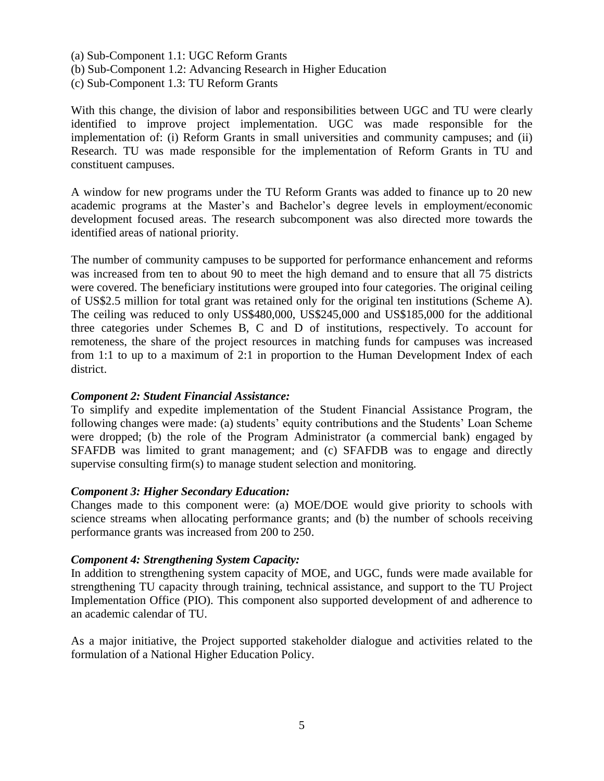(a) Sub-Component 1.1: UGC Reform Grants

- (b) Sub-Component 1.2: Advancing Research in Higher Education
- (c) Sub-Component 1.3: TU Reform Grants

With this change, the division of labor and responsibilities between UGC and TU were clearly identified to improve project implementation. UGC was made responsible for the implementation of: (i) Reform Grants in small universities and community campuses; and (ii) Research. TU was made responsible for the implementation of Reform Grants in TU and constituent campuses.

A window for new programs under the TU Reform Grants was added to finance up to 20 new academic programs at the Master's and Bachelor's degree levels in employment/economic development focused areas. The research subcomponent was also directed more towards the identified areas of national priority.

The number of community campuses to be supported for performance enhancement and reforms was increased from ten to about 90 to meet the high demand and to ensure that all 75 districts were covered. The beneficiary institutions were grouped into four categories. The original ceiling of US\$2.5 million for total grant was retained only for the original ten institutions (Scheme A). The ceiling was reduced to only US\$480,000, US\$245,000 and US\$185,000 for the additional three categories under Schemes B, C and D of institutions, respectively. To account for remoteness, the share of the project resources in matching funds for campuses was increased from 1:1 to up to a maximum of 2:1 in proportion to the Human Development Index of each district.

#### *Component 2: Student Financial Assistance:*

To simplify and expedite implementation of the Student Financial Assistance Program, the following changes were made: (a) students' equity contributions and the Students' Loan Scheme were dropped; (b) the role of the Program Administrator (a commercial bank) engaged by SFAFDB was limited to grant management; and (c) SFAFDB was to engage and directly supervise consulting firm(s) to manage student selection and monitoring.

#### *Component 3: Higher Secondary Education:*

Changes made to this component were: (a) MOE/DOE would give priority to schools with science streams when allocating performance grants; and (b) the number of schools receiving performance grants was increased from 200 to 250.

#### *Component 4: Strengthening System Capacity:*

In addition to strengthening system capacity of MOE, and UGC, funds were made available for strengthening TU capacity through training, technical assistance, and support to the TU Project Implementation Office (PIO). This component also supported development of and adherence to an academic calendar of TU.

As a major initiative, the Project supported stakeholder dialogue and activities related to the formulation of a National Higher Education Policy.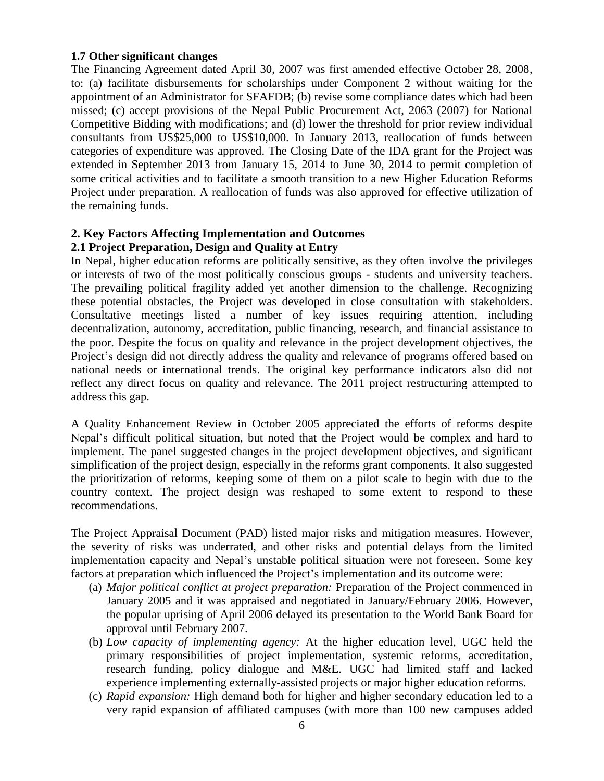#### **1.7 Other significant changes**

The Financing Agreement dated April 30, 2007 was first amended effective October 28, 2008, to: (a) facilitate disbursements for scholarships under Component 2 without waiting for the appointment of an Administrator for SFAFDB; (b) revise some compliance dates which had been missed; (c) accept provisions of the Nepal Public Procurement Act, 2063 (2007) for National Competitive Bidding with modifications; and (d) lower the threshold for prior review individual consultants from US\$25,000 to US\$10,000. In January 2013, reallocation of funds between categories of expenditure was approved. The Closing Date of the IDA grant for the Project was extended in September 2013 from January 15, 2014 to June 30, 2014 to permit completion of some critical activities and to facilitate a smooth transition to a new Higher Education Reforms Project under preparation. A reallocation of funds was also approved for effective utilization of the remaining funds.

# <span id="page-19-0"></span>**2. Key Factors Affecting Implementation and Outcomes**

# **2.1 Project Preparation, Design and Quality at Entry**

In Nepal, higher education reforms are politically sensitive, as they often involve the privileges or interests of two of the most politically conscious groups - students and university teachers. The prevailing political fragility added yet another dimension to the challenge. Recognizing these potential obstacles, the Project was developed in close consultation with stakeholders. Consultative meetings listed a number of key issues requiring attention, including decentralization, autonomy, accreditation, public financing, research, and financial assistance to the poor. Despite the focus on quality and relevance in the project development objectives, the Project's design did not directly address the quality and relevance of programs offered based on national needs or international trends. The original key performance indicators also did not reflect any direct focus on quality and relevance. The 2011 project restructuring attempted to address this gap.

A Quality Enhancement Review in October 2005 appreciated the efforts of reforms despite Nepal's difficult political situation, but noted that the Project would be complex and hard to implement. The panel suggested changes in the project development objectives, and significant simplification of the project design, especially in the reforms grant components. It also suggested the prioritization of reforms, keeping some of them on a pilot scale to begin with due to the country context. The project design was reshaped to some extent to respond to these recommendations.

The Project Appraisal Document (PAD) listed major risks and mitigation measures. However, the severity of risks was underrated, and other risks and potential delays from the limited implementation capacity and Nepal's unstable political situation were not foreseen. Some key factors at preparation which influenced the Project's implementation and its outcome were:

- (a) *Major political conflict at project preparation:* Preparation of the Project commenced in January 2005 and it was appraised and negotiated in January/February 2006. However, the popular uprising of April 2006 delayed its presentation to the World Bank Board for approval until February 2007.
- (b) *Low capacity of implementing agency:* At the higher education level, UGC held the primary responsibilities of project implementation, systemic reforms, accreditation, research funding, policy dialogue and M&E. UGC had limited staff and lacked experience implementing externally-assisted projects or major higher education reforms.
- (c) *Rapid expansion:* High demand both for higher and higher secondary education led to a very rapid expansion of affiliated campuses (with more than 100 new campuses added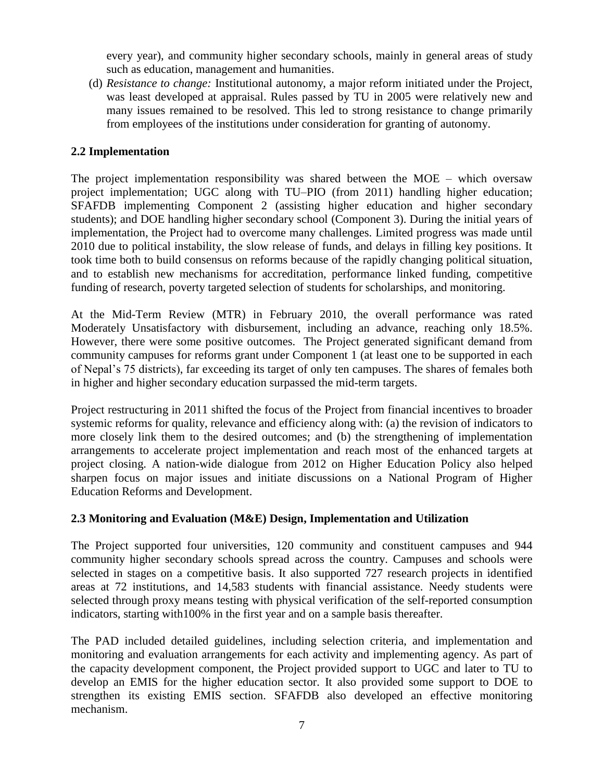every year), and community higher secondary schools, mainly in general areas of study such as education, management and humanities.

(d) *Resistance to change:* Institutional autonomy, a major reform initiated under the Project, was least developed at appraisal. Rules passed by TU in 2005 were relatively new and many issues remained to be resolved. This led to strong resistance to change primarily from employees of the institutions under consideration for granting of autonomy.

# **2.2 Implementation**

The project implementation responsibility was shared between the MOE – which oversaw project implementation; UGC along with TU–PIO (from 2011) handling higher education; SFAFDB implementing Component 2 (assisting higher education and higher secondary students); and DOE handling higher secondary school (Component 3). During the initial years of implementation, the Project had to overcome many challenges. Limited progress was made until 2010 due to political instability, the slow release of funds, and delays in filling key positions. It took time both to build consensus on reforms because of the rapidly changing political situation, and to establish new mechanisms for accreditation, performance linked funding, competitive funding of research, poverty targeted selection of students for scholarships, and monitoring.

At the Mid-Term Review (MTR) in February 2010, the overall performance was rated Moderately Unsatisfactory with disbursement, including an advance, reaching only 18.5%. However, there were some positive outcomes. The Project generated significant demand from community campuses for reforms grant under Component 1 (at least one to be supported in each of Nepal's 75 districts), far exceeding its target of only ten campuses. The shares of females both in higher and higher secondary education surpassed the mid-term targets.

Project restructuring in 2011 shifted the focus of the Project from financial incentives to broader systemic reforms for quality, relevance and efficiency along with: (a) the revision of indicators to more closely link them to the desired outcomes; and (b) the strengthening of implementation arrangements to accelerate project implementation and reach most of the enhanced targets at project closing. A nation-wide dialogue from 2012 on Higher Education Policy also helped sharpen focus on major issues and initiate discussions on a National Program of Higher Education Reforms and Development.

#### **2.3 Monitoring and Evaluation (M&E) Design, Implementation and Utilization**

The Project supported four universities, 120 community and constituent campuses and 944 community higher secondary schools spread across the country. Campuses and schools were selected in stages on a competitive basis. It also supported 727 research projects in identified areas at 72 institutions, and 14,583 students with financial assistance. Needy students were selected through proxy means testing with physical verification of the self-reported consumption indicators, starting with100% in the first year and on a sample basis thereafter.

The PAD included detailed guidelines, including selection criteria, and implementation and monitoring and evaluation arrangements for each activity and implementing agency. As part of the capacity development component, the Project provided support to UGC and later to TU to develop an EMIS for the higher education sector. It also provided some support to DOE to strengthen its existing EMIS section. SFAFDB also developed an effective monitoring mechanism.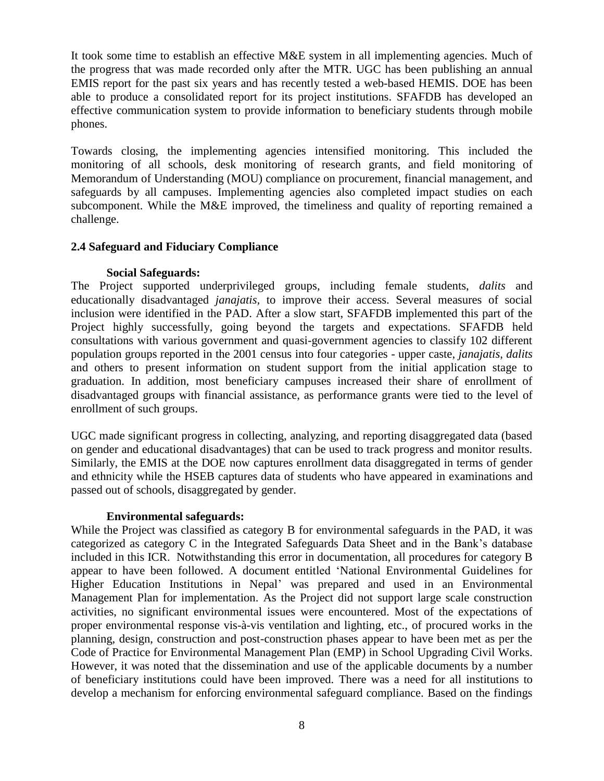It took some time to establish an effective M&E system in all implementing agencies. Much of the progress that was made recorded only after the MTR. UGC has been publishing an annual EMIS report for the past six years and has recently tested a web-based HEMIS. DOE has been able to produce a consolidated report for its project institutions. SFAFDB has developed an effective communication system to provide information to beneficiary students through mobile phones.

Towards closing, the implementing agencies intensified monitoring. This included the monitoring of all schools, desk monitoring of research grants, and field monitoring of Memorandum of Understanding (MOU) compliance on procurement, financial management, and safeguards by all campuses. Implementing agencies also completed impact studies on each subcomponent. While the M&E improved, the timeliness and quality of reporting remained a challenge.

# **2.4 Safeguard and Fiduciary Compliance**

#### **Social Safeguards:**

The Project supported underprivileged groups, including female students, *dalits* and educationally disadvantaged *janajatis,* to improve their access. Several measures of social inclusion were identified in the PAD. After a slow start, SFAFDB implemented this part of the Project highly successfully, going beyond the targets and expectations. SFAFDB held consultations with various government and quasi-government agencies to classify 102 different population groups reported in the 2001 census into four categories - upper caste, *janajatis*, *dalits* and others to present information on student support from the initial application stage to graduation. In addition, most beneficiary campuses increased their share of enrollment of disadvantaged groups with financial assistance, as performance grants were tied to the level of enrollment of such groups.

UGC made significant progress in collecting, analyzing, and reporting disaggregated data (based on gender and educational disadvantages) that can be used to track progress and monitor results. Similarly, the EMIS at the DOE now captures enrollment data disaggregated in terms of gender and ethnicity while the HSEB captures data of students who have appeared in examinations and passed out of schools, disaggregated by gender.

#### **Environmental safeguards:**

While the Project was classified as category B for environmental safeguards in the PAD, it was categorized as category C in the Integrated Safeguards Data Sheet and in the Bank's database included in this ICR. Notwithstanding this error in documentation, all procedures for category B appear to have been followed. A document entitled 'National Environmental Guidelines for Higher Education Institutions in Nepal' was prepared and used in an Environmental Management Plan for implementation. As the Project did not support large scale construction activities, no significant environmental issues were encountered. Most of the expectations of proper environmental response vis-à-vis ventilation and lighting, etc., of procured works in the planning, design, construction and post-construction phases appear to have been met as per the Code of Practice for Environmental Management Plan (EMP) in School Upgrading Civil Works. However, it was noted that the dissemination and use of the applicable documents by a number of beneficiary institutions could have been improved. There was a need for all institutions to develop a mechanism for enforcing environmental safeguard compliance. Based on the findings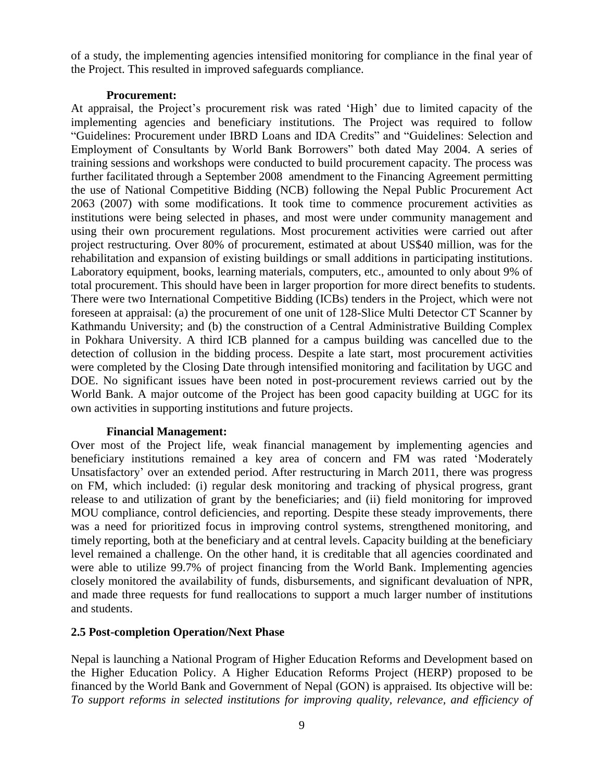of a study, the implementing agencies intensified monitoring for compliance in the final year of the Project. This resulted in improved safeguards compliance.

#### **Procurement:**

At appraisal, the Project's procurement risk was rated 'High' due to limited capacity of the implementing agencies and beneficiary institutions. The Project was required to follow "Guidelines: Procurement under IBRD Loans and IDA Credits" and "Guidelines: Selection and Employment of Consultants by World Bank Borrowers" both dated May 2004. A series of training sessions and workshops were conducted to build procurement capacity. The process was further facilitated through a September 2008 amendment to the Financing Agreement permitting the use of National Competitive Bidding (NCB) following the Nepal Public Procurement Act 2063 (2007) with some modifications. It took time to commence procurement activities as institutions were being selected in phases, and most were under community management and using their own procurement regulations. Most procurement activities were carried out after project restructuring. Over 80% of procurement, estimated at about US\$40 million, was for the rehabilitation and expansion of existing buildings or small additions in participating institutions. Laboratory equipment, books, learning materials, computers, etc., amounted to only about 9% of total procurement. This should have been in larger proportion for more direct benefits to students. There were two International Competitive Bidding (ICBs) tenders in the Project, which were not foreseen at appraisal: (a) the procurement of one unit of 128-Slice Multi Detector CT Scanner by Kathmandu University; and (b) the construction of a Central Administrative Building Complex in Pokhara University. A third ICB planned for a campus building was cancelled due to the detection of collusion in the bidding process. Despite a late start, most procurement activities were completed by the Closing Date through intensified monitoring and facilitation by UGC and DOE. No significant issues have been noted in post-procurement reviews carried out by the World Bank. A major outcome of the Project has been good capacity building at UGC for its own activities in supporting institutions and future projects.

#### **Financial Management:**

Over most of the Project life, weak financial management by implementing agencies and beneficiary institutions remained a key area of concern and FM was rated 'Moderately Unsatisfactory' over an extended period. After restructuring in March 2011, there was progress on FM, which included: (i) regular desk monitoring and tracking of physical progress, grant release to and utilization of grant by the beneficiaries; and (ii) field monitoring for improved MOU compliance, control deficiencies, and reporting. Despite these steady improvements, there was a need for prioritized focus in improving control systems, strengthened monitoring, and timely reporting, both at the beneficiary and at central levels. Capacity building at the beneficiary level remained a challenge. On the other hand, it is creditable that all agencies coordinated and were able to utilize 99.7% of project financing from the World Bank. Implementing agencies closely monitored the availability of funds, disbursements, and significant devaluation of NPR, and made three requests for fund reallocations to support a much larger number of institutions and students.

#### **2.5 Post-completion Operation/Next Phase**

Nepal is launching a National Program of Higher Education Reforms and Development based on the Higher Education Policy. A Higher Education Reforms Project (HERP) proposed to be financed by the World Bank and Government of Nepal (GON) is appraised. Its objective will be: *To support reforms in selected institutions for improving quality, relevance, and efficiency of*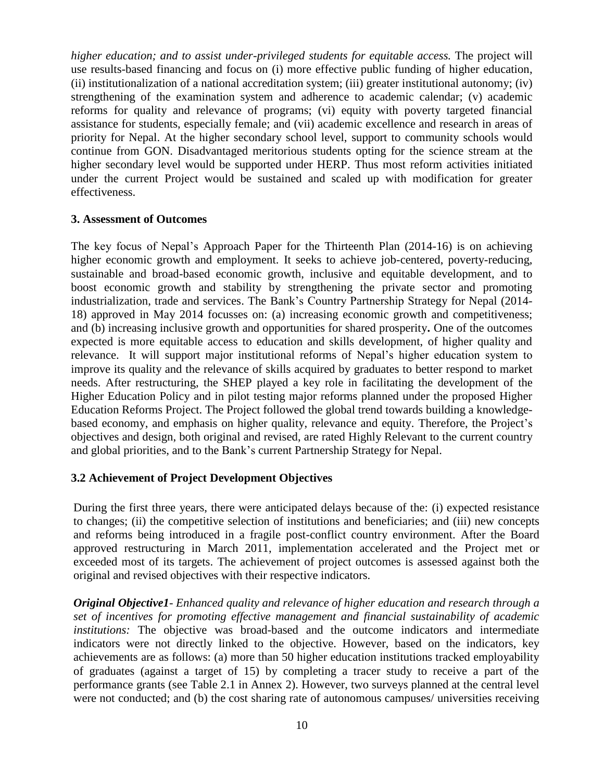*higher education; and to assist under-privileged students for equitable access.* The project will use results-based financing and focus on (i) more effective public funding of higher education, (ii) institutionalization of a national accreditation system; (iii) greater institutional autonomy; (iv) strengthening of the examination system and adherence to academic calendar; (v) academic reforms for quality and relevance of programs; (vi) equity with poverty targeted financial assistance for students, especially female; and (vii) academic excellence and research in areas of priority for Nepal. At the higher secondary school level, support to community schools would continue from GON. Disadvantaged meritorious students opting for the science stream at the higher secondary level would be supported under HERP. Thus most reform activities initiated under the current Project would be sustained and scaled up with modification for greater effectiveness.

#### **3. Assessment of Outcomes**

The key focus of Nepal's Approach Paper for the Thirteenth Plan (2014-16) is on achieving higher economic growth and employment. It seeks to achieve job-centered, poverty-reducing, sustainable and broad-based economic growth, inclusive and equitable development, and to boost economic growth and stability by strengthening the private sector and promoting industrialization, trade and services. The Bank's Country Partnership Strategy for Nepal (2014- 18) approved in May 2014 focusses on: (a) increasing economic growth and competitiveness; and (b) increasing inclusive growth and opportunities for shared prosperity**.** One of the outcomes expected is more equitable access to education and skills development, of higher quality and relevance. It will support major institutional reforms of Nepal's higher education system to improve its quality and the relevance of skills acquired by graduates to better respond to market needs. After restructuring, the SHEP played a key role in facilitating the development of the Higher Education Policy and in pilot testing major reforms planned under the proposed Higher Education Reforms Project. The Project followed the global trend towards building a knowledgebased economy, and emphasis on higher quality, relevance and equity. Therefore, the Project's objectives and design, both original and revised, are rated Highly Relevant to the current country and global priorities, and to the Bank's current Partnership Strategy for Nepal.

#### **3.2 Achievement of Project Development Objectives**

During the first three years, there were anticipated delays because of the: (i) expected resistance to changes; (ii) the competitive selection of institutions and beneficiaries; and (iii) new concepts and reforms being introduced in a fragile post-conflict country environment. After the Board approved restructuring in March 2011, implementation accelerated and the Project met or exceeded most of its targets. The achievement of project outcomes is assessed against both the original and revised objectives with their respective indicators.

*Original Objective1*- *Enhanced quality and relevance of higher education and research through a set of incentives for promoting effective management and financial sustainability of academic institutions:* The objective was broad-based and the outcome indicators and intermediate indicators were not directly linked to the objective. However, based on the indicators, key achievements are as follows: (a) more than 50 higher education institutions tracked employability of graduates (against a target of 15) by completing a tracer study to receive a part of the performance grants (see Table 2.1 in Annex 2). However, two surveys planned at the central level were not conducted; and (b) the cost sharing rate of autonomous campuses/ universities receiving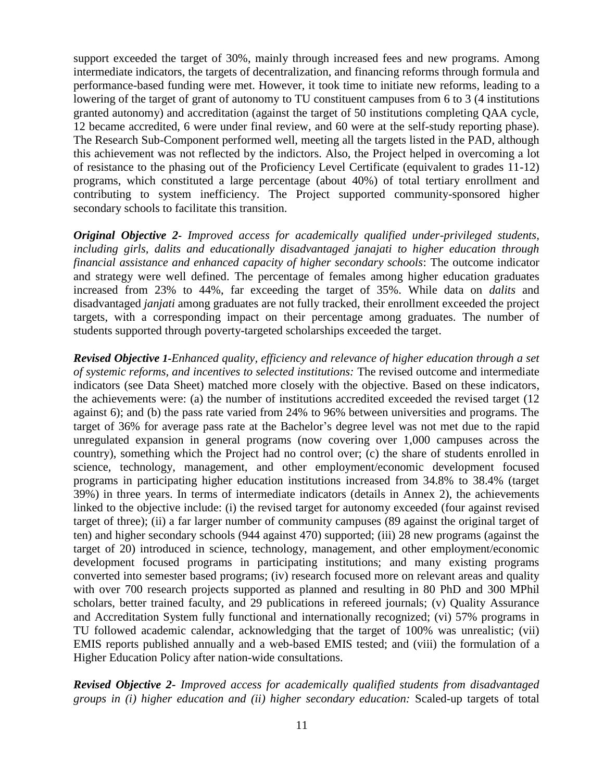support exceeded the target of 30%, mainly through increased fees and new programs. Among intermediate indicators, the targets of decentralization, and financing reforms through formula and performance-based funding were met. However, it took time to initiate new reforms, leading to a lowering of the target of grant of autonomy to TU constituent campuses from 6 to 3 (4 institutions granted autonomy) and accreditation (against the target of 50 institutions completing QAA cycle, 12 became accredited, 6 were under final review, and 60 were at the self-study reporting phase). The Research Sub-Component performed well, meeting all the targets listed in the PAD, although this achievement was not reflected by the indictors. Also, the Project helped in overcoming a lot of resistance to the phasing out of the Proficiency Level Certificate (equivalent to grades 11-12) programs, which constituted a large percentage (about 40%) of total tertiary enrollment and contributing to system inefficiency. The Project supported community-sponsored higher secondary schools to facilitate this transition.

*Original Objective 2- Improved access for academically qualified under-privileged students, including girls, dalits and educationally disadvantaged janajati to higher education through financial assistance and enhanced capacity of higher secondary schools*: The outcome indicator and strategy were well defined. The percentage of females among higher education graduates increased from 23% to 44%, far exceeding the target of 35%. While data on *dalits* and disadvantaged *janjati* among graduates are not fully tracked, their enrollment exceeded the project targets, with a corresponding impact on their percentage among graduates. The number of students supported through poverty-targeted scholarships exceeded the target.

*Revised Objective 1-Enhanced quality, efficiency and relevance of higher education through a set of systemic reforms, and incentives to selected institutions:* The revised outcome and intermediate indicators (see Data Sheet) matched more closely with the objective. Based on these indicators, the achievements were: (a) the number of institutions accredited exceeded the revised target (12 against 6); and (b) the pass rate varied from 24% to 96% between universities and programs. The target of 36% for average pass rate at the Bachelor's degree level was not met due to the rapid unregulated expansion in general programs (now covering over 1,000 campuses across the country), something which the Project had no control over; (c) the share of students enrolled in science, technology, management, and other employment/economic development focused programs in participating higher education institutions increased from 34.8% to 38.4% (target 39%) in three years. In terms of intermediate indicators (details in Annex 2), the achievements linked to the objective include: (i) the revised target for autonomy exceeded (four against revised target of three); (ii) a far larger number of community campuses (89 against the original target of ten) and higher secondary schools (944 against 470) supported; (iii) 28 new programs (against the target of 20) introduced in science, technology, management, and other employment/economic development focused programs in participating institutions; and many existing programs converted into semester based programs; (iv) research focused more on relevant areas and quality with over 700 research projects supported as planned and resulting in 80 PhD and 300 MPhil scholars, better trained faculty, and 29 publications in refereed journals; (v) Quality Assurance and Accreditation System fully functional and internationally recognized; (vi) 57% programs in TU followed academic calendar, acknowledging that the target of 100% was unrealistic; (vii) EMIS reports published annually and a web-based EMIS tested; and (viii) the formulation of a Higher Education Policy after nation-wide consultations.

*Revised Objective 2- Improved access for academically qualified students from disadvantaged groups in (i) higher education and (ii) higher secondary education:* Scaled-up targets of total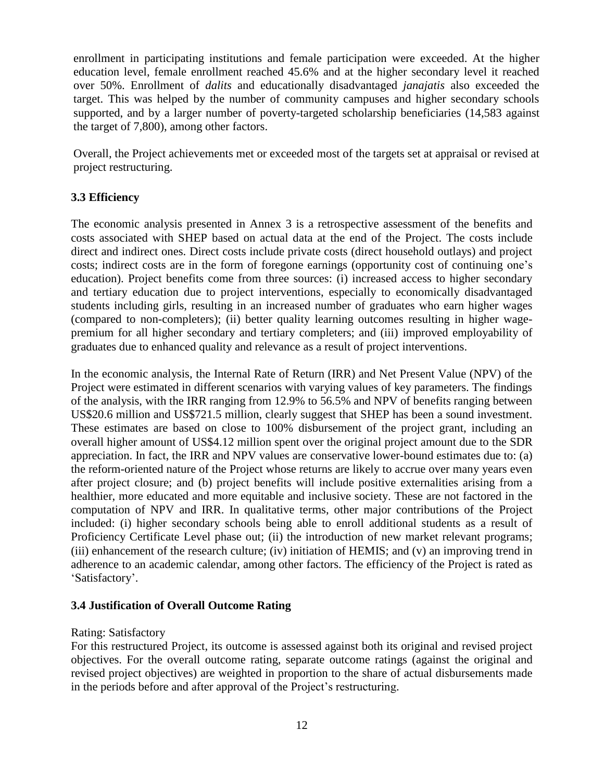enrollment in participating institutions and female participation were exceeded. At the higher education level, female enrollment reached 45.6% and at the higher secondary level it reached over 50%. Enrollment of *dalits* and educationally disadvantaged *janajatis* also exceeded the target. This was helped by the number of community campuses and higher secondary schools supported, and by a larger number of poverty-targeted scholarship beneficiaries (14,583 against the target of 7,800), among other factors.

Overall, the Project achievements met or exceeded most of the targets set at appraisal or revised at project restructuring.

# **3.3 Efficiency**

The economic analysis presented in Annex 3 is a retrospective assessment of the benefits and costs associated with SHEP based on actual data at the end of the Project. The costs include direct and indirect ones. Direct costs include private costs (direct household outlays) and project costs; indirect costs are in the form of foregone earnings (opportunity cost of continuing one's education). Project benefits come from three sources: (i) increased access to higher secondary and tertiary education due to project interventions, especially to economically disadvantaged students including girls, resulting in an increased number of graduates who earn higher wages (compared to non-completers); (ii) better quality learning outcomes resulting in higher wagepremium for all higher secondary and tertiary completers; and (iii) improved employability of graduates due to enhanced quality and relevance as a result of project interventions.

In the economic analysis, the Internal Rate of Return (IRR) and Net Present Value (NPV) of the Project were estimated in different scenarios with varying values of key parameters. The findings of the analysis, with the IRR ranging from 12.9% to 56.5% and NPV of benefits ranging between US\$20.6 million and US\$721.5 million, clearly suggest that SHEP has been a sound investment. These estimates are based on close to 100% disbursement of the project grant, including an overall higher amount of US\$4.12 million spent over the original project amount due to the SDR appreciation. In fact, the IRR and NPV values are conservative lower-bound estimates due to: (a) the reform-oriented nature of the Project whose returns are likely to accrue over many years even after project closure; and (b) project benefits will include positive externalities arising from a healthier, more educated and more equitable and inclusive society. These are not factored in the computation of NPV and IRR. In qualitative terms, other major contributions of the Project included: (i) higher secondary schools being able to enroll additional students as a result of Proficiency Certificate Level phase out; (ii) the introduction of new market relevant programs; (iii) enhancement of the research culture; (iv) initiation of HEMIS; and (v) an improving trend in adherence to an academic calendar, among other factors. The efficiency of the Project is rated as 'Satisfactory'.

#### **3.4 Justification of Overall Outcome Rating**

#### Rating: Satisfactory

For this restructured Project, its outcome is assessed against both its original and revised project objectives. For the overall outcome rating, separate outcome ratings (against the original and revised project objectives) are weighted in proportion to the share of actual disbursements made in the periods before and after approval of the Project's restructuring.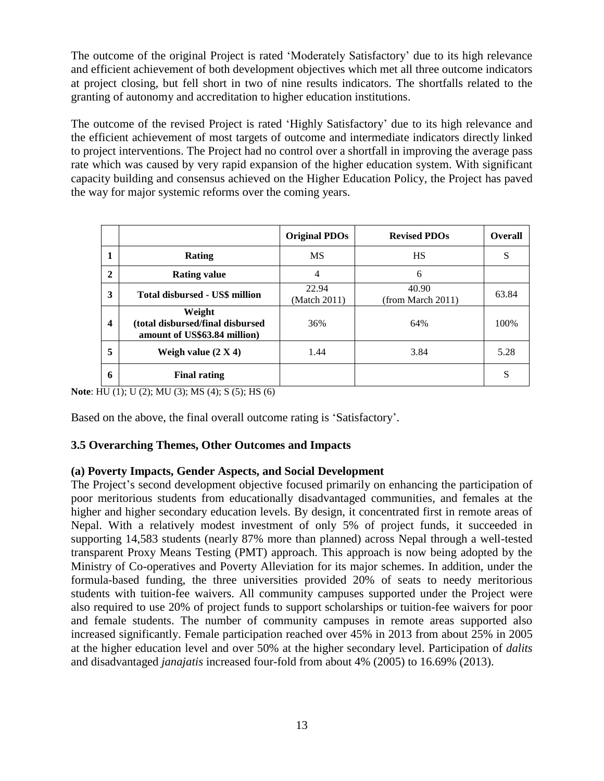The outcome of the original Project is rated 'Moderately Satisfactory' due to its high relevance and efficient achievement of both development objectives which met all three outcome indicators at project closing, but fell short in two of nine results indicators. The shortfalls related to the granting of autonomy and accreditation to higher education institutions.

The outcome of the revised Project is rated 'Highly Satisfactory' due to its high relevance and the efficient achievement of most targets of outcome and intermediate indicators directly linked to project interventions. The Project had no control over a shortfall in improving the average pass rate which was caused by very rapid expansion of the higher education system. With significant capacity building and consensus achieved on the Higher Education Policy, the Project has paved the way for major systemic reforms over the coming years.

|                  |                                                                            | <b>Original PDOs</b>  | <b>Revised PDOs</b>           | <b>Overall</b> |
|------------------|----------------------------------------------------------------------------|-----------------------|-------------------------------|----------------|
| 1                | <b>Rating</b>                                                              | MS                    | <b>HS</b>                     | S              |
| $\mathbf{2}$     | <b>Rating value</b>                                                        | 4                     | 6                             |                |
| 3                | Total disbursed - US\$ million                                             | 22.94<br>(Match 2011) | 40.90<br>(from March $2011$ ) | 63.84          |
| $\boldsymbol{4}$ | Weight<br>(total disbursed/final disbursed<br>amount of US\$63.84 million) | 36%                   | 64%                           | 100%           |
| 5                | Weigh value $(2 \ X 4)$                                                    | 1.44                  | 3.84                          | 5.28           |
| 6                | <b>Final rating</b>                                                        |                       |                               | S              |

**Note**: HU (1); U (2); MU (3); MS (4); S (5); HS (6)

Based on the above, the final overall outcome rating is 'Satisfactory'.

# **3.5 Overarching Themes, Other Outcomes and Impacts**

#### **(a) Poverty Impacts, Gender Aspects, and Social Development**

The Project's second development objective focused primarily on enhancing the participation of poor meritorious students from educationally disadvantaged communities, and females at the higher and higher secondary education levels. By design, it concentrated first in remote areas of Nepal. With a relatively modest investment of only 5% of project funds, it succeeded in supporting 14,583 students (nearly 87% more than planned) across Nepal through a well-tested transparent Proxy Means Testing (PMT) approach. This approach is now being adopted by the Ministry of Co-operatives and Poverty Alleviation for its major schemes. In addition, under the formula-based funding, the three universities provided 20% of seats to needy meritorious students with tuition-fee waivers. All community campuses supported under the Project were also required to use 20% of project funds to support scholarships or tuition-fee waivers for poor and female students. The number of community campuses in remote areas supported also increased significantly. Female participation reached over 45% in 2013 from about 25% in 2005 at the higher education level and over 50% at the higher secondary level. Participation of *dalits*  and disadvantaged *janajatis* increased four-fold from about 4% (2005) to 16.69% (2013).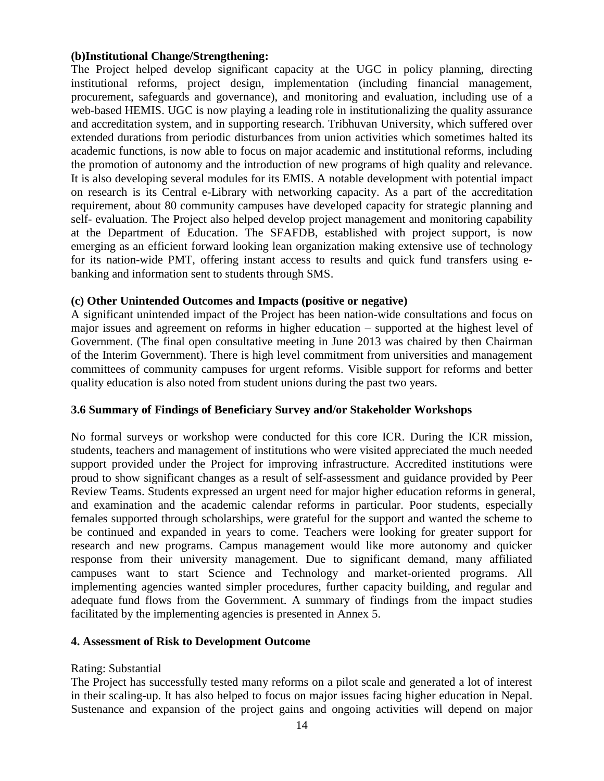#### **(b)Institutional Change/Strengthening:**

The Project helped develop significant capacity at the UGC in policy planning, directing institutional reforms, project design, implementation (including financial management, procurement, safeguards and governance), and monitoring and evaluation, including use of a web-based HEMIS. UGC is now playing a leading role in institutionalizing the quality assurance and accreditation system, and in supporting research. Tribhuvan University, which suffered over extended durations from periodic disturbances from union activities which sometimes halted its academic functions, is now able to focus on major academic and institutional reforms, including the promotion of autonomy and the introduction of new programs of high quality and relevance. It is also developing several modules for its EMIS. A notable development with potential impact on research is its Central e-Library with networking capacity. As a part of the accreditation requirement, about 80 community campuses have developed capacity for strategic planning and self- evaluation. The Project also helped develop project management and monitoring capability at the Department of Education. The SFAFDB, established with project support, is now emerging as an efficient forward looking lean organization making extensive use of technology for its nation-wide PMT, offering instant access to results and quick fund transfers using ebanking and information sent to students through SMS.

#### **(c) Other Unintended Outcomes and Impacts (positive or negative)**

A significant unintended impact of the Project has been nation-wide consultations and focus on major issues and agreement on reforms in higher education – supported at the highest level of Government. (The final open consultative meeting in June 2013 was chaired by then Chairman of the Interim Government). There is high level commitment from universities and management committees of community campuses for urgent reforms. Visible support for reforms and better quality education is also noted from student unions during the past two years.

#### **3.6 Summary of Findings of Beneficiary Survey and/or Stakeholder Workshops**

No formal surveys or workshop were conducted for this core ICR. During the ICR mission, students, teachers and management of institutions who were visited appreciated the much needed support provided under the Project for improving infrastructure. Accredited institutions were proud to show significant changes as a result of self-assessment and guidance provided by Peer Review Teams. Students expressed an urgent need for major higher education reforms in general, and examination and the academic calendar reforms in particular. Poor students, especially females supported through scholarships, were grateful for the support and wanted the scheme to be continued and expanded in years to come. Teachers were looking for greater support for research and new programs. Campus management would like more autonomy and quicker response from their university management. Due to significant demand, many affiliated campuses want to start Science and Technology and market-oriented programs. All implementing agencies wanted simpler procedures, further capacity building, and regular and adequate fund flows from the Government. A summary of findings from the impact studies facilitated by the implementing agencies is presented in Annex 5.

#### **4. Assessment of Risk to Development Outcome**

#### Rating: Substantial

The Project has successfully tested many reforms on a pilot scale and generated a lot of interest in their scaling-up. It has also helped to focus on major issues facing higher education in Nepal. Sustenance and expansion of the project gains and ongoing activities will depend on major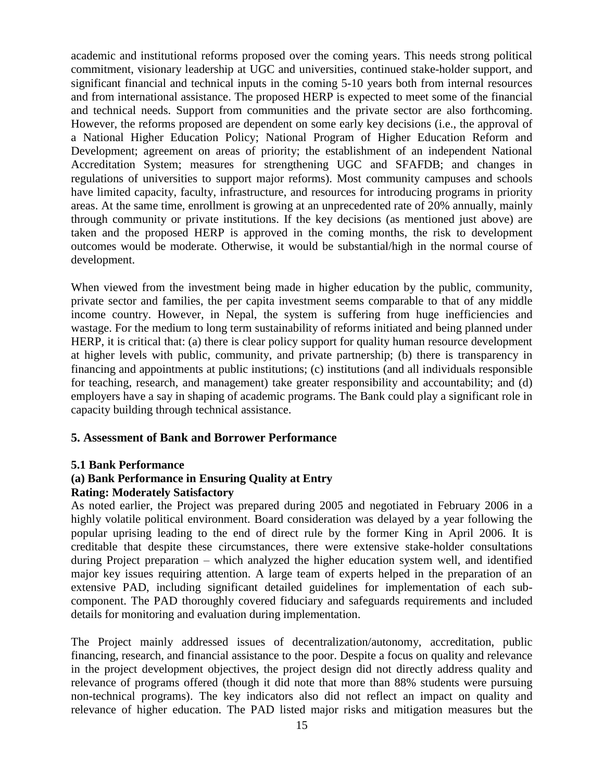academic and institutional reforms proposed over the coming years. This needs strong political commitment, visionary leadership at UGC and universities, continued stake-holder support, and significant financial and technical inputs in the coming 5-10 years both from internal resources and from international assistance. The proposed HERP is expected to meet some of the financial and technical needs. Support from communities and the private sector are also forthcoming. However, the reforms proposed are dependent on some early key decisions (i.e., the approval of a National Higher Education Policy; National Program of Higher Education Reform and Development; agreement on areas of priority; the establishment of an independent National Accreditation System; measures for strengthening UGC and SFAFDB; and changes in regulations of universities to support major reforms). Most community campuses and schools have limited capacity, faculty, infrastructure, and resources for introducing programs in priority areas. At the same time, enrollment is growing at an unprecedented rate of 20% annually, mainly through community or private institutions. If the key decisions (as mentioned just above) are taken and the proposed HERP is approved in the coming months, the risk to development outcomes would be moderate. Otherwise, it would be substantial/high in the normal course of development.

When viewed from the investment being made in higher education by the public, community, private sector and families, the per capita investment seems comparable to that of any middle income country. However, in Nepal, the system is suffering from huge inefficiencies and wastage. For the medium to long term sustainability of reforms initiated and being planned under HERP, it is critical that: (a) there is clear policy support for quality human resource development at higher levels with public, community, and private partnership; (b) there is transparency in financing and appointments at public institutions; (c) institutions (and all individuals responsible for teaching, research, and management) take greater responsibility and accountability; and (d) employers have a say in shaping of academic programs. The Bank could play a significant role in capacity building through technical assistance.

# <span id="page-28-0"></span>**5. Assessment of Bank and Borrower Performance**

#### **5.1 Bank Performance**

# **(a) Bank Performance in Ensuring Quality at Entry**

#### **Rating: Moderately Satisfactory**

As noted earlier, the Project was prepared during 2005 and negotiated in February 2006 in a highly volatile political environment. Board consideration was delayed by a year following the popular uprising leading to the end of direct rule by the former King in April 2006. It is creditable that despite these circumstances, there were extensive stake-holder consultations during Project preparation – which analyzed the higher education system well, and identified major key issues requiring attention. A large team of experts helped in the preparation of an extensive PAD, including significant detailed guidelines for implementation of each subcomponent. The PAD thoroughly covered fiduciary and safeguards requirements and included details for monitoring and evaluation during implementation.

The Project mainly addressed issues of decentralization/autonomy, accreditation, public financing, research, and financial assistance to the poor. Despite a focus on quality and relevance in the project development objectives, the project design did not directly address quality and relevance of programs offered (though it did note that more than 88% students were pursuing non-technical programs). The key indicators also did not reflect an impact on quality and relevance of higher education. The PAD listed major risks and mitigation measures but the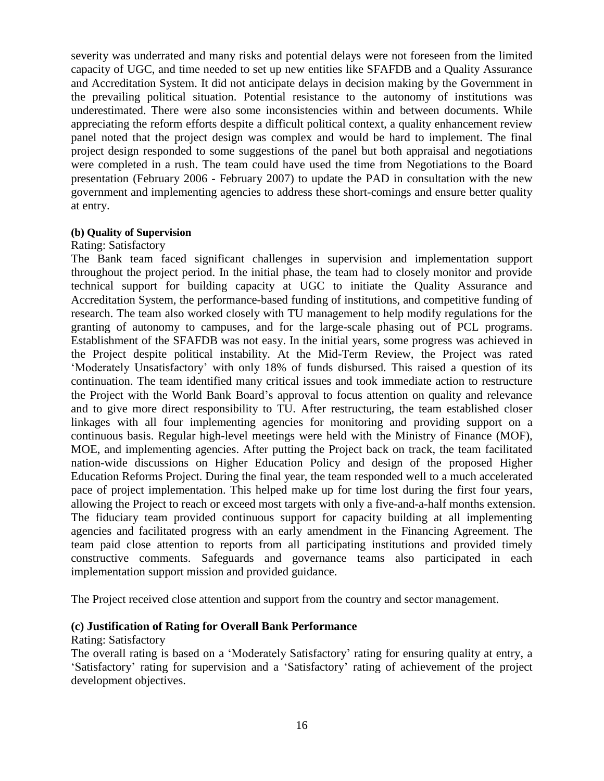severity was underrated and many risks and potential delays were not foreseen from the limited capacity of UGC, and time needed to set up new entities like SFAFDB and a Quality Assurance and Accreditation System. It did not anticipate delays in decision making by the Government in the prevailing political situation. Potential resistance to the autonomy of institutions was underestimated. There were also some inconsistencies within and between documents. While appreciating the reform efforts despite a difficult political context, a quality enhancement review panel noted that the project design was complex and would be hard to implement. The final project design responded to some suggestions of the panel but both appraisal and negotiations were completed in a rush. The team could have used the time from Negotiations to the Board presentation (February 2006 - February 2007) to update the PAD in consultation with the new government and implementing agencies to address these short-comings and ensure better quality at entry.

#### **(b) Quality of Supervision**

#### Rating: Satisfactory

The Bank team faced significant challenges in supervision and implementation support throughout the project period. In the initial phase, the team had to closely monitor and provide technical support for building capacity at UGC to initiate the Quality Assurance and Accreditation System, the performance-based funding of institutions, and competitive funding of research. The team also worked closely with TU management to help modify regulations for the granting of autonomy to campuses, and for the large-scale phasing out of PCL programs. Establishment of the SFAFDB was not easy. In the initial years, some progress was achieved in the Project despite political instability. At the Mid-Term Review, the Project was rated 'Moderately Unsatisfactory' with only 18% of funds disbursed. This raised a question of its continuation. The team identified many critical issues and took immediate action to restructure the Project with the World Bank Board's approval to focus attention on quality and relevance and to give more direct responsibility to TU. After restructuring, the team established closer linkages with all four implementing agencies for monitoring and providing support on a continuous basis. Regular high-level meetings were held with the Ministry of Finance (MOF), MOE, and implementing agencies. After putting the Project back on track, the team facilitated nation-wide discussions on Higher Education Policy and design of the proposed Higher Education Reforms Project. During the final year, the team responded well to a much accelerated pace of project implementation. This helped make up for time lost during the first four years, allowing the Project to reach or exceed most targets with only a five-and-a-half months extension. The fiduciary team provided continuous support for capacity building at all implementing agencies and facilitated progress with an early amendment in the Financing Agreement. The team paid close attention to reports from all participating institutions and provided timely constructive comments. Safeguards and governance teams also participated in each implementation support mission and provided guidance.

The Project received close attention and support from the country and sector management.

#### **(c) Justification of Rating for Overall Bank Performance**

#### Rating: Satisfactory

The overall rating is based on a 'Moderately Satisfactory' rating for ensuring quality at entry, a 'Satisfactory' rating for supervision and a 'Satisfactory' rating of achievement of the project development objectives.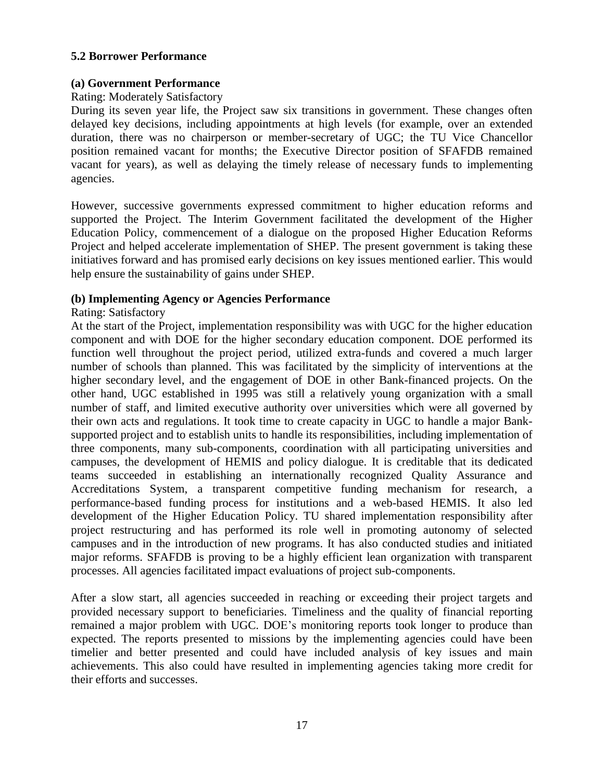#### **5.2 Borrower Performance**

#### **(a) Government Performance**

#### Rating: Moderately Satisfactory

During its seven year life, the Project saw six transitions in government. These changes often delayed key decisions, including appointments at high levels (for example, over an extended duration, there was no chairperson or member-secretary of UGC; the TU Vice Chancellor position remained vacant for months; the Executive Director position of SFAFDB remained vacant for years), as well as delaying the timely release of necessary funds to implementing agencies.

However, successive governments expressed commitment to higher education reforms and supported the Project. The Interim Government facilitated the development of the Higher Education Policy, commencement of a dialogue on the proposed Higher Education Reforms Project and helped accelerate implementation of SHEP. The present government is taking these initiatives forward and has promised early decisions on key issues mentioned earlier. This would help ensure the sustainability of gains under SHEP.

#### **(b) Implementing Agency or Agencies Performance**

#### Rating: Satisfactory

At the start of the Project, implementation responsibility was with UGC for the higher education component and with DOE for the higher secondary education component. DOE performed its function well throughout the project period, utilized extra-funds and covered a much larger number of schools than planned. This was facilitated by the simplicity of interventions at the higher secondary level, and the engagement of DOE in other Bank-financed projects. On the other hand, UGC established in 1995 was still a relatively young organization with a small number of staff, and limited executive authority over universities which were all governed by their own acts and regulations. It took time to create capacity in UGC to handle a major Banksupported project and to establish units to handle its responsibilities, including implementation of three components, many sub-components, coordination with all participating universities and campuses, the development of HEMIS and policy dialogue. It is creditable that its dedicated teams succeeded in establishing an internationally recognized Quality Assurance and Accreditations System, a transparent competitive funding mechanism for research, a performance-based funding process for institutions and a web-based HEMIS. It also led development of the Higher Education Policy. TU shared implementation responsibility after project restructuring and has performed its role well in promoting autonomy of selected campuses and in the introduction of new programs. It has also conducted studies and initiated major reforms. SFAFDB is proving to be a highly efficient lean organization with transparent processes. All agencies facilitated impact evaluations of project sub-components.

After a slow start, all agencies succeeded in reaching or exceeding their project targets and provided necessary support to beneficiaries. Timeliness and the quality of financial reporting remained a major problem with UGC. DOE's monitoring reports took longer to produce than expected. The reports presented to missions by the implementing agencies could have been timelier and better presented and could have included analysis of key issues and main achievements. This also could have resulted in implementing agencies taking more credit for their efforts and successes.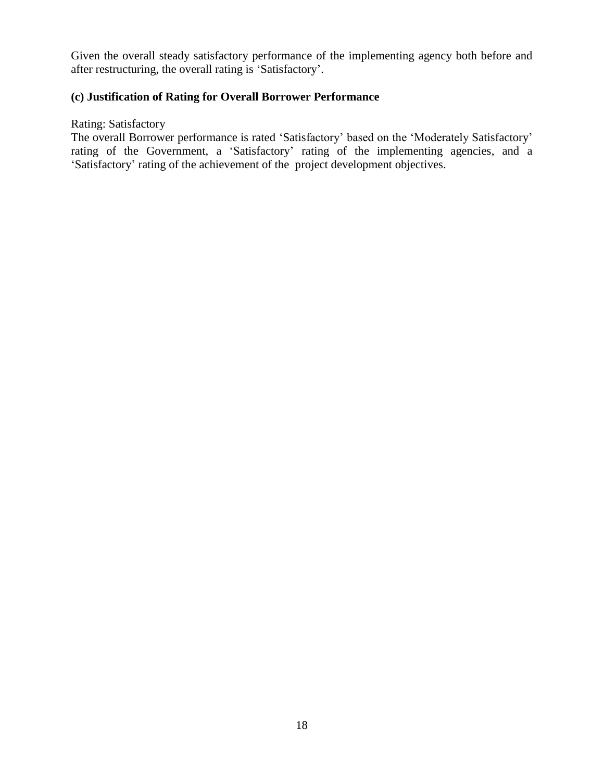Given the overall steady satisfactory performance of the implementing agency both before and after restructuring, the overall rating is 'Satisfactory'.

# **(c) Justification of Rating for Overall Borrower Performance**

#### Rating: Satisfactory

The overall Borrower performance is rated 'Satisfactory' based on the 'Moderately Satisfactory' rating of the Government, a 'Satisfactory' rating of the implementing agencies, and a 'Satisfactory' rating of the achievement of the project development objectives.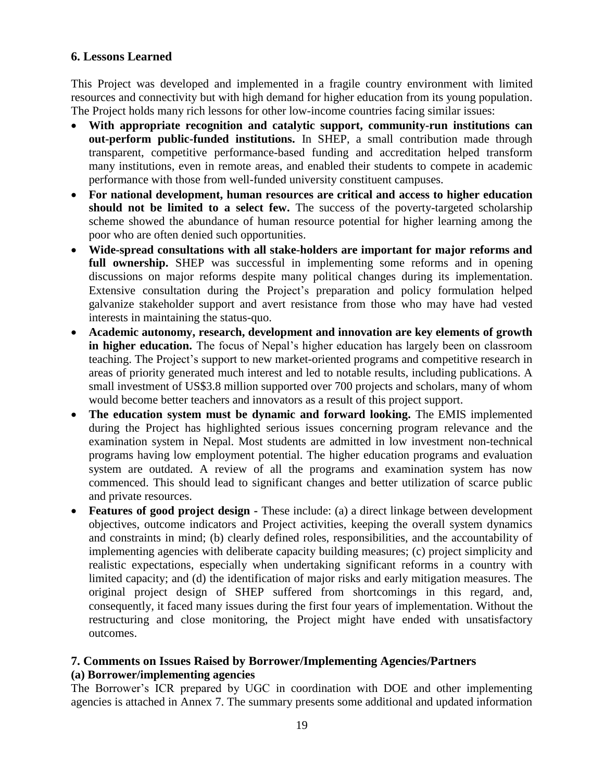# <span id="page-32-0"></span>**6. Lessons Learned**

This Project was developed and implemented in a fragile country environment with limited resources and connectivity but with high demand for higher education from its young population. The Project holds many rich lessons for other low-income countries facing similar issues:

- **With appropriate recognition and catalytic support, community-run institutions can out-perform public-funded institutions.** In SHEP, a small contribution made through transparent, competitive performance-based funding and accreditation helped transform many institutions, even in remote areas, and enabled their students to compete in academic performance with those from well-funded university constituent campuses.
- **For national development, human resources are critical and access to higher education should not be limited to a select few.** The success of the poverty-targeted scholarship scheme showed the abundance of human resource potential for higher learning among the poor who are often denied such opportunities.
- **Wide-spread consultations with all stake-holders are important for major reforms and full ownership.** SHEP was successful in implementing some reforms and in opening discussions on major reforms despite many political changes during its implementation. Extensive consultation during the Project's preparation and policy formulation helped galvanize stakeholder support and avert resistance from those who may have had vested interests in maintaining the status-quo.
- **Academic autonomy, research, development and innovation are key elements of growth in higher education.** The focus of Nepal's higher education has largely been on classroom teaching. The Project's support to new market-oriented programs and competitive research in areas of priority generated much interest and led to notable results, including publications. A small investment of US\$3.8 million supported over 700 projects and scholars, many of whom would become better teachers and innovators as a result of this project support.
- **The education system must be dynamic and forward looking.** The EMIS implemented during the Project has highlighted serious issues concerning program relevance and the examination system in Nepal. Most students are admitted in low investment non-technical programs having low employment potential. The higher education programs and evaluation system are outdated. A review of all the programs and examination system has now commenced. This should lead to significant changes and better utilization of scarce public and private resources.
- **Features of good project design -** These include: (a) a direct linkage between development objectives, outcome indicators and Project activities, keeping the overall system dynamics and constraints in mind; (b) clearly defined roles, responsibilities, and the accountability of implementing agencies with deliberate capacity building measures; (c) project simplicity and realistic expectations, especially when undertaking significant reforms in a country with limited capacity; and (d) the identification of major risks and early mitigation measures. The original project design of SHEP suffered from shortcomings in this regard, and, consequently, it faced many issues during the first four years of implementation. Without the restructuring and close monitoring, the Project might have ended with unsatisfactory outcomes.

# <span id="page-32-1"></span>**7. Comments on Issues Raised by Borrower/Implementing Agencies/Partners**

# **(a) Borrower/implementing agencies**

The Borrower's ICR prepared by UGC in coordination with DOE and other implementing agencies is attached in Annex 7. The summary presents some additional and updated information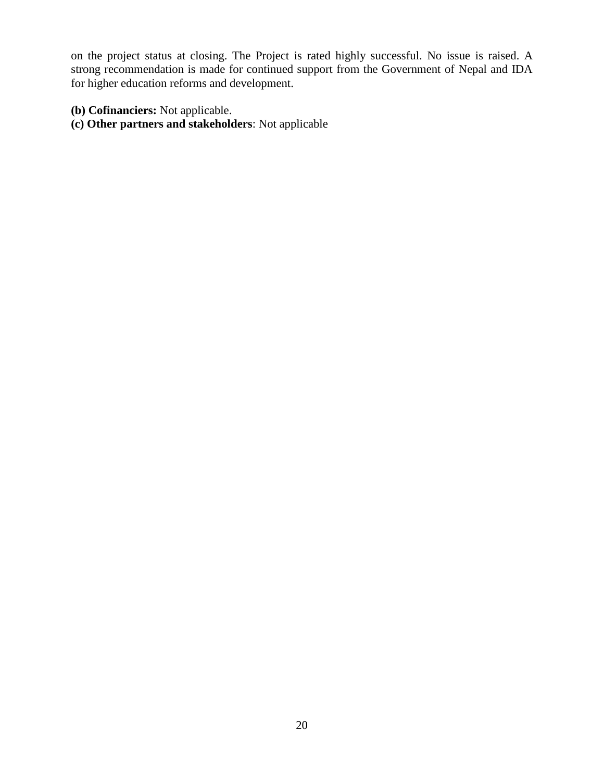on the project status at closing. The Project is rated highly successful. No issue is raised. A strong recommendation is made for continued support from the Government of Nepal and IDA for higher education reforms and development.

- **(b) Cofinanciers:** Not applicable.
- **(c) Other partners and stakeholders**: Not applicable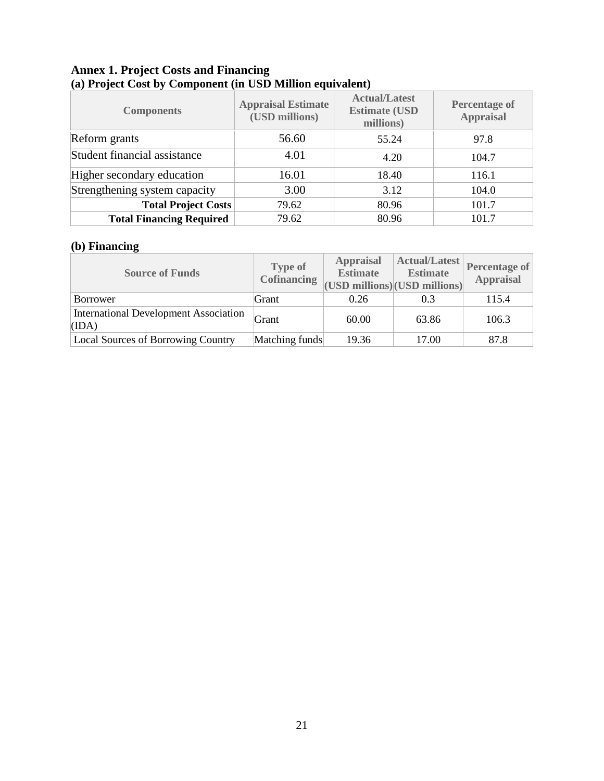| <b>Components</b>               | <b>Appraisal Estimate</b><br>(USD millions) | <b>Actual/Latest</b><br><b>Estimate (USD)</b><br>millions) | <b>Percentage of</b><br><b>Appraisal</b> |
|---------------------------------|---------------------------------------------|------------------------------------------------------------|------------------------------------------|
| Reform grants                   | 56.60                                       | 55.24                                                      | 97.8                                     |
| Student financial assistance    | 4.01                                        | 4.20                                                       | 104.7                                    |
| Higher secondary education      | 16.01                                       | 18.40                                                      | 116.1                                    |
| Strengthening system capacity   | 3.00                                        | 3.12                                                       | 104.0                                    |
| <b>Total Project Costs</b>      | 79.62                                       | 80.96                                                      | 101.7                                    |
| <b>Total Financing Required</b> | 79.62                                       | 80.96                                                      | 101.7                                    |

# <span id="page-34-0"></span>**Annex 1. Project Costs and Financing (a) Project Cost by Component (in USD Million equivalent)**

# **(b) Financing**

| <b>Source of Funds</b>                                | <b>Type of</b><br><b>Cofinancing</b> | <b>Appraisal</b><br><b>Estimate</b><br>$\vert$ (USD millions) $\vert$ (USD millions) | Actual/Latest<br><b>Estimate</b> | <b>Percentage of</b><br><b>Appraisal</b> |
|-------------------------------------------------------|--------------------------------------|--------------------------------------------------------------------------------------|----------------------------------|------------------------------------------|
| Borrower                                              | <b>Grant</b>                         | 0.26                                                                                 | 0.3                              | 115.4                                    |
| <b>International Development Association</b><br>(IDA) | Grant                                | 60.00                                                                                | 63.86                            | 106.3                                    |
| <b>Local Sources of Borrowing Country</b>             | Matching funds                       | 19.36                                                                                | 17.00                            | 87.8                                     |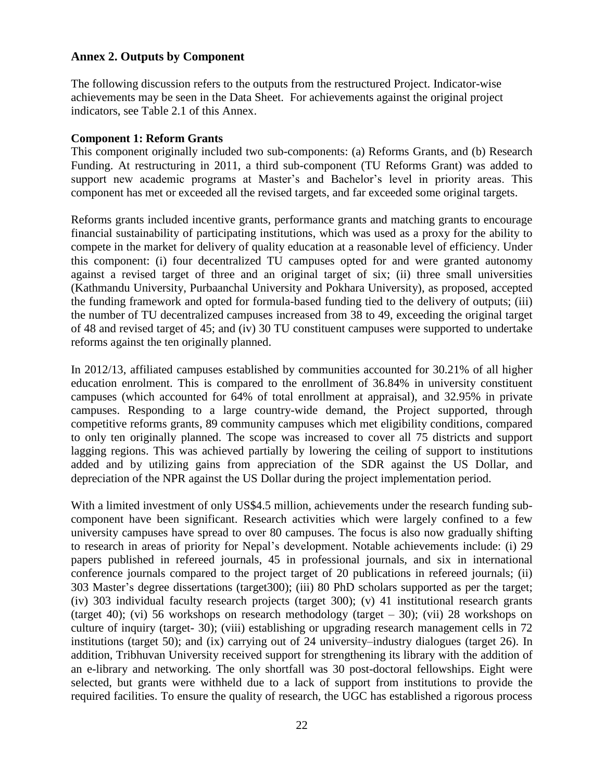# <span id="page-35-0"></span>**Annex 2. Outputs by Component**

The following discussion refers to the outputs from the restructured Project. Indicator-wise achievements may be seen in the Data Sheet. For achievements against the original project indicators, see Table 2.1 of this Annex.

#### **Component 1: Reform Grants**

This component originally included two sub-components: (a) Reforms Grants, and (b) Research Funding. At restructuring in 2011, a third sub-component (TU Reforms Grant) was added to support new academic programs at Master's and Bachelor's level in priority areas. This component has met or exceeded all the revised targets, and far exceeded some original targets.

Reforms grants included incentive grants, performance grants and matching grants to encourage financial sustainability of participating institutions, which was used as a proxy for the ability to compete in the market for delivery of quality education at a reasonable level of efficiency. Under this component: (i) four decentralized TU campuses opted for and were granted autonomy against a revised target of three and an original target of six; (ii) three small universities (Kathmandu University, Purbaanchal University and Pokhara University), as proposed, accepted the funding framework and opted for formula-based funding tied to the delivery of outputs; (iii) the number of TU decentralized campuses increased from 38 to 49, exceeding the original target of 48 and revised target of 45; and (iv) 30 TU constituent campuses were supported to undertake reforms against the ten originally planned.

In 2012/13, affiliated campuses established by communities accounted for 30.21% of all higher education enrolment. This is compared to the enrollment of 36.84% in university constituent campuses (which accounted for 64% of total enrollment at appraisal), and 32.95% in private campuses. Responding to a large country-wide demand, the Project supported, through competitive reforms grants, 89 community campuses which met eligibility conditions, compared to only ten originally planned. The scope was increased to cover all 75 districts and support lagging regions. This was achieved partially by lowering the ceiling of support to institutions added and by utilizing gains from appreciation of the SDR against the US Dollar, and depreciation of the NPR against the US Dollar during the project implementation period.

With a limited investment of only US\$4.5 million, achievements under the research funding subcomponent have been significant. Research activities which were largely confined to a few university campuses have spread to over 80 campuses. The focus is also now gradually shifting to research in areas of priority for Nepal's development. Notable achievements include: (i) 29 papers published in refereed journals, 45 in professional journals, and six in international conference journals compared to the project target of 20 publications in refereed journals; (ii) 303 Master's degree dissertations (target300); (iii) 80 PhD scholars supported as per the target; (iv) 303 individual faculty research projects (target 300); (v) 41 institutional research grants (target 40); (vi) 56 workshops on research methodology (target  $-$  30); (vii) 28 workshops on culture of inquiry (target- 30); (viii) establishing or upgrading research management cells in 72 institutions (target 50); and (ix) carrying out of 24 university–industry dialogues (target 26). In addition, Tribhuvan University received support for strengthening its library with the addition of an e-library and networking. The only shortfall was 30 post-doctoral fellowships. Eight were selected, but grants were withheld due to a lack of support from institutions to provide the required facilities. To ensure the quality of research, the UGC has established a rigorous process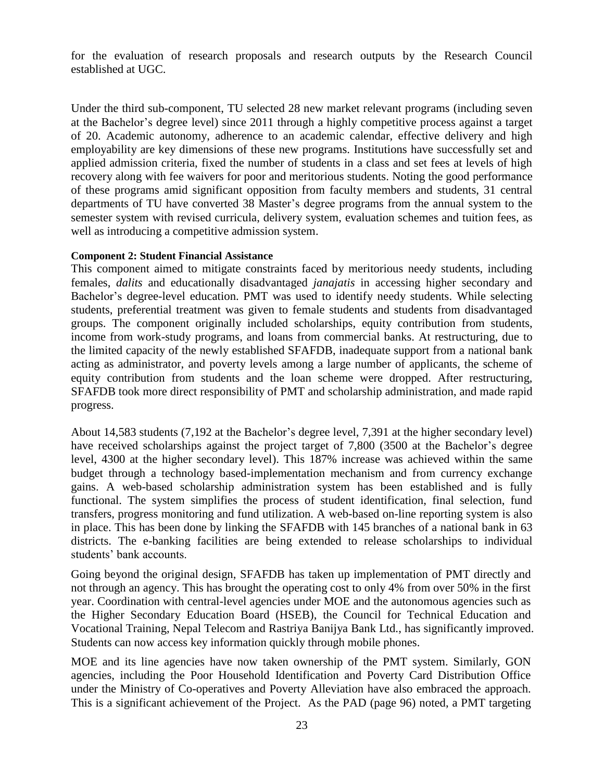for the evaluation of research proposals and research outputs by the Research Council established at UGC.

Under the third sub-component, TU selected 28 new market relevant programs (including seven at the Bachelor's degree level) since 2011 through a highly competitive process against a target of 20. Academic autonomy, adherence to an academic calendar, effective delivery and high employability are key dimensions of these new programs. Institutions have successfully set and applied admission criteria, fixed the number of students in a class and set fees at levels of high recovery along with fee waivers for poor and meritorious students. Noting the good performance of these programs amid significant opposition from faculty members and students, 31 central departments of TU have converted 38 Master's degree programs from the annual system to the semester system with revised curricula, delivery system, evaluation schemes and tuition fees, as well as introducing a competitive admission system.

#### **Component 2: Student Financial Assistance**

This component aimed to mitigate constraints faced by meritorious needy students, including females, *dalits* and educationally disadvantaged *janajatis* in accessing higher secondary and Bachelor's degree-level education. PMT was used to identify needy students. While selecting students, preferential treatment was given to female students and students from disadvantaged groups. The component originally included scholarships, equity contribution from students, income from work-study programs, and loans from commercial banks. At restructuring, due to the limited capacity of the newly established SFAFDB, inadequate support from a national bank acting as administrator, and poverty levels among a large number of applicants, the scheme of equity contribution from students and the loan scheme were dropped. After restructuring, SFAFDB took more direct responsibility of PMT and scholarship administration, and made rapid progress.

About 14,583 students (7,192 at the Bachelor's degree level, 7,391 at the higher secondary level) have received scholarships against the project target of 7,800 (3500 at the Bachelor's degree level, 4300 at the higher secondary level). This 187% increase was achieved within the same budget through a technology based-implementation mechanism and from currency exchange gains. A web-based scholarship administration system has been established and is fully functional. The system simplifies the process of student identification, final selection, fund transfers, progress monitoring and fund utilization. A web-based on-line reporting system is also in place. This has been done by linking the SFAFDB with 145 branches of a national bank in 63 districts. The e-banking facilities are being extended to release scholarships to individual students' bank accounts.

Going beyond the original design, SFAFDB has taken up implementation of PMT directly and not through an agency. This has brought the operating cost to only 4% from over 50% in the first year. Coordination with central-level agencies under MOE and the autonomous agencies such as the Higher Secondary Education Board (HSEB), the Council for Technical Education and Vocational Training, Nepal Telecom and Rastriya Banijya Bank Ltd., has significantly improved. Students can now access key information quickly through mobile phones.

MOE and its line agencies have now taken ownership of the PMT system. Similarly, GON agencies, including the Poor Household Identification and Poverty Card Distribution Office under the Ministry of Co-operatives and Poverty Alleviation have also embraced the approach. This is a significant achievement of the Project. As the PAD (page 96) noted, a PMT targeting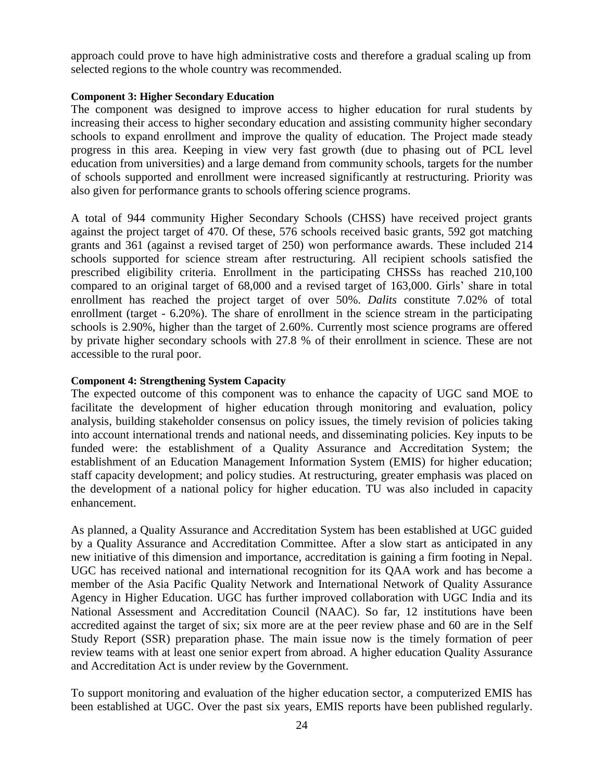approach could prove to have high administrative costs and therefore a gradual scaling up from selected regions to the whole country was recommended.

#### **Component 3: Higher Secondary Education**

The component was designed to improve access to higher education for rural students by increasing their access to higher secondary education and assisting community higher secondary schools to expand enrollment and improve the quality of education. The Project made steady progress in this area. Keeping in view very fast growth (due to phasing out of PCL level education from universities) and a large demand from community schools, targets for the number of schools supported and enrollment were increased significantly at restructuring. Priority was also given for performance grants to schools offering science programs.

A total of 944 community Higher Secondary Schools (CHSS) have received project grants against the project target of 470. Of these, 576 schools received basic grants, 592 got matching grants and 361 (against a revised target of 250) won performance awards. These included 214 schools supported for science stream after restructuring. All recipient schools satisfied the prescribed eligibility criteria. Enrollment in the participating CHSSs has reached 210,100 compared to an original target of 68,000 and a revised target of 163,000. Girls' share in total enrollment has reached the project target of over 50%. *Dalits* constitute 7.02% of total enrollment (target - 6.20%). The share of enrollment in the science stream in the participating schools is 2.90%, higher than the target of 2.60%. Currently most science programs are offered by private higher secondary schools with 27.8 % of their enrollment in science. These are not accessible to the rural poor.

#### **Component 4: Strengthening System Capacity**

The expected outcome of this component was to enhance the capacity of UGC sand MOE to facilitate the development of higher education through monitoring and evaluation, policy analysis, building stakeholder consensus on policy issues, the timely revision of policies taking into account international trends and national needs, and disseminating policies. Key inputs to be funded were: the establishment of a Quality Assurance and Accreditation System; the establishment of an Education Management Information System (EMIS) for higher education; staff capacity development; and policy studies. At restructuring, greater emphasis was placed on the development of a national policy for higher education. TU was also included in capacity enhancement.

As planned, a Quality Assurance and Accreditation System has been established at UGC guided by a Quality Assurance and Accreditation Committee. After a slow start as anticipated in any new initiative of this dimension and importance, accreditation is gaining a firm footing in Nepal. UGC has received national and international recognition for its QAA work and has become a member of the Asia Pacific Quality Network and International Network of Quality Assurance Agency in Higher Education. UGC has further improved collaboration with UGC India and its National Assessment and Accreditation Council (NAAC). So far, 12 institutions have been accredited against the target of six; six more are at the peer review phase and 60 are in the Self Study Report (SSR) preparation phase. The main issue now is the timely formation of peer review teams with at least one senior expert from abroad. A higher education Quality Assurance and Accreditation Act is under review by the Government.

To support monitoring and evaluation of the higher education sector, a computerized EMIS has been established at UGC. Over the past six years, EMIS reports have been published regularly.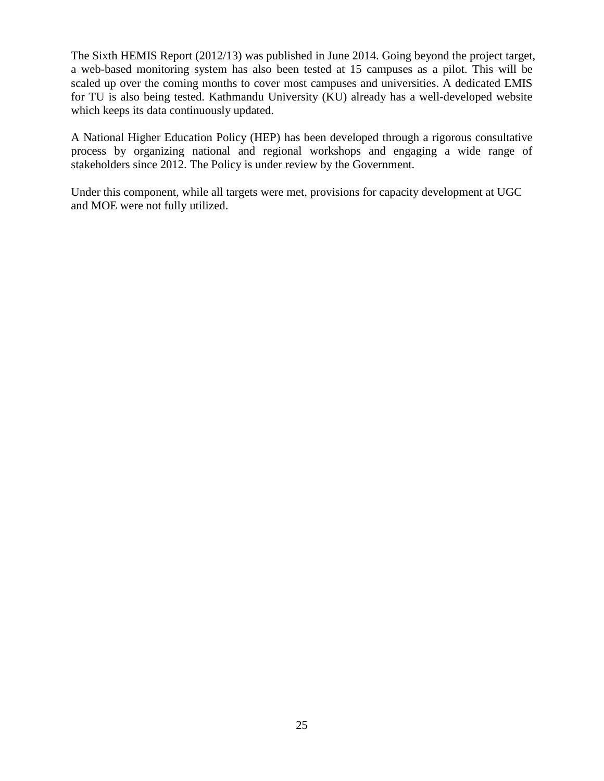The Sixth HEMIS Report (2012/13) was published in June 2014. Going beyond the project target, a web-based monitoring system has also been tested at 15 campuses as a pilot. This will be scaled up over the coming months to cover most campuses and universities. A dedicated EMIS for TU is also being tested. Kathmandu University (KU) already has a well-developed website which keeps its data continuously updated.

A National Higher Education Policy (HEP) has been developed through a rigorous consultative process by organizing national and regional workshops and engaging a wide range of stakeholders since 2012. The Policy is under review by the Government.

Under this component, while all targets were met, provisions for capacity development at UGC and MOE were not fully utilized.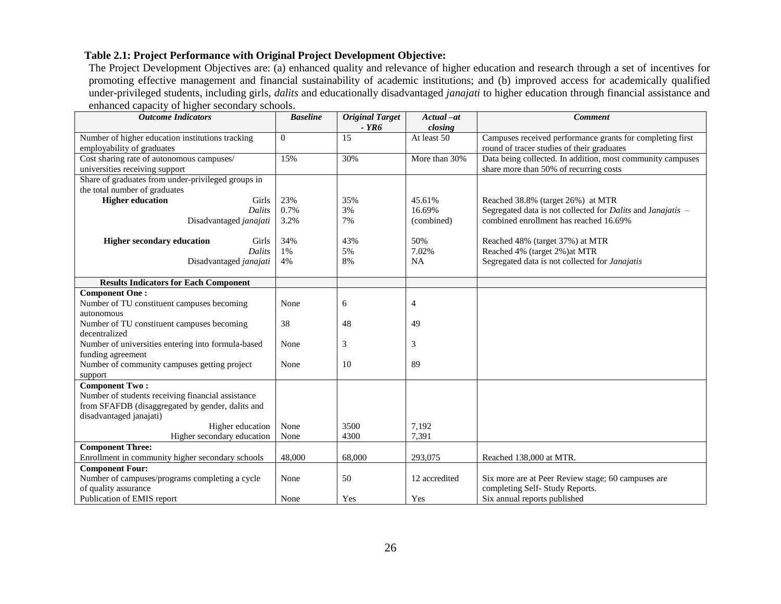#### **Table 2.1: Project Performance with Original Project Development Objective:**

The Project Development Objectives are: (a) enhanced quality and relevance of higher education and research through a set of incentives for promoting effective management and financial sustainability of academic institutions; and (b) improved access for academically qualified under-privileged students, including girls, *dalits* and educationally disadvantaged *janajati* to higher education through financial assistance and enhanced capacity of higher secondary schools.

| <b>Outcome Indicators</b>                          | <b>Baseline</b> | <b>Original Target</b> | Actual-at     | <b>Comment</b>                                              |
|----------------------------------------------------|-----------------|------------------------|---------------|-------------------------------------------------------------|
|                                                    |                 | - YR6                  | closing       |                                                             |
| Number of higher education institutions tracking   | $\mathbf{0}$    | 15                     | At least 50   | Campuses received performance grants for completing first   |
| employability of graduates                         |                 |                        |               | round of tracer studies of their graduates                  |
| Cost sharing rate of autonomous campuses/          | 15%             | 30%                    | More than 30% | Data being collected. In addition, most community campuses  |
| universities receiving support                     |                 |                        |               | share more than 50% of recurring costs                      |
| Share of graduates from under-privileged groups in |                 |                        |               |                                                             |
| the total number of graduates                      |                 |                        |               |                                                             |
| <b>Higher education</b><br>Girls                   | 23%             | 35%                    | 45.61%        | Reached 38.8% (target 26%) at MTR                           |
| Dalits                                             | 0.7%            | 3%                     | 16.69%        | Segregated data is not collected for Dalits and Janajatis - |
| Disadvantaged janajati                             | 3.2%            | 7%                     | (combined)    | combined enrollment has reached 16.69%                      |
|                                                    |                 |                        |               |                                                             |
| <b>Higher secondary education</b><br>Girls         | 34%             | 43%                    | 50%           | Reached 48% (target 37%) at MTR                             |
| Dalits                                             | 1%              | 5%                     | 7.02%         | Reached 4% (target 2%) at MTR                               |
| Disadvantaged janajati                             | 4%              | 8%                     | NA            | Segregated data is not collected for Janajatis              |
|                                                    |                 |                        |               |                                                             |
| <b>Results Indicators for Each Component</b>       |                 |                        |               |                                                             |
| <b>Component One:</b>                              |                 |                        |               |                                                             |
| Number of TU constituent campuses becoming         | None            | 6                      | 4             |                                                             |
| autonomous                                         |                 |                        |               |                                                             |
| Number of TU constituent campuses becoming         | 38              | 48                     | 49            |                                                             |
| decentralized                                      |                 |                        |               |                                                             |
| Number of universities entering into formula-based | None            | 3                      | 3             |                                                             |
| funding agreement                                  |                 |                        |               |                                                             |
| Number of community campuses getting project       | None            | 10                     | 89            |                                                             |
| support                                            |                 |                        |               |                                                             |
| <b>Component Two:</b>                              |                 |                        |               |                                                             |
| Number of students receiving financial assistance  |                 |                        |               |                                                             |
| from SFAFDB (disaggregated by gender, dalits and   |                 |                        |               |                                                             |
| disadvantaged janajati)                            |                 |                        |               |                                                             |
| Higher education                                   | None            | 3500                   | 7,192         |                                                             |
| Higher secondary education                         | None            | 4300                   | 7,391         |                                                             |
| <b>Component Three:</b>                            |                 |                        |               |                                                             |
| Enrollment in community higher secondary schools   | 48,000          | 68,000                 | 293,075       | Reached 138,000 at MTR.                                     |
| <b>Component Four:</b>                             |                 |                        |               |                                                             |
| Number of campuses/programs completing a cycle     | None            | 50                     | 12 accredited | Six more are at Peer Review stage; 60 campuses are          |
| of quality assurance                               |                 |                        |               | completing Self- Study Reports.                             |
| Publication of EMIS report                         | None            | Yes                    | Yes           | Six annual reports published                                |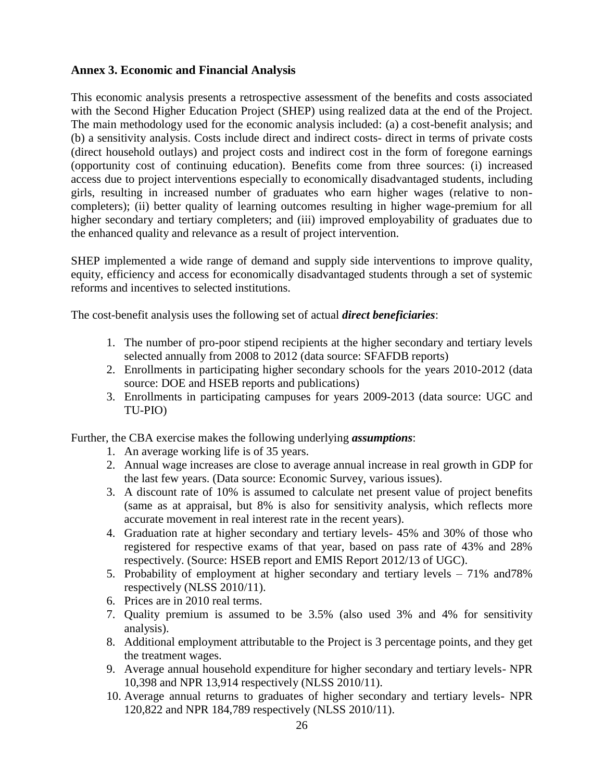# <span id="page-40-0"></span>**Annex 3. Economic and Financial Analysis**

This economic analysis presents a retrospective assessment of the benefits and costs associated with the Second Higher Education Project (SHEP) using realized data at the end of the Project. The main methodology used for the economic analysis included: (a) a cost-benefit analysis; and (b) a sensitivity analysis. Costs include direct and indirect costs- direct in terms of private costs (direct household outlays) and project costs and indirect cost in the form of foregone earnings (opportunity cost of continuing education). Benefits come from three sources: (i) increased access due to project interventions especially to economically disadvantaged students, including girls, resulting in increased number of graduates who earn higher wages (relative to noncompleters); (ii) better quality of learning outcomes resulting in higher wage-premium for all higher secondary and tertiary completers; and (iii) improved employability of graduates due to the enhanced quality and relevance as a result of project intervention.

SHEP implemented a wide range of demand and supply side interventions to improve quality, equity, efficiency and access for economically disadvantaged students through a set of systemic reforms and incentives to selected institutions.

The cost-benefit analysis uses the following set of actual *direct beneficiaries*:

- 1. The number of pro-poor stipend recipients at the higher secondary and tertiary levels selected annually from 2008 to 2012 (data source: SFAFDB reports)
- 2. Enrollments in participating higher secondary schools for the years 2010-2012 (data source: DOE and HSEB reports and publications)
- 3. Enrollments in participating campuses for years 2009-2013 (data source: UGC and TU-PIO)

Further, the CBA exercise makes the following underlying *assumptions*:

- 1. An average working life is of 35 years.
- 2. Annual wage increases are close to average annual increase in real growth in GDP for the last few years. (Data source: Economic Survey, various issues).
- 3. A discount rate of 10% is assumed to calculate net present value of project benefits (same as at appraisal, but 8% is also for sensitivity analysis, which reflects more accurate movement in real interest rate in the recent years).
- 4. Graduation rate at higher secondary and tertiary levels- 45% and 30% of those who registered for respective exams of that year, based on pass rate of 43% and 28% respectively. (Source: HSEB report and EMIS Report 2012/13 of UGC).
- 5. Probability of employment at higher secondary and tertiary levels 71% and78% respectively (NLSS 2010/11).
- 6. Prices are in 2010 real terms.
- 7. Quality premium is assumed to be 3.5% (also used 3% and 4% for sensitivity analysis).
- 8. Additional employment attributable to the Project is 3 percentage points, and they get the treatment wages.
- 9. Average annual household expenditure for higher secondary and tertiary levels- NPR 10,398 and NPR 13,914 respectively (NLSS 2010/11).
- 10. Average annual returns to graduates of higher secondary and tertiary levels- NPR 120,822 and NPR 184,789 respectively (NLSS 2010/11).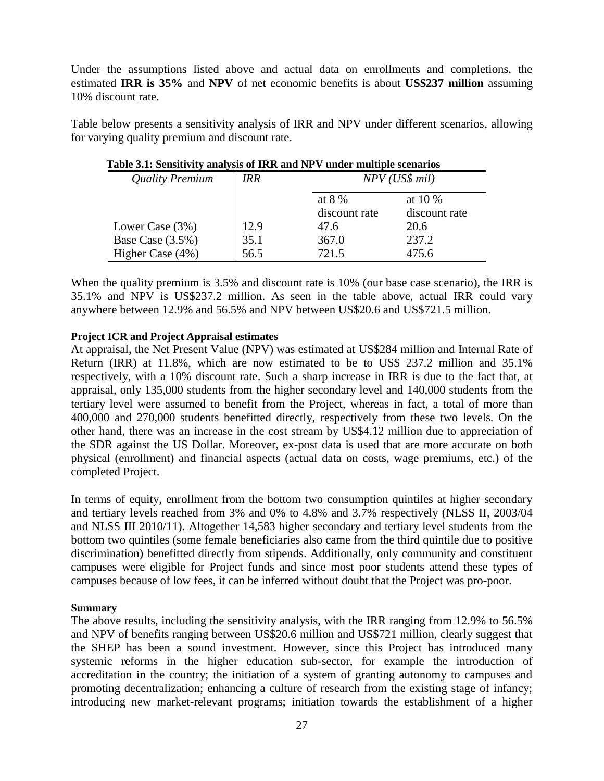Under the assumptions listed above and actual data on enrollments and completions, the estimated **IRR is 35%** and **NPV** of net economic benefits is about **US\$237 million** assuming 10% discount rate.

Table below presents a sensitivity analysis of IRR and NPV under different scenarios, allowing for varying quality premium and discount rate.

| <b>Quality Premium</b> | IRR  | NPV (US\$ mil) |               |  |
|------------------------|------|----------------|---------------|--|
|                        |      | at 8 %         | at 10 $%$     |  |
|                        |      | discount rate  | discount rate |  |
| Lower Case $(3%)$      | 12.9 | 47.6           | 20.6          |  |
| Base Case (3.5%)       | 35.1 | 367.0          | 237.2         |  |
| Higher Case (4%)       | 56.5 | 721.5          | 475.6         |  |

# **Table 3.1: Sensitivity analysis of IRR and NPV under multiple scenarios**

When the quality premium is 3.5% and discount rate is 10% (our base case scenario), the IRR is 35.1% and NPV is US\$237.2 million. As seen in the table above, actual IRR could vary anywhere between 12.9% and 56.5% and NPV between US\$20.6 and US\$721.5 million.

#### **Project ICR and Project Appraisal estimates**

At appraisal, the Net Present Value (NPV) was estimated at US\$284 million and Internal Rate of Return (IRR) at 11.8%, which are now estimated to be to US\$ 237.2 million and 35.1% respectively, with a 10% discount rate. Such a sharp increase in IRR is due to the fact that, at appraisal, only 135,000 students from the higher secondary level and 140,000 students from the tertiary level were assumed to benefit from the Project, whereas in fact, a total of more than 400,000 and 270,000 students benefitted directly, respectively from these two levels. On the other hand, there was an increase in the cost stream by US\$4.12 million due to appreciation of the SDR against the US Dollar. Moreover, ex-post data is used that are more accurate on both physical (enrollment) and financial aspects (actual data on costs, wage premiums, etc.) of the completed Project.

In terms of equity, enrollment from the bottom two consumption quintiles at higher secondary and tertiary levels reached from 3% and 0% to 4.8% and 3.7% respectively (NLSS II, 2003/04 and NLSS III 2010/11). Altogether 14,583 higher secondary and tertiary level students from the bottom two quintiles (some female beneficiaries also came from the third quintile due to positive discrimination) benefitted directly from stipends. Additionally, only community and constituent campuses were eligible for Project funds and since most poor students attend these types of campuses because of low fees, it can be inferred without doubt that the Project was pro-poor.

#### **Summary**

The above results, including the sensitivity analysis, with the IRR ranging from 12.9% to 56.5% and NPV of benefits ranging between US\$20.6 million and US\$721 million, clearly suggest that the SHEP has been a sound investment. However, since this Project has introduced many systemic reforms in the higher education sub-sector, for example the introduction of accreditation in the country; the initiation of a system of granting autonomy to campuses and promoting decentralization; enhancing a culture of research from the existing stage of infancy; introducing new market-relevant programs; initiation towards the establishment of a higher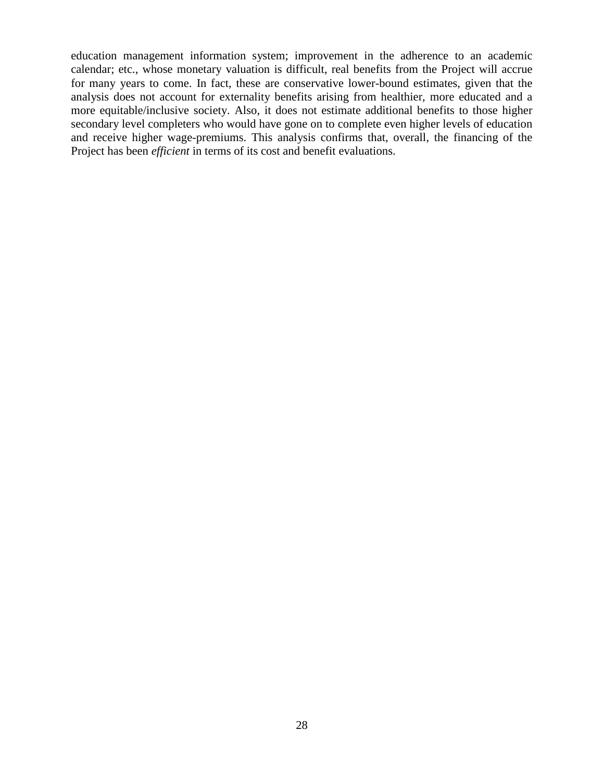education management information system; improvement in the adherence to an academic calendar; etc., whose monetary valuation is difficult, real benefits from the Project will accrue for many years to come. In fact, these are conservative lower-bound estimates, given that the analysis does not account for externality benefits arising from healthier, more educated and a more equitable/inclusive society. Also, it does not estimate additional benefits to those higher secondary level completers who would have gone on to complete even higher levels of education and receive higher wage-premiums. This analysis confirms that, overall, the financing of the Project has been *efficient* in terms of its cost and benefit evaluations.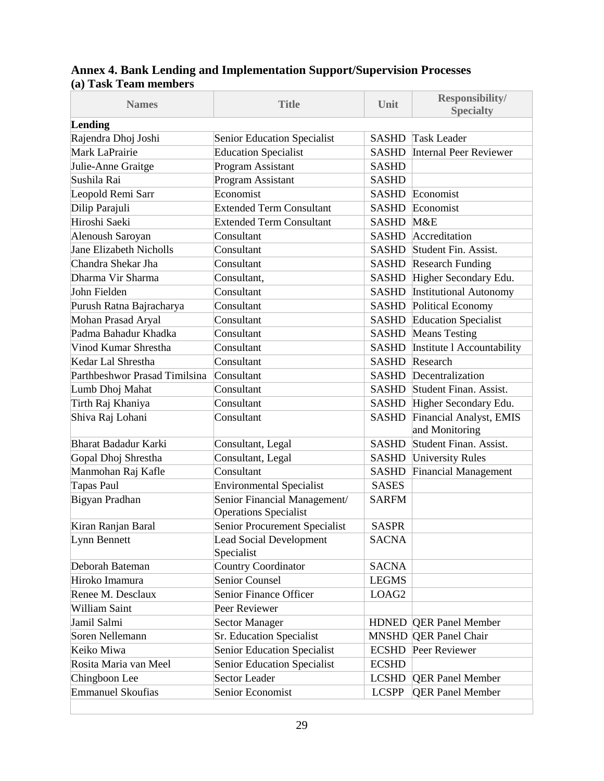| <b>Names</b>                   | <b>Title</b>                                                 | Unit                 | Responsibility/<br><b>Specialty</b>       |
|--------------------------------|--------------------------------------------------------------|----------------------|-------------------------------------------|
| Lending                        |                                                              |                      |                                           |
| Rajendra Dhoj Joshi            | Senior Education Specialist                                  | SASHD                | <b>Task Leader</b>                        |
| Mark LaPrairie                 | <b>Education Specialist</b>                                  | SASHD                | Internal Peer Reviewer                    |
| Julie-Anne Graitge             | Program Assistant                                            | <b>SASHD</b>         |                                           |
| Sushila Rai                    | Program Assistant                                            | <b>SASHD</b>         |                                           |
| Leopold Remi Sarr              | Economist                                                    |                      | <b>SASHD</b> Economist                    |
| Dilip Parajuli                 | <b>Extended Term Consultant</b>                              |                      | <b>SASHD</b> Economist                    |
| Hiroshi Saeki                  | <b>Extended Term Consultant</b>                              | <b>SASHD M&amp;E</b> |                                           |
| Alenoush Saroyan               | Consultant                                                   | <b>SASHD</b>         | Accreditation                             |
| <b>Jane Elizabeth Nicholls</b> | Consultant                                                   | SASHD                | Student Fin. Assist.                      |
| Chandra Shekar Jha             | Consultant                                                   |                      | <b>SASHD</b> Research Funding             |
| Dharma Vir Sharma              | Consultant,                                                  | SASHD                | Higher Secondary Edu.                     |
| John Fielden                   | Consultant                                                   |                      | <b>SASHD</b> Institutional Autonomy       |
| Purush Ratna Bajracharya       | Consultant                                                   |                      | <b>SASHD</b> Political Economy            |
| Mohan Prasad Aryal             | Consultant                                                   |                      | <b>SASHD</b> Education Specialist         |
| Padma Bahadur Khadka           | Consultant                                                   |                      | <b>SASHD</b> Means Testing                |
| Vinod Kumar Shrestha           | Consultant                                                   |                      | SASHD Institute 1 Accountability          |
| Kedar Lal Shrestha             | Consultant                                                   | SASHD                | Research                                  |
| Parthbeshwor Prasad Timilsina  | Consultant                                                   |                      | <b>SASHD</b> Decentralization             |
| Lumb Dhoj Mahat                | Consultant                                                   | SASHD                | Student Finan. Assist.                    |
| Tirth Raj Khaniya              | Consultant                                                   | SASHD                | Higher Secondary Edu.                     |
| Shiva Raj Lohani               | Consultant                                                   | <b>SASHD</b>         | Financial Analyst, EMIS<br>and Monitoring |
| Bharat Badadur Karki           | Consultant, Legal                                            | SASHD                | Student Finan. Assist.                    |
| Gopal Dhoj Shrestha            | Consultant, Legal                                            | SASHD                | <b>University Rules</b>                   |
| Manmohan Raj Kafle             | Consultant                                                   | SASHD                | Financial Management                      |
| Tapas Paul                     | <b>Environmental Specialist</b>                              | <b>SASES</b>         |                                           |
| Bigyan Pradhan                 | Senior Financial Management/<br><b>Operations Specialist</b> | <b>SARFM</b>         |                                           |
| Kiran Ranjan Baral             | Senior Procurement Specialist                                | <b>SASPR</b>         |                                           |
| Lynn Bennett                   | <b>Lead Social Development</b><br>Specialist                 | <b>SACNA</b>         |                                           |
| Deborah Bateman                | <b>Country Coordinator</b>                                   | <b>SACNA</b>         |                                           |
| Hiroko Imamura                 | Senior Counsel                                               | <b>LEGMS</b>         |                                           |
| Renee M. Desclaux              | Senior Finance Officer                                       | LOAG <sub>2</sub>    |                                           |
| William Saint                  | Peer Reviewer                                                |                      |                                           |
| Jamil Salmi                    | <b>Sector Manager</b>                                        | <b>HDNED</b>         | <b>QER Panel Member</b>                   |
| Soren Nellemann                | Sr. Education Specialist                                     |                      | <b>MNSHD OER Panel Chair</b>              |
| Keiko Miwa                     | Senior Education Specialist                                  | <b>ECSHD</b>         | Peer Reviewer                             |
| Rosita Maria van Meel          | Senior Education Specialist                                  | <b>ECSHD</b>         |                                           |
| Chingboon Lee                  | <b>Sector Leader</b>                                         | <b>LCSHD</b>         | <b>QER Panel Member</b>                   |
| <b>Emmanuel Skoufias</b>       | Senior Economist                                             | <b>LCSPP</b>         | <b>QER Panel Member</b>                   |

# <span id="page-43-0"></span>**Annex 4. Bank Lending and Implementation Support/Supervision Processes (a) Task Team members**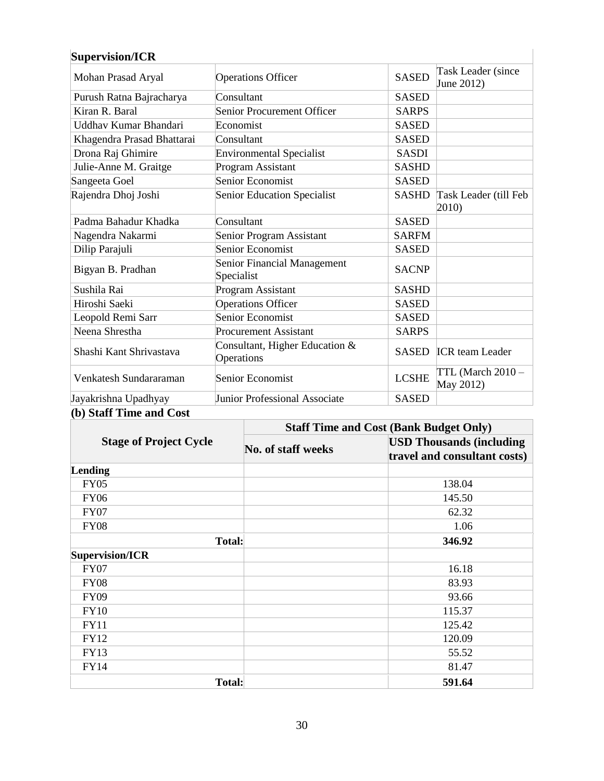# **Supervision/ICR**

| Mohan Prasad Aryal         | <b>Operations Officer</b>                    | <b>SASED</b> | <b>Task Leader (since</b><br>June 2012) |
|----------------------------|----------------------------------------------|--------------|-----------------------------------------|
| Purush Ratna Bajracharya   | Consultant                                   | <b>SASED</b> |                                         |
| Kiran R. Baral             | Senior Procurement Officer                   | <b>SARPS</b> |                                         |
| Uddhav Kumar Bhandari      | Economist                                    | <b>SASED</b> |                                         |
| Khagendra Prasad Bhattarai | Consultant                                   | <b>SASED</b> |                                         |
| Drona Raj Ghimire          | <b>Environmental Specialist</b>              | <b>SASDI</b> |                                         |
| Julie-Anne M. Graitge      | Program Assistant                            | <b>SASHD</b> |                                         |
| Sangeeta Goel              | Senior Economist                             | <b>SASED</b> |                                         |
| Rajendra Dhoj Joshi        | Senior Education Specialist                  | <b>SASHD</b> | Task Leader (till Feb<br>2010)          |
| Padma Bahadur Khadka       | Consultant                                   | <b>SASED</b> |                                         |
| Nagendra Nakarmi           | Senior Program Assistant                     | <b>SARFM</b> |                                         |
| Dilip Parajuli             | Senior Economist                             | <b>SASED</b> |                                         |
| Bigyan B. Pradhan          | Senior Financial Management<br>Specialist    | <b>SACNP</b> |                                         |
| Sushila Rai                | Program Assistant                            | <b>SASHD</b> |                                         |
| Hiroshi Saeki              | <b>Operations Officer</b>                    | <b>SASED</b> |                                         |
| Leopold Remi Sarr          | Senior Economist                             | <b>SASED</b> |                                         |
| Neena Shrestha             | <b>Procurement Assistant</b>                 | <b>SARPS</b> |                                         |
| Shashi Kant Shrivastava    | Consultant, Higher Education &<br>Operations |              | <b>SASED</b> ICR team Leader            |
| Venkatesh Sundararaman     | Senior Economist                             | <b>LCSHE</b> | <b>TTL (March 2010 -</b><br>May 2012)   |
| Jayakrishna Upadhyay       | Junior Professional Associate                | <b>SASED</b> |                                         |
| (b) Staff Time and Cost    |                                              |              |                                         |

# **Stage of Project Cycle Staff Time and Cost (Bank Budget Only) No. of staff weeks USD Thousands (including travel and consultant costs) Lending** FY05 138.04 FY06 145.50 FY07 62.32 **FY08** 1.06 **Total: 346.92 Supervision/ICR** FY07 16.18 **FY08** 83.93 FY09 93.66 **FY10** 115.37 **FY11** 125.42 FY12 120.09 FY13 55.52 **FY14** 81.47 **Total: 591.64**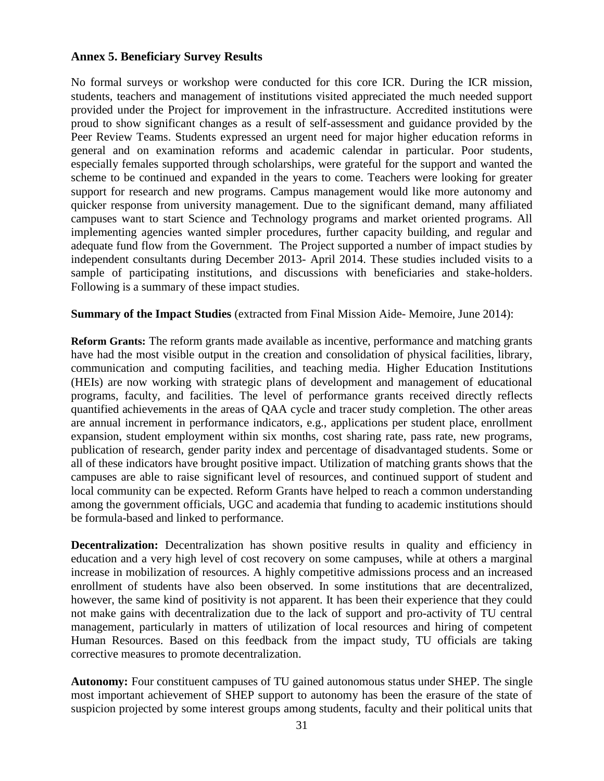# <span id="page-45-0"></span>**Annex 5. Beneficiary Survey Results**

No formal surveys or workshop were conducted for this core ICR. During the ICR mission, students, teachers and management of institutions visited appreciated the much needed support provided under the Project for improvement in the infrastructure. Accredited institutions were proud to show significant changes as a result of self-assessment and guidance provided by the Peer Review Teams. Students expressed an urgent need for major higher education reforms in general and on examination reforms and academic calendar in particular. Poor students, especially females supported through scholarships, were grateful for the support and wanted the scheme to be continued and expanded in the years to come. Teachers were looking for greater support for research and new programs. Campus management would like more autonomy and quicker response from university management. Due to the significant demand, many affiliated campuses want to start Science and Technology programs and market oriented programs. All implementing agencies wanted simpler procedures, further capacity building, and regular and adequate fund flow from the Government. The Project supported a number of impact studies by independent consultants during December 2013- April 2014. These studies included visits to a sample of participating institutions, and discussions with beneficiaries and stake-holders. Following is a summary of these impact studies.

#### **Summary of the Impact Studies** (extracted from Final Mission Aide- Memoire, June 2014):

**Reform Grants:** The reform grants made available as incentive, performance and matching grants have had the most visible output in the creation and consolidation of physical facilities, library, communication and computing facilities, and teaching media. Higher Education Institutions (HEIs) are now working with strategic plans of development and management of educational programs, faculty, and facilities. The level of performance grants received directly reflects quantified achievements in the areas of QAA cycle and tracer study completion. The other areas are annual increment in performance indicators, e.g., applications per student place, enrollment expansion, student employment within six months, cost sharing rate, pass rate, new programs, publication of research, gender parity index and percentage of disadvantaged students. Some or all of these indicators have brought positive impact. Utilization of matching grants shows that the campuses are able to raise significant level of resources, and continued support of student and local community can be expected. Reform Grants have helped to reach a common understanding among the government officials, UGC and academia that funding to academic institutions should be formula-based and linked to performance.

**Decentralization:** Decentralization has shown positive results in quality and efficiency in education and a very high level of cost recovery on some campuses, while at others a marginal increase in mobilization of resources. A highly competitive admissions process and an increased enrollment of students have also been observed. In some institutions that are decentralized, however, the same kind of positivity is not apparent. It has been their experience that they could not make gains with decentralization due to the lack of support and pro-activity of TU central management, particularly in matters of utilization of local resources and hiring of competent Human Resources. Based on this feedback from the impact study, TU officials are taking corrective measures to promote decentralization.

**Autonomy:** Four constituent campuses of TU gained autonomous status under SHEP. The single most important achievement of SHEP support to autonomy has been the erasure of the state of suspicion projected by some interest groups among students, faculty and their political units that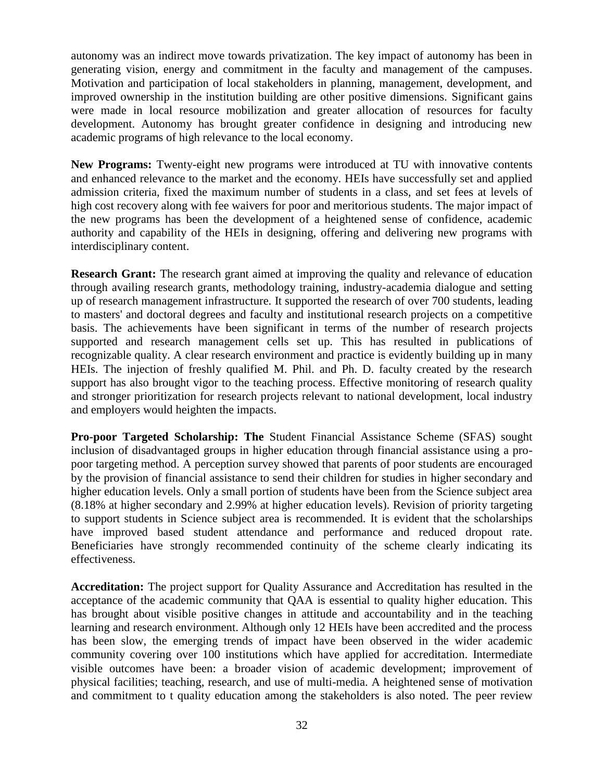autonomy was an indirect move towards privatization. The key impact of autonomy has been in generating vision, energy and commitment in the faculty and management of the campuses. Motivation and participation of local stakeholders in planning, management, development, and improved ownership in the institution building are other positive dimensions. Significant gains were made in local resource mobilization and greater allocation of resources for faculty development. Autonomy has brought greater confidence in designing and introducing new academic programs of high relevance to the local economy.

**New Programs:** Twenty-eight new programs were introduced at TU with innovative contents and enhanced relevance to the market and the economy. HEIs have successfully set and applied admission criteria, fixed the maximum number of students in a class, and set fees at levels of high cost recovery along with fee waivers for poor and meritorious students. The major impact of the new programs has been the development of a heightened sense of confidence, academic authority and capability of the HEIs in designing, offering and delivering new programs with interdisciplinary content.

**Research Grant:** The research grant aimed at improving the quality and relevance of education through availing research grants, methodology training, industry-academia dialogue and setting up of research management infrastructure. It supported the research of over 700 students, leading to masters' and doctoral degrees and faculty and institutional research projects on a competitive basis. The achievements have been significant in terms of the number of research projects supported and research management cells set up. This has resulted in publications of recognizable quality. A clear research environment and practice is evidently building up in many HEIs. The injection of freshly qualified M. Phil. and Ph. D. faculty created by the research support has also brought vigor to the teaching process. Effective monitoring of research quality and stronger prioritization for research projects relevant to national development, local industry and employers would heighten the impacts.

**Pro-poor Targeted Scholarship: The** Student Financial Assistance Scheme (SFAS) sought inclusion of disadvantaged groups in higher education through financial assistance using a propoor targeting method. A perception survey showed that parents of poor students are encouraged by the provision of financial assistance to send their children for studies in higher secondary and higher education levels. Only a small portion of students have been from the Science subject area (8.18% at higher secondary and 2.99% at higher education levels). Revision of priority targeting to support students in Science subject area is recommended. It is evident that the scholarships have improved based student attendance and performance and reduced dropout rate. Beneficiaries have strongly recommended continuity of the scheme clearly indicating its effectiveness.

**Accreditation:** The project support for Quality Assurance and Accreditation has resulted in the acceptance of the academic community that QAA is essential to quality higher education. This has brought about visible positive changes in attitude and accountability and in the teaching learning and research environment. Although only 12 HEIs have been accredited and the process has been slow, the emerging trends of impact have been observed in the wider academic community covering over 100 institutions which have applied for accreditation. Intermediate visible outcomes have been: a broader vision of academic development; improvement of physical facilities; teaching, research, and use of multi-media. A heightened sense of motivation and commitment to t quality education among the stakeholders is also noted. The peer review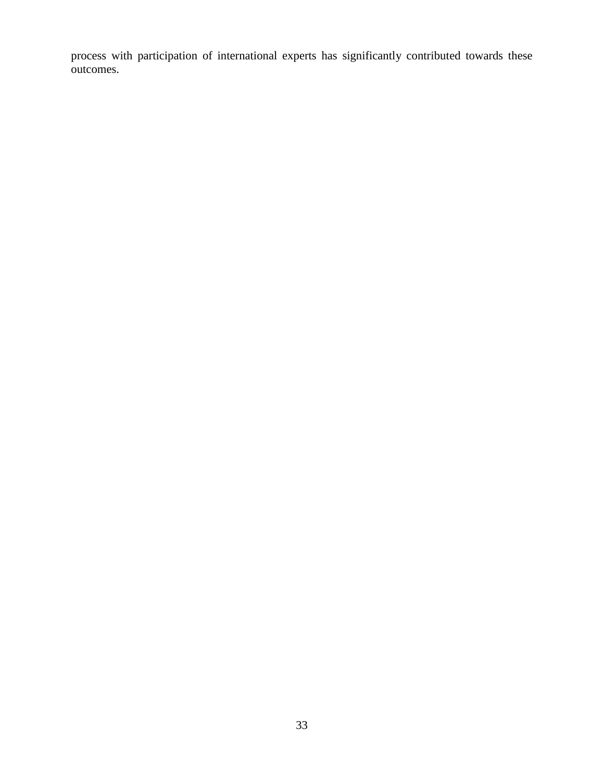process with participation of international experts has significantly contributed towards these outcomes.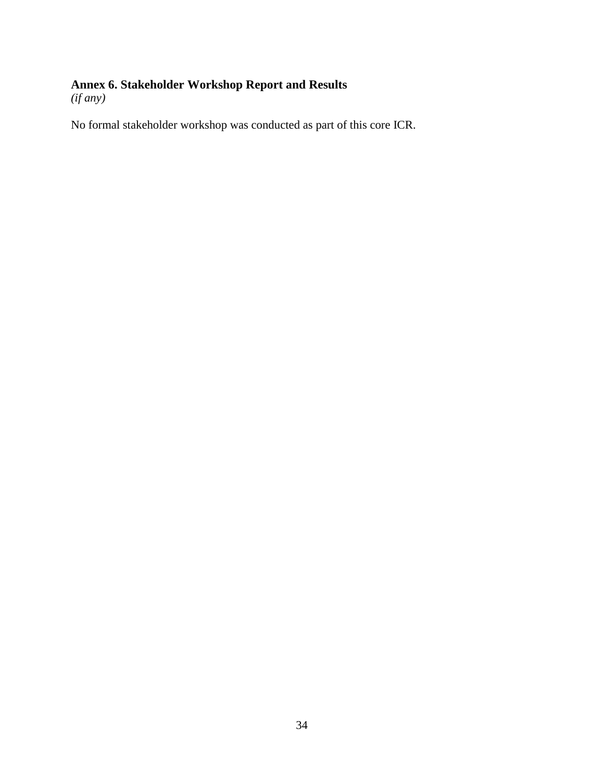# <span id="page-48-0"></span>**Annex 6. Stakeholder Workshop Report and Results**

*(if any)*

No formal stakeholder workshop was conducted as part of this core ICR.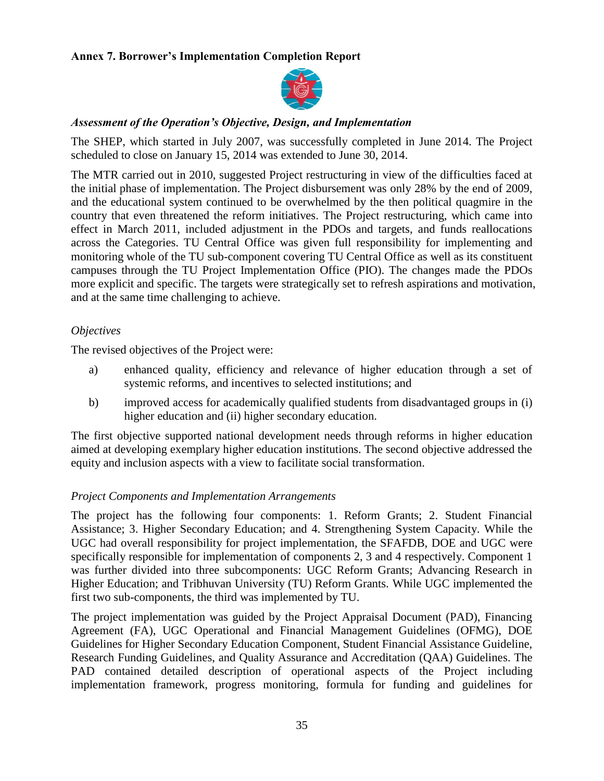# <span id="page-49-0"></span>**Annex 7. Borrower's Implementation Completion Report**



# *Assessment of the Operation's Objective, Design, and Implementation*

The SHEP, which started in July 2007, was successfully completed in June 2014. The Project scheduled to close on January 15, 2014 was extended to June 30, 2014.

The MTR carried out in 2010, suggested Project restructuring in view of the difficulties faced at the initial phase of implementation. The Project disbursement was only 28% by the end of 2009, and the educational system continued to be overwhelmed by the then political quagmire in the country that even threatened the reform initiatives. The Project restructuring, which came into effect in March 2011, included adjustment in the PDOs and targets, and funds reallocations across the Categories. TU Central Office was given full responsibility for implementing and monitoring whole of the TU sub-component covering TU Central Office as well as its constituent campuses through the TU Project Implementation Office (PIO). The changes made the PDOs more explicit and specific. The targets were strategically set to refresh aspirations and motivation, and at the same time challenging to achieve.

# *Objectives*

The revised objectives of the Project were:

- a) enhanced quality, efficiency and relevance of higher education through a set of systemic reforms, and incentives to selected institutions; and
- b) improved access for academically qualified students from disadvantaged groups in (i) higher education and (ii) higher secondary education.

The first objective supported national development needs through reforms in higher education aimed at developing exemplary higher education institutions. The second objective addressed the equity and inclusion aspects with a view to facilitate social transformation.

#### *Project Components and Implementation Arrangements*

The project has the following four components: 1. Reform Grants; 2. Student Financial Assistance; 3. Higher Secondary Education; and 4. Strengthening System Capacity. While the UGC had overall responsibility for project implementation, the SFAFDB, DOE and UGC were specifically responsible for implementation of components 2, 3 and 4 respectively. Component 1 was further divided into three subcomponents: UGC Reform Grants; Advancing Research in Higher Education; and Tribhuvan University (TU) Reform Grants. While UGC implemented the first two sub-components, the third was implemented by TU.

The project implementation was guided by the Project Appraisal Document (PAD), Financing Agreement (FA), UGC Operational and Financial Management Guidelines (OFMG), DOE Guidelines for Higher Secondary Education Component, Student Financial Assistance Guideline, Research Funding Guidelines, and Quality Assurance and Accreditation (QAA) Guidelines. The PAD contained detailed description of operational aspects of the Project including implementation framework, progress monitoring, formula for funding and guidelines for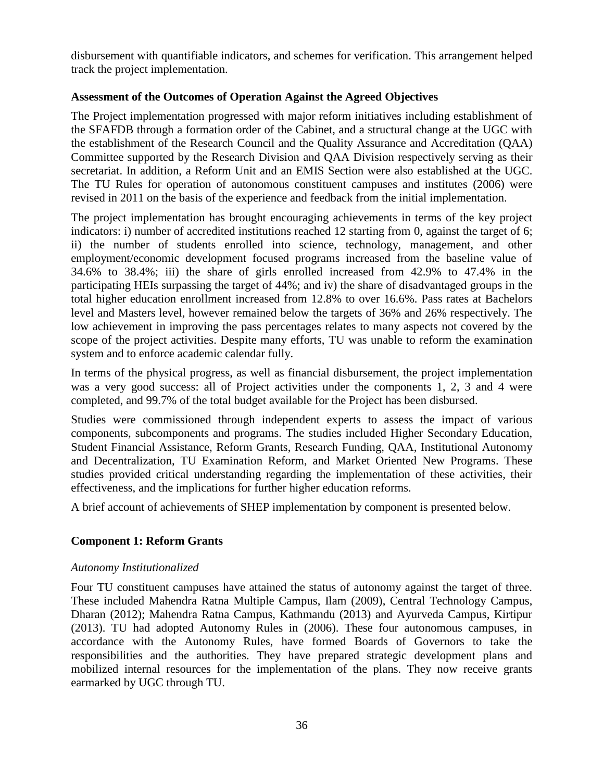disbursement with quantifiable indicators, and schemes for verification. This arrangement helped track the project implementation.

# **Assessment of the Outcomes of Operation Against the Agreed Objectives**

The Project implementation progressed with major reform initiatives including establishment of the SFAFDB through a formation order of the Cabinet, and a structural change at the UGC with the establishment of the Research Council and the Quality Assurance and Accreditation (QAA) Committee supported by the Research Division and QAA Division respectively serving as their secretariat. In addition, a Reform Unit and an EMIS Section were also established at the UGC. The TU Rules for operation of autonomous constituent campuses and institutes (2006) were revised in 2011 on the basis of the experience and feedback from the initial implementation.

The project implementation has brought encouraging achievements in terms of the key project indicators: i) number of accredited institutions reached 12 starting from 0, against the target of 6; ii) the number of students enrolled into science, technology, management, and other employment/economic development focused programs increased from the baseline value of 34.6% to 38.4%; iii) the share of girls enrolled increased from 42.9% to 47.4% in the participating HEIs surpassing the target of 44%; and iv) the share of disadvantaged groups in the total higher education enrollment increased from 12.8% to over 16.6%. Pass rates at Bachelors level and Masters level, however remained below the targets of 36% and 26% respectively. The low achievement in improving the pass percentages relates to many aspects not covered by the scope of the project activities. Despite many efforts, TU was unable to reform the examination system and to enforce academic calendar fully.

In terms of the physical progress, as well as financial disbursement, the project implementation was a very good success: all of Project activities under the components 1, 2, 3 and 4 were completed, and 99.7% of the total budget available for the Project has been disbursed.

Studies were commissioned through independent experts to assess the impact of various components, subcomponents and programs. The studies included Higher Secondary Education, Student Financial Assistance, Reform Grants, Research Funding, QAA, Institutional Autonomy and Decentralization, TU Examination Reform, and Market Oriented New Programs. These studies provided critical understanding regarding the implementation of these activities, their effectiveness, and the implications for further higher education reforms.

A brief account of achievements of SHEP implementation by component is presented below.

# **Component 1: Reform Grants**

#### *Autonomy Institutionalized*

Four TU constituent campuses have attained the status of autonomy against the target of three. These included Mahendra Ratna Multiple Campus, Ilam (2009), Central Technology Campus, Dharan (2012); Mahendra Ratna Campus, Kathmandu (2013) and Ayurveda Campus, Kirtipur (2013). TU had adopted Autonomy Rules in (2006). These four autonomous campuses, in accordance with the Autonomy Rules, have formed Boards of Governors to take the responsibilities and the authorities. They have prepared strategic development plans and mobilized internal resources for the implementation of the plans. They now receive grants earmarked by UGC through TU.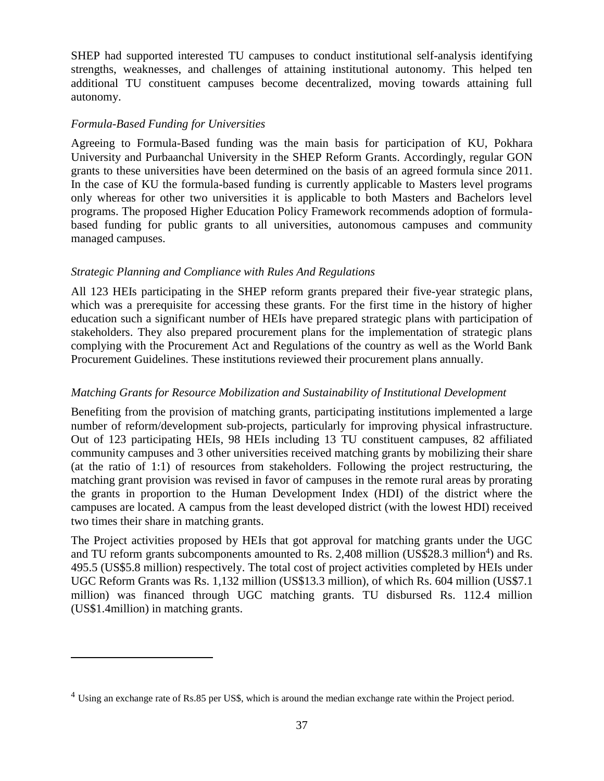SHEP had supported interested TU campuses to conduct institutional self-analysis identifying strengths, weaknesses, and challenges of attaining institutional autonomy. This helped ten additional TU constituent campuses become decentralized, moving towards attaining full autonomy.

### *Formula-Based Funding for Universities*

 $\overline{a}$ 

Agreeing to Formula-Based funding was the main basis for participation of KU, Pokhara University and Purbaanchal University in the SHEP Reform Grants. Accordingly, regular GON grants to these universities have been determined on the basis of an agreed formula since 2011. In the case of KU the formula-based funding is currently applicable to Masters level programs only whereas for other two universities it is applicable to both Masters and Bachelors level programs. The proposed Higher Education Policy Framework recommends adoption of formulabased funding for public grants to all universities, autonomous campuses and community managed campuses.

# *Strategic Planning and Compliance with Rules And Regulations*

All 123 HEIs participating in the SHEP reform grants prepared their five-year strategic plans, which was a prerequisite for accessing these grants. For the first time in the history of higher education such a significant number of HEIs have prepared strategic plans with participation of stakeholders. They also prepared procurement plans for the implementation of strategic plans complying with the Procurement Act and Regulations of the country as well as the World Bank Procurement Guidelines. These institutions reviewed their procurement plans annually.

### *Matching Grants for Resource Mobilization and Sustainability of Institutional Development*

Benefiting from the provision of matching grants, participating institutions implemented a large number of reform/development sub-projects, particularly for improving physical infrastructure. Out of 123 participating HEIs, 98 HEIs including 13 TU constituent campuses, 82 affiliated community campuses and 3 other universities received matching grants by mobilizing their share (at the ratio of 1:1) of resources from stakeholders. Following the project restructuring, the matching grant provision was revised in favor of campuses in the remote rural areas by prorating the grants in proportion to the Human Development Index (HDI) of the district where the campuses are located. A campus from the least developed district (with the lowest HDI) received two times their share in matching grants.

The Project activities proposed by HEIs that got approval for matching grants under the UGC and TU reform grants subcomponents amounted to Rs. 2,408 million (US\$28.3 million<sup>4</sup>) and Rs. 495.5 (US\$5.8 million) respectively. The total cost of project activities completed by HEIs under UGC Reform Grants was Rs. 1,132 million (US\$13.3 million), of which Rs. 604 million (US\$7.1 million) was financed through UGC matching grants. TU disbursed Rs. 112.4 million (US\$1.4million) in matching grants.

<sup>&</sup>lt;sup>4</sup> Using an exchange rate of Rs.85 per US\$, which is around the median exchange rate within the Project period.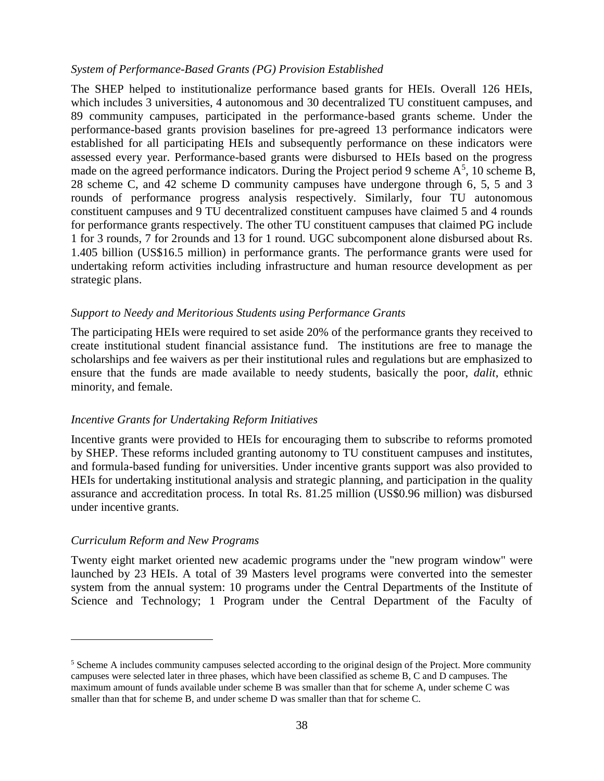#### *System of Performance-Based Grants (PG) Provision Established*

The SHEP helped to institutionalize performance based grants for HEIs. Overall 126 HEIs, which includes 3 universities, 4 autonomous and 30 decentralized TU constituent campuses, and 89 community campuses, participated in the performance-based grants scheme. Under the performance-based grants provision baselines for pre-agreed 13 performance indicators were established for all participating HEIs and subsequently performance on these indicators were assessed every year. Performance-based grants were disbursed to HEIs based on the progress made on the agreed performance indicators. During the Project period 9 scheme  $A^5$ , 10 scheme B, 28 scheme C, and 42 scheme D community campuses have undergone through 6, 5, 5 and 3 rounds of performance progress analysis respectively. Similarly, four TU autonomous constituent campuses and 9 TU decentralized constituent campuses have claimed 5 and 4 rounds for performance grants respectively. The other TU constituent campuses that claimed PG include 1 for 3 rounds, 7 for 2rounds and 13 for 1 round. UGC subcomponent alone disbursed about Rs. 1.405 billion (US\$16.5 million) in performance grants. The performance grants were used for undertaking reform activities including infrastructure and human resource development as per strategic plans.

#### *Support to Needy and Meritorious Students using Performance Grants*

The participating HEIs were required to set aside 20% of the performance grants they received to create institutional student financial assistance fund. The institutions are free to manage the scholarships and fee waivers as per their institutional rules and regulations but are emphasized to ensure that the funds are made available to needy students, basically the poor, *dalit*, ethnic minority, and female.

#### *Incentive Grants for Undertaking Reform Initiatives*

Incentive grants were provided to HEIs for encouraging them to subscribe to reforms promoted by SHEP. These reforms included granting autonomy to TU constituent campuses and institutes, and formula-based funding for universities. Under incentive grants support was also provided to HEIs for undertaking institutional analysis and strategic planning, and participation in the quality assurance and accreditation process. In total Rs. 81.25 million (US\$0.96 million) was disbursed under incentive grants.

#### *Curriculum Reform and New Programs*

 $\overline{a}$ 

Twenty eight market oriented new academic programs under the "new program window" were launched by 23 HEIs. A total of 39 Masters level programs were converted into the semester system from the annual system: 10 programs under the Central Departments of the Institute of Science and Technology; 1 Program under the Central Department of the Faculty of

<sup>&</sup>lt;sup>5</sup> Scheme A includes community campuses selected according to the original design of the Project. More community campuses were selected later in three phases, which have been classified as scheme B, C and D campuses. The maximum amount of funds available under scheme B was smaller than that for scheme A, under scheme C was smaller than that for scheme B, and under scheme D was smaller than that for scheme C.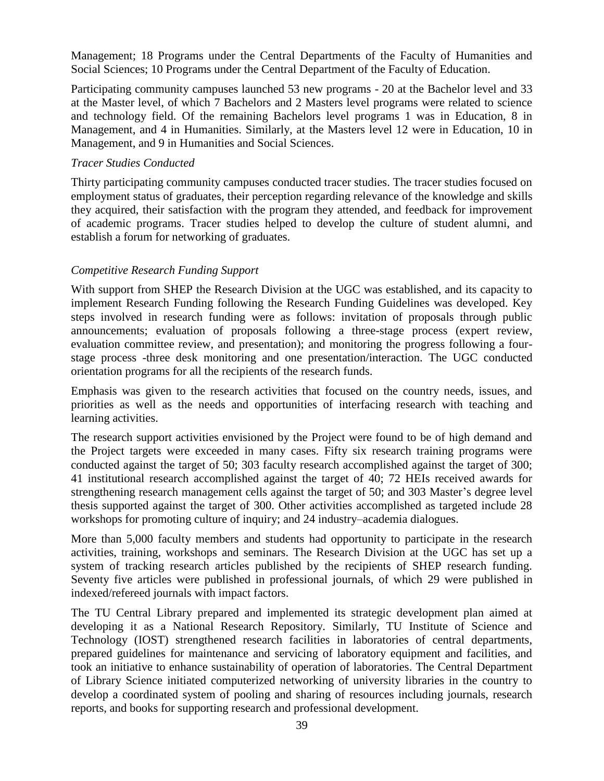Management; 18 Programs under the Central Departments of the Faculty of Humanities and Social Sciences; 10 Programs under the Central Department of the Faculty of Education.

Participating community campuses launched 53 new programs - 20 at the Bachelor level and 33 at the Master level, of which 7 Bachelors and 2 Masters level programs were related to science and technology field. Of the remaining Bachelors level programs 1 was in Education, 8 in Management, and 4 in Humanities. Similarly, at the Masters level 12 were in Education, 10 in Management, and 9 in Humanities and Social Sciences.

### *Tracer Studies Conducted*

Thirty participating community campuses conducted tracer studies. The tracer studies focused on employment status of graduates, their perception regarding relevance of the knowledge and skills they acquired, their satisfaction with the program they attended, and feedback for improvement of academic programs. Tracer studies helped to develop the culture of student alumni, and establish a forum for networking of graduates.

# *Competitive Research Funding Support*

With support from SHEP the Research Division at the UGC was established, and its capacity to implement Research Funding following the Research Funding Guidelines was developed. Key steps involved in research funding were as follows: invitation of proposals through public announcements; evaluation of proposals following a three-stage process (expert review, evaluation committee review, and presentation); and monitoring the progress following a fourstage process -three desk monitoring and one presentation/interaction. The UGC conducted orientation programs for all the recipients of the research funds.

Emphasis was given to the research activities that focused on the country needs, issues, and priorities as well as the needs and opportunities of interfacing research with teaching and learning activities.

The research support activities envisioned by the Project were found to be of high demand and the Project targets were exceeded in many cases. Fifty six research training programs were conducted against the target of 50; 303 faculty research accomplished against the target of 300; 41 institutional research accomplished against the target of 40; 72 HEIs received awards for strengthening research management cells against the target of 50; and 303 Master's degree level thesis supported against the target of 300. Other activities accomplished as targeted include 28 workshops for promoting culture of inquiry; and 24 industry–academia dialogues.

More than 5,000 faculty members and students had opportunity to participate in the research activities, training, workshops and seminars. The Research Division at the UGC has set up a system of tracking research articles published by the recipients of SHEP research funding. Seventy five articles were published in professional journals, of which 29 were published in indexed/refereed journals with impact factors.

The TU Central Library prepared and implemented its strategic development plan aimed at developing it as a National Research Repository. Similarly, TU Institute of Science and Technology (IOST) strengthened research facilities in laboratories of central departments, prepared guidelines for maintenance and servicing of laboratory equipment and facilities, and took an initiative to enhance sustainability of operation of laboratories. The Central Department of Library Science initiated computerized networking of university libraries in the country to develop a coordinated system of pooling and sharing of resources including journals, research reports, and books for supporting research and professional development.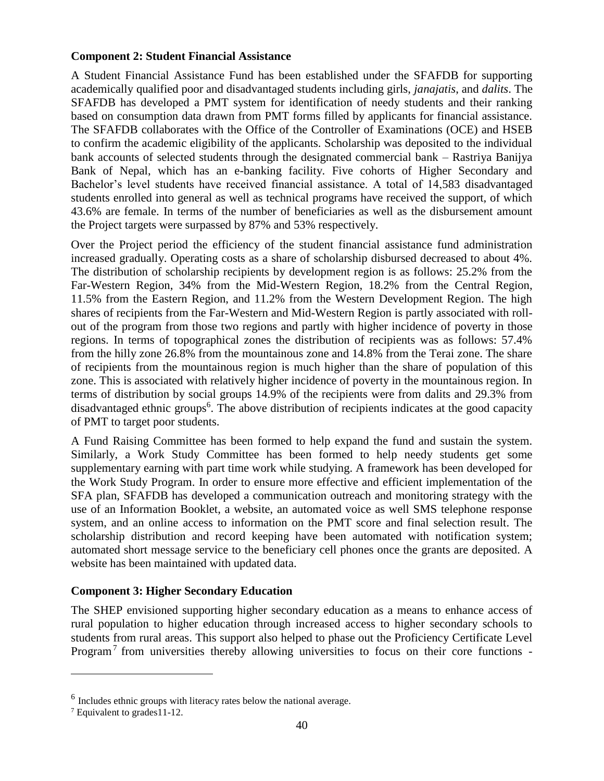### **Component 2: Student Financial Assistance**

A Student Financial Assistance Fund has been established under the SFAFDB for supporting academically qualified poor and disadvantaged students including girls, *janajatis*, and *dalits*. The SFAFDB has developed a PMT system for identification of needy students and their ranking based on consumption data drawn from PMT forms filled by applicants for financial assistance. The SFAFDB collaborates with the Office of the Controller of Examinations (OCE) and HSEB to confirm the academic eligibility of the applicants. Scholarship was deposited to the individual bank accounts of selected students through the designated commercial bank – Rastriya Banijya Bank of Nepal, which has an e-banking facility. Five cohorts of Higher Secondary and Bachelor's level students have received financial assistance. A total of 14,583 disadvantaged students enrolled into general as well as technical programs have received the support, of which 43.6% are female. In terms of the number of beneficiaries as well as the disbursement amount the Project targets were surpassed by 87% and 53% respectively.

Over the Project period the efficiency of the student financial assistance fund administration increased gradually. Operating costs as a share of scholarship disbursed decreased to about 4%. The distribution of scholarship recipients by development region is as follows: 25.2% from the Far-Western Region, 34% from the Mid-Western Region, 18.2% from the Central Region, 11.5% from the Eastern Region, and 11.2% from the Western Development Region. The high shares of recipients from the Far-Western and Mid-Western Region is partly associated with rollout of the program from those two regions and partly with higher incidence of poverty in those regions. In terms of topographical zones the distribution of recipients was as follows: 57.4% from the hilly zone 26.8% from the mountainous zone and 14.8% from the Terai zone. The share of recipients from the mountainous region is much higher than the share of population of this zone. This is associated with relatively higher incidence of poverty in the mountainous region. In terms of distribution by social groups 14.9% of the recipients were from dalits and 29.3% from disadvantaged ethnic groups<sup>6</sup>. The above distribution of recipients indicates at the good capacity of PMT to target poor students.

A Fund Raising Committee has been formed to help expand the fund and sustain the system. Similarly, a Work Study Committee has been formed to help needy students get some supplementary earning with part time work while studying. A framework has been developed for the Work Study Program. In order to ensure more effective and efficient implementation of the SFA plan, SFAFDB has developed a communication outreach and monitoring strategy with the use of an Information Booklet, a website, an automated voice as well SMS telephone response system, and an online access to information on the PMT score and final selection result. The scholarship distribution and record keeping have been automated with notification system; automated short message service to the beneficiary cell phones once the grants are deposited. A website has been maintained with updated data.

# **Component 3: Higher Secondary Education**

The SHEP envisioned supporting higher secondary education as a means to enhance access of rural population to higher education through increased access to higher secondary schools to students from rural areas. This support also helped to phase out the Proficiency Certificate Level Program<sup>7</sup> from universities thereby allowing universities to focus on their core functions -

 $\overline{a}$ 

<sup>&</sup>lt;sup>6</sup> Includes ethnic groups with literacy rates below the national average.

<sup>7</sup> Equivalent to grades11-12.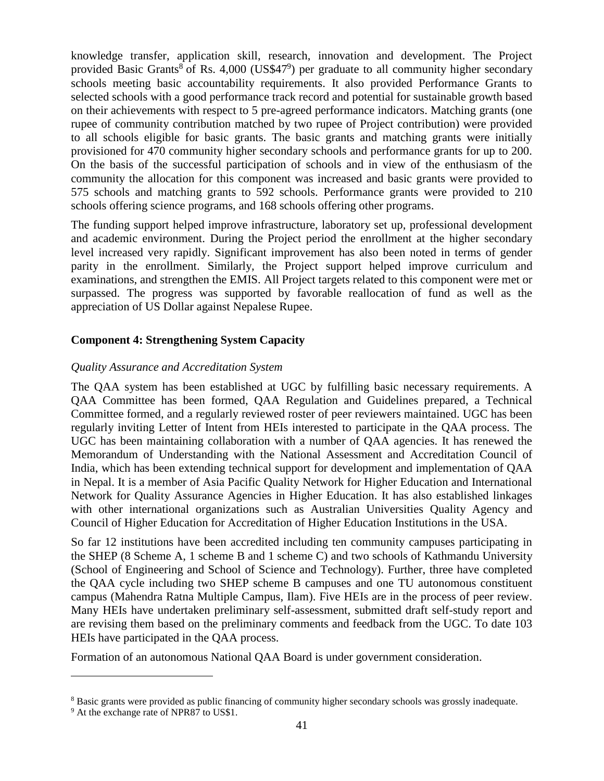knowledge transfer, application skill, research, innovation and development. The Project provided Basic Grants<sup>8</sup> of Rs. 4,000 (US\$47<sup>9</sup>) per graduate to all community higher secondary schools meeting basic accountability requirements. It also provided Performance Grants to selected schools with a good performance track record and potential for sustainable growth based on their achievements with respect to 5 pre-agreed performance indicators. Matching grants (one rupee of community contribution matched by two rupee of Project contribution) were provided to all schools eligible for basic grants. The basic grants and matching grants were initially provisioned for 470 community higher secondary schools and performance grants for up to 200. On the basis of the successful participation of schools and in view of the enthusiasm of the community the allocation for this component was increased and basic grants were provided to 575 schools and matching grants to 592 schools. Performance grants were provided to 210 schools offering science programs, and 168 schools offering other programs.

The funding support helped improve infrastructure, laboratory set up, professional development and academic environment. During the Project period the enrollment at the higher secondary level increased very rapidly. Significant improvement has also been noted in terms of gender parity in the enrollment. Similarly, the Project support helped improve curriculum and examinations, and strengthen the EMIS. All Project targets related to this component were met or surpassed. The progress was supported by favorable reallocation of fund as well as the appreciation of US Dollar against Nepalese Rupee.

# **Component 4: Strengthening System Capacity**

#### *Quality Assurance and Accreditation System*

The QAA system has been established at UGC by fulfilling basic necessary requirements. A QAA Committee has been formed, QAA Regulation and Guidelines prepared, a Technical Committee formed, and a regularly reviewed roster of peer reviewers maintained. UGC has been regularly inviting Letter of Intent from HEIs interested to participate in the QAA process. The UGC has been maintaining collaboration with a number of QAA agencies. It has renewed the Memorandum of Understanding with the National Assessment and Accreditation Council of India, which has been extending technical support for development and implementation of QAA in Nepal. It is a member of Asia Pacific Quality Network for Higher Education and International Network for Quality Assurance Agencies in Higher Education. It has also established linkages with other international organizations such as Australian Universities Quality Agency and Council of Higher Education for Accreditation of Higher Education Institutions in the USA.

So far 12 institutions have been accredited including ten community campuses participating in the SHEP (8 Scheme A, 1 scheme B and 1 scheme C) and two schools of Kathmandu University (School of Engineering and School of Science and Technology). Further, three have completed the QAA cycle including two SHEP scheme B campuses and one TU autonomous constituent campus (Mahendra Ratna Multiple Campus, Ilam). Five HEIs are in the process of peer review. Many HEIs have undertaken preliminary self-assessment, submitted draft self-study report and are revising them based on the preliminary comments and feedback from the UGC. To date 103 HEIs have participated in the QAA process.

Formation of an autonomous National QAA Board is under government consideration.

 $\overline{a}$ 

<sup>8</sup> Basic grants were provided as public financing of community higher secondary schools was grossly inadequate.

<sup>&</sup>lt;sup>9</sup> At the exchange rate of NPR87 to US\$1.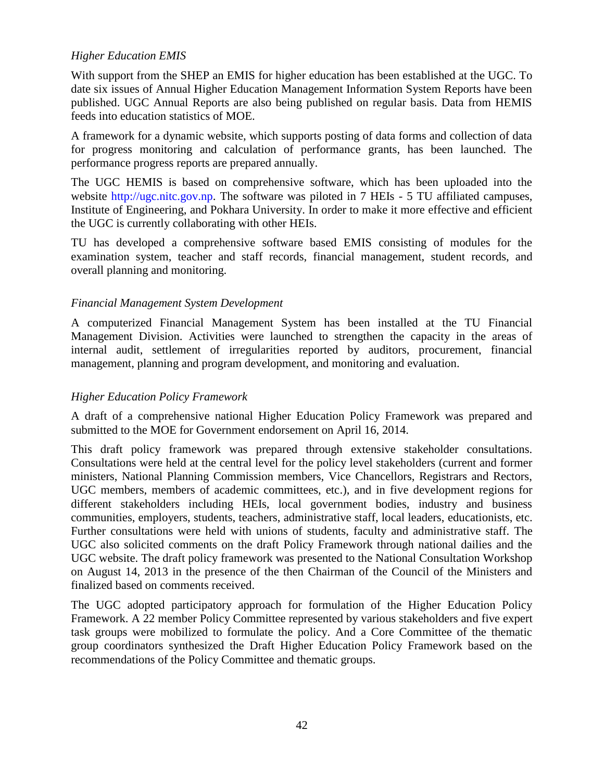# *Higher Education EMIS*

With support from the SHEP an EMIS for higher education has been established at the UGC. To date six issues of Annual Higher Education Management Information System Reports have been published. UGC Annual Reports are also being published on regular basis. Data from HEMIS feeds into education statistics of MOE.

A framework for a dynamic website, which supports posting of data forms and collection of data for progress monitoring and calculation of performance grants, has been launched. The performance progress reports are prepared annually.

The UGC HEMIS is based on comprehensive software, which has been uploaded into the website [http://ugc.nitc.gov.np.](http://ugc.nitc.gov.np/) The software was piloted in 7 HEIs - 5 TU affiliated campuses, Institute of Engineering, and Pokhara University. In order to make it more effective and efficient the UGC is currently collaborating with other HEIs.

TU has developed a comprehensive software based EMIS consisting of modules for the examination system, teacher and staff records, financial management, student records, and overall planning and monitoring.

#### *Financial Management System Development*

A computerized Financial Management System has been installed at the TU Financial Management Division. Activities were launched to strengthen the capacity in the areas of internal audit, settlement of irregularities reported by auditors, procurement, financial management, planning and program development, and monitoring and evaluation.

#### *Higher Education Policy Framework*

A draft of a comprehensive national Higher Education Policy Framework was prepared and submitted to the MOE for Government endorsement on April 16, 2014.

This draft policy framework was prepared through extensive stakeholder consultations. Consultations were held at the central level for the policy level stakeholders (current and former ministers, National Planning Commission members, Vice Chancellors, Registrars and Rectors, UGC members, members of academic committees, etc.), and in five development regions for different stakeholders including HEIs, local government bodies, industry and business communities, employers, students, teachers, administrative staff, local leaders, educationists, etc. Further consultations were held with unions of students, faculty and administrative staff. The UGC also solicited comments on the draft Policy Framework through national dailies and the UGC website. The draft policy framework was presented to the National Consultation Workshop on August 14, 2013 in the presence of the then Chairman of the Council of the Ministers and finalized based on comments received.

The UGC adopted participatory approach for formulation of the Higher Education Policy Framework. A 22 member Policy Committee represented by various stakeholders and five expert task groups were mobilized to formulate the policy. And a Core Committee of the thematic group coordinators synthesized the Draft Higher Education Policy Framework based on the recommendations of the Policy Committee and thematic groups.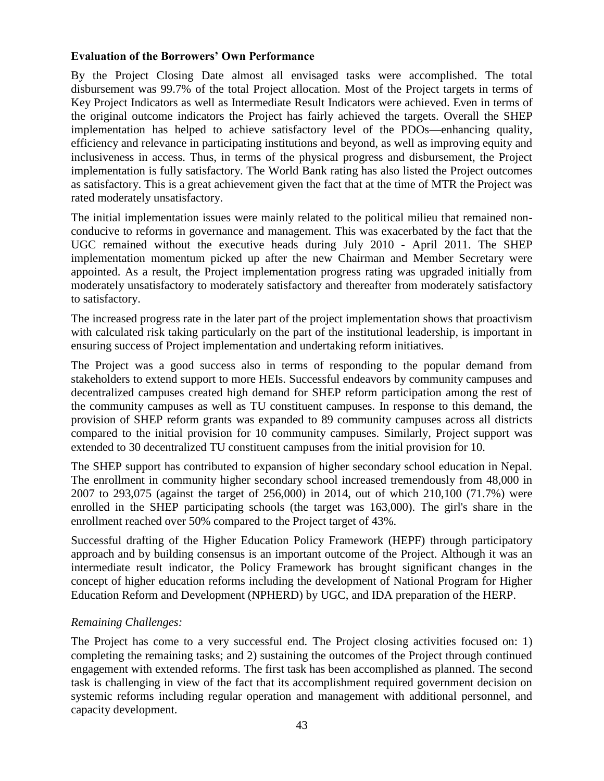### **Evaluation of the Borrowers' Own Performance**

By the Project Closing Date almost all envisaged tasks were accomplished. The total disbursement was 99.7% of the total Project allocation. Most of the Project targets in terms of Key Project Indicators as well as Intermediate Result Indicators were achieved. Even in terms of the original outcome indicators the Project has fairly achieved the targets. Overall the SHEP implementation has helped to achieve satisfactory level of the PDOs—enhancing quality, efficiency and relevance in participating institutions and beyond, as well as improving equity and inclusiveness in access. Thus, in terms of the physical progress and disbursement, the Project implementation is fully satisfactory. The World Bank rating has also listed the Project outcomes as satisfactory. This is a great achievement given the fact that at the time of MTR the Project was rated moderately unsatisfactory.

The initial implementation issues were mainly related to the political milieu that remained nonconducive to reforms in governance and management. This was exacerbated by the fact that the UGC remained without the executive heads during July 2010 - April 2011. The SHEP implementation momentum picked up after the new Chairman and Member Secretary were appointed. As a result, the Project implementation progress rating was upgraded initially from moderately unsatisfactory to moderately satisfactory and thereafter from moderately satisfactory to satisfactory.

The increased progress rate in the later part of the project implementation shows that proactivism with calculated risk taking particularly on the part of the institutional leadership, is important in ensuring success of Project implementation and undertaking reform initiatives.

The Project was a good success also in terms of responding to the popular demand from stakeholders to extend support to more HEIs. Successful endeavors by community campuses and decentralized campuses created high demand for SHEP reform participation among the rest of the community campuses as well as TU constituent campuses. In response to this demand, the provision of SHEP reform grants was expanded to 89 community campuses across all districts compared to the initial provision for 10 community campuses. Similarly, Project support was extended to 30 decentralized TU constituent campuses from the initial provision for 10.

The SHEP support has contributed to expansion of higher secondary school education in Nepal. The enrollment in community higher secondary school increased tremendously from 48,000 in 2007 to 293,075 (against the target of 256,000) in 2014, out of which 210,100 (71.7%) were enrolled in the SHEP participating schools (the target was 163,000). The girl's share in the enrollment reached over 50% compared to the Project target of 43%.

Successful drafting of the Higher Education Policy Framework (HEPF) through participatory approach and by building consensus is an important outcome of the Project. Although it was an intermediate result indicator, the Policy Framework has brought significant changes in the concept of higher education reforms including the development of National Program for Higher Education Reform and Development (NPHERD) by UGC, and IDA preparation of the HERP.

#### *Remaining Challenges:*

The Project has come to a very successful end. The Project closing activities focused on: 1) completing the remaining tasks; and 2) sustaining the outcomes of the Project through continued engagement with extended reforms. The first task has been accomplished as planned. The second task is challenging in view of the fact that its accomplishment required government decision on systemic reforms including regular operation and management with additional personnel, and capacity development.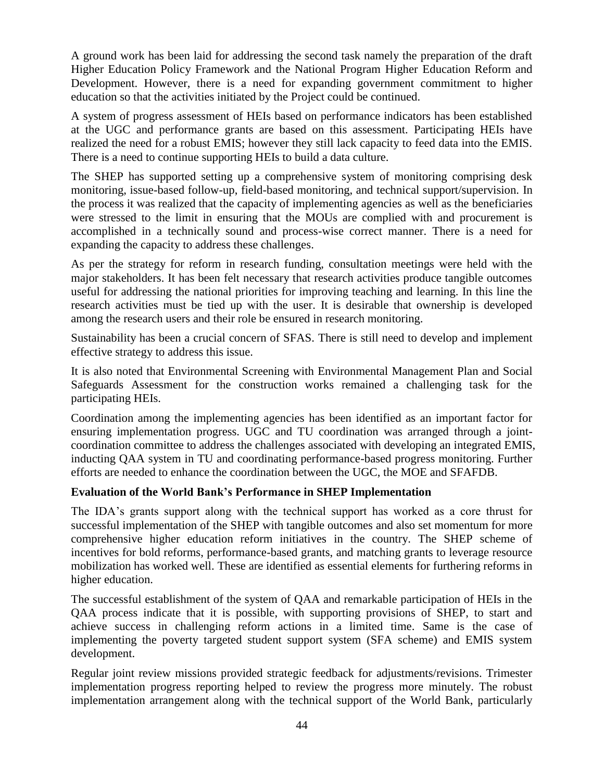A ground work has been laid for addressing the second task namely the preparation of the draft Higher Education Policy Framework and the National Program Higher Education Reform and Development. However, there is a need for expanding government commitment to higher education so that the activities initiated by the Project could be continued.

A system of progress assessment of HEIs based on performance indicators has been established at the UGC and performance grants are based on this assessment. Participating HEIs have realized the need for a robust EMIS; however they still lack capacity to feed data into the EMIS. There is a need to continue supporting HEIs to build a data culture.

The SHEP has supported setting up a comprehensive system of monitoring comprising desk monitoring, issue-based follow-up, field-based monitoring, and technical support/supervision. In the process it was realized that the capacity of implementing agencies as well as the beneficiaries were stressed to the limit in ensuring that the MOUs are complied with and procurement is accomplished in a technically sound and process-wise correct manner. There is a need for expanding the capacity to address these challenges.

As per the strategy for reform in research funding, consultation meetings were held with the major stakeholders. It has been felt necessary that research activities produce tangible outcomes useful for addressing the national priorities for improving teaching and learning. In this line the research activities must be tied up with the user. It is desirable that ownership is developed among the research users and their role be ensured in research monitoring.

Sustainability has been a crucial concern of SFAS. There is still need to develop and implement effective strategy to address this issue.

It is also noted that Environmental Screening with Environmental Management Plan and Social Safeguards Assessment for the construction works remained a challenging task for the participating HEIs.

Coordination among the implementing agencies has been identified as an important factor for ensuring implementation progress. UGC and TU coordination was arranged through a jointcoordination committee to address the challenges associated with developing an integrated EMIS, inducting QAA system in TU and coordinating performance-based progress monitoring. Further efforts are needed to enhance the coordination between the UGC, the MOE and SFAFDB.

# **Evaluation of the World Bank's Performance in SHEP Implementation**

The IDA's grants support along with the technical support has worked as a core thrust for successful implementation of the SHEP with tangible outcomes and also set momentum for more comprehensive higher education reform initiatives in the country. The SHEP scheme of incentives for bold reforms, performance-based grants, and matching grants to leverage resource mobilization has worked well. These are identified as essential elements for furthering reforms in higher education.

The successful establishment of the system of QAA and remarkable participation of HEIs in the QAA process indicate that it is possible, with supporting provisions of SHEP, to start and achieve success in challenging reform actions in a limited time. Same is the case of implementing the poverty targeted student support system (SFA scheme) and EMIS system development.

Regular joint review missions provided strategic feedback for adjustments/revisions. Trimester implementation progress reporting helped to review the progress more minutely. The robust implementation arrangement along with the technical support of the World Bank, particularly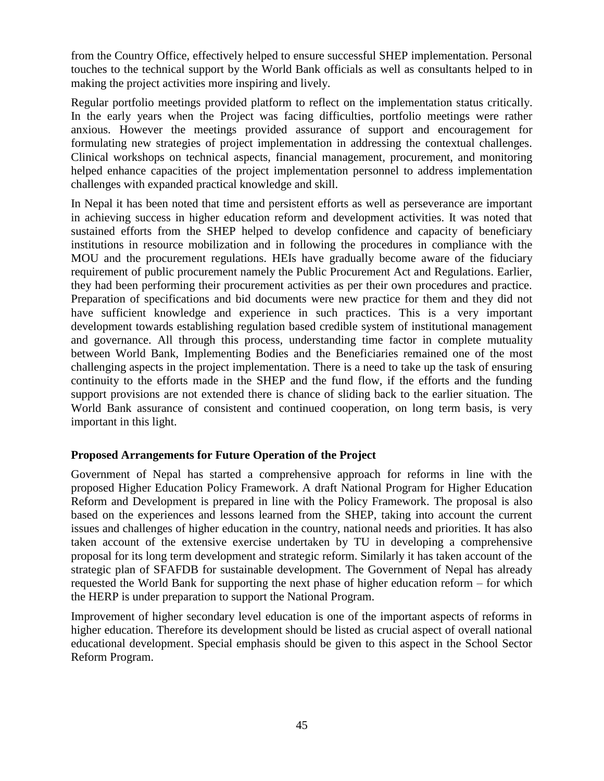from the Country Office, effectively helped to ensure successful SHEP implementation. Personal touches to the technical support by the World Bank officials as well as consultants helped to in making the project activities more inspiring and lively.

Regular portfolio meetings provided platform to reflect on the implementation status critically. In the early years when the Project was facing difficulties, portfolio meetings were rather anxious. However the meetings provided assurance of support and encouragement for formulating new strategies of project implementation in addressing the contextual challenges. Clinical workshops on technical aspects, financial management, procurement, and monitoring helped enhance capacities of the project implementation personnel to address implementation challenges with expanded practical knowledge and skill.

In Nepal it has been noted that time and persistent efforts as well as perseverance are important in achieving success in higher education reform and development activities. It was noted that sustained efforts from the SHEP helped to develop confidence and capacity of beneficiary institutions in resource mobilization and in following the procedures in compliance with the MOU and the procurement regulations. HEIs have gradually become aware of the fiduciary requirement of public procurement namely the Public Procurement Act and Regulations. Earlier, they had been performing their procurement activities as per their own procedures and practice. Preparation of specifications and bid documents were new practice for them and they did not have sufficient knowledge and experience in such practices. This is a very important development towards establishing regulation based credible system of institutional management and governance. All through this process, understanding time factor in complete mutuality between World Bank, Implementing Bodies and the Beneficiaries remained one of the most challenging aspects in the project implementation. There is a need to take up the task of ensuring continuity to the efforts made in the SHEP and the fund flow, if the efforts and the funding support provisions are not extended there is chance of sliding back to the earlier situation. The World Bank assurance of consistent and continued cooperation, on long term basis, is very important in this light.

# **Proposed Arrangements for Future Operation of the Project**

Government of Nepal has started a comprehensive approach for reforms in line with the proposed Higher Education Policy Framework. A draft National Program for Higher Education Reform and Development is prepared in line with the Policy Framework. The proposal is also based on the experiences and lessons learned from the SHEP, taking into account the current issues and challenges of higher education in the country, national needs and priorities. It has also taken account of the extensive exercise undertaken by TU in developing a comprehensive proposal for its long term development and strategic reform. Similarly it has taken account of the strategic plan of SFAFDB for sustainable development. The Government of Nepal has already requested the World Bank for supporting the next phase of higher education reform – for which the HERP is under preparation to support the National Program.

Improvement of higher secondary level education is one of the important aspects of reforms in higher education. Therefore its development should be listed as crucial aspect of overall national educational development. Special emphasis should be given to this aspect in the School Sector Reform Program.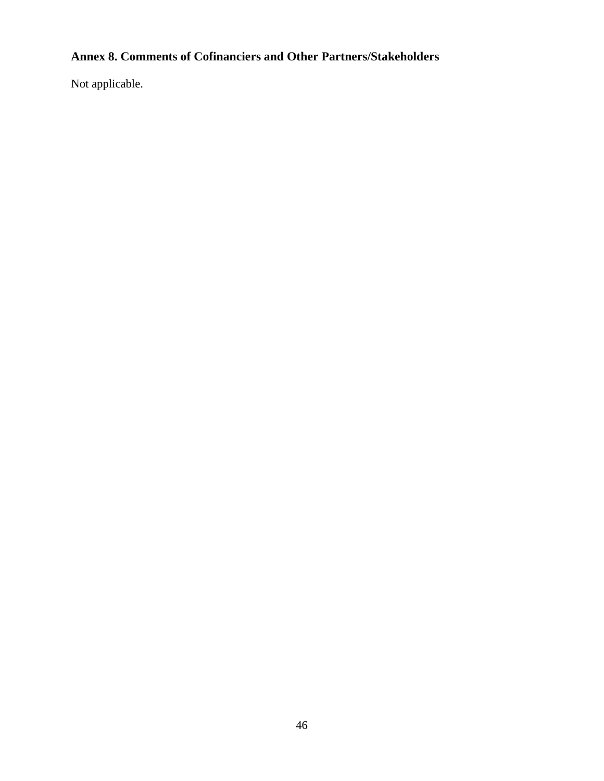# <span id="page-60-0"></span>**Annex 8. Comments of Cofinanciers and Other Partners/Stakeholders**

Not applicable.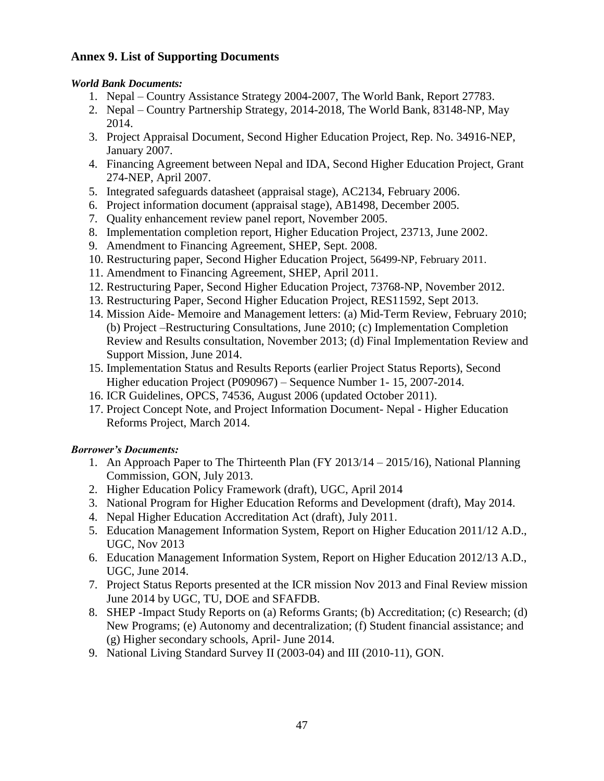# <span id="page-61-0"></span>**Annex 9. List of Supporting Documents**

# *World Bank Documents:*

- 1. Nepal Country Assistance Strategy 2004-2007, The World Bank, Report 27783.
- 2. Nepal Country Partnership Strategy, 2014-2018, The World Bank, 83148-NP, May 2014.
- 3. Project Appraisal Document, Second Higher Education Project, Rep. No. 34916-NEP, January 2007.
- 4. Financing Agreement between Nepal and IDA, Second Higher Education Project, Grant 274-NEP, April 2007.
- 5. Integrated safeguards datasheet (appraisal stage), AC2134, February 2006.
- 6. Project information document (appraisal stage), AB1498, December 2005.
- 7. Quality enhancement review panel report, November 2005.
- 8. Implementation completion report, Higher Education Project, 23713, June 2002.
- 9. Amendment to Financing Agreement, SHEP, Sept. 2008.
- 10. Restructuring paper, Second Higher Education Project, 56499-NP, February 2011.
- 11. Amendment to Financing Agreement, SHEP, April 2011.
- 12. Restructuring Paper, Second Higher Education Project, 73768-NP, November 2012.
- 13. Restructuring Paper, Second Higher Education Project, RES11592, Sept 2013.
- 14. Mission Aide- Memoire and Management letters: (a) Mid-Term Review, February 2010; (b) Project –Restructuring Consultations, June 2010; (c) Implementation Completion Review and Results consultation, November 2013; (d) Final Implementation Review and Support Mission, June 2014.
- 15. Implementation Status and Results Reports (earlier Project Status Reports), Second Higher education Project (P090967) – Sequence Number 1- 15, 2007-2014.
- 16. ICR Guidelines, OPCS, 74536, August 2006 (updated October 2011).
- 17. Project Concept Note, and Project Information Document- Nepal Higher Education Reforms Project, March 2014.

# *Borrower's Documents:*

- 1. An Approach Paper to The Thirteenth Plan (FY 2013/14 2015/16), National Planning Commission, GON, July 2013.
- 2. Higher Education Policy Framework (draft), UGC, April 2014
- 3. National Program for Higher Education Reforms and Development (draft), May 2014.
- 4. Nepal Higher Education Accreditation Act (draft), July 2011.
- 5. Education Management Information System, Report on Higher Education 2011/12 A.D., UGC, Nov 2013
- 6. Education Management Information System, Report on Higher Education 2012/13 A.D., UGC, June 2014.
- 7. Project Status Reports presented at the ICR mission Nov 2013 and Final Review mission June 2014 by UGC, TU, DOE and SFAFDB.
- 8. SHEP -Impact Study Reports on (a) Reforms Grants; (b) Accreditation; (c) Research; (d) New Programs; (e) Autonomy and decentralization; (f) Student financial assistance; and (g) Higher secondary schools, April- June 2014.
- 9. National Living Standard Survey II (2003-04) and III (2010-11), GON.